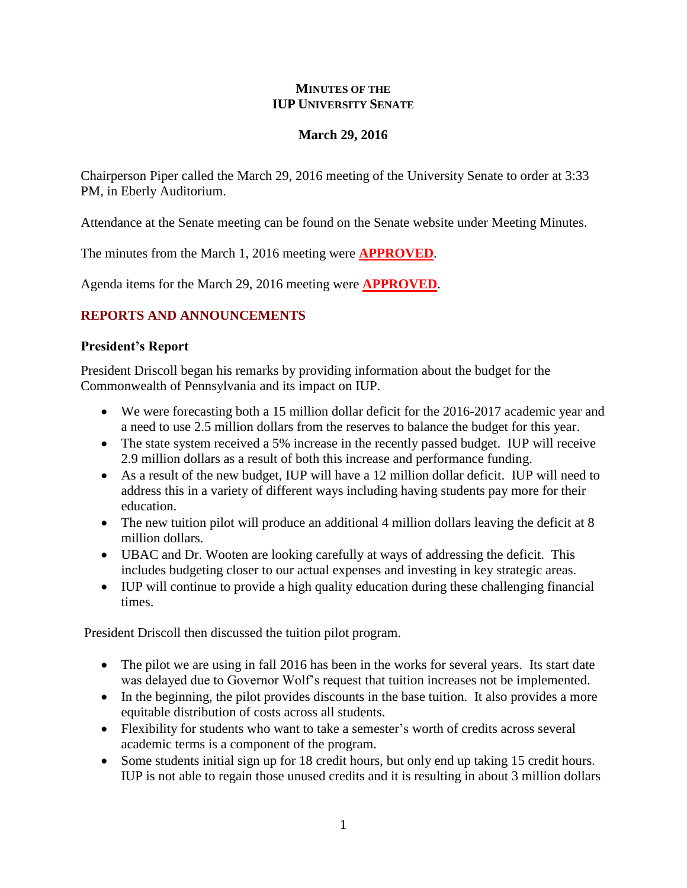#### **MINUTES OF THE IUP UNIVERSITY SENATE**

## **March 29, 2016**

Chairperson Piper called the March 29, 2016 meeting of the University Senate to order at 3:33 PM, in Eberly Auditorium.

Attendance at the Senate meeting can be found on the Senate website under Meeting Minutes.

The minutes from the March 1, 2016 meeting were **APPROVED**.

Agenda items for the March 29, 2016 meeting were **APPROVED**.

# **REPORTS AND ANNOUNCEMENTS**

#### **President's Report**

President Driscoll began his remarks by providing information about the budget for the Commonwealth of Pennsylvania and its impact on IUP.

- We were forecasting both a 15 million dollar deficit for the 2016-2017 academic year and a need to use 2.5 million dollars from the reserves to balance the budget for this year.
- The state system received a 5% increase in the recently passed budget. IUP will receive 2.9 million dollars as a result of both this increase and performance funding.
- As a result of the new budget, IUP will have a 12 million dollar deficit. IUP will need to address this in a variety of different ways including having students pay more for their education.
- The new tuition pilot will produce an additional 4 million dollars leaving the deficit at 8 million dollars.
- UBAC and Dr. Wooten are looking carefully at ways of addressing the deficit. This includes budgeting closer to our actual expenses and investing in key strategic areas.
- IUP will continue to provide a high quality education during these challenging financial times.

President Driscoll then discussed the tuition pilot program.

- The pilot we are using in fall 2016 has been in the works for several years. Its start date was delayed due to Governor Wolf's request that tuition increases not be implemented.
- In the beginning, the pilot provides discounts in the base tuition. It also provides a more equitable distribution of costs across all students.
- Flexibility for students who want to take a semester's worth of credits across several academic terms is a component of the program.
- Some students initial sign up for 18 credit hours, but only end up taking 15 credit hours. IUP is not able to regain those unused credits and it is resulting in about 3 million dollars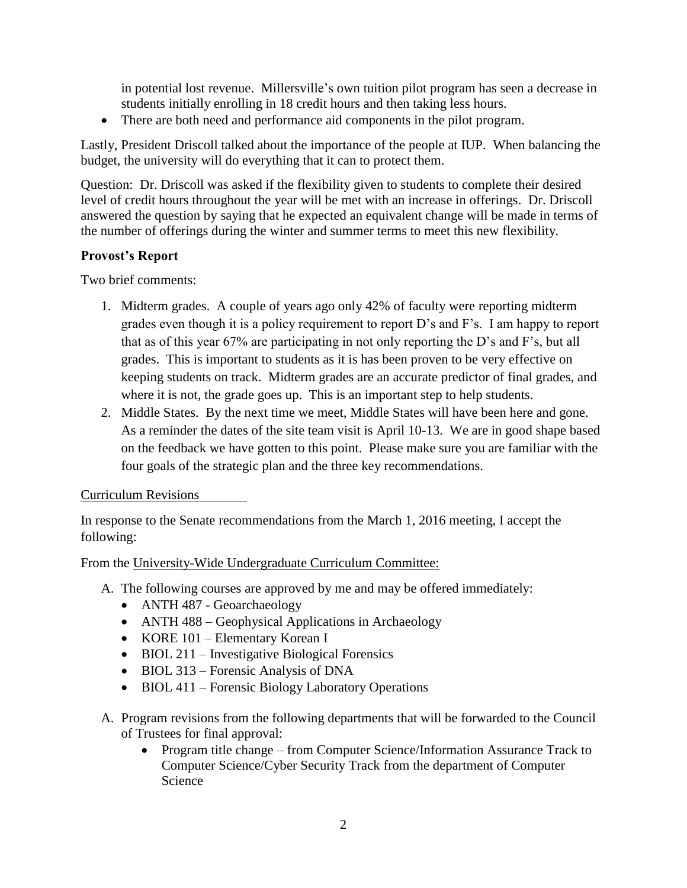in potential lost revenue. Millersville's own tuition pilot program has seen a decrease in students initially enrolling in 18 credit hours and then taking less hours.

• There are both need and performance aid components in the pilot program.

Lastly, President Driscoll talked about the importance of the people at IUP. When balancing the budget, the university will do everything that it can to protect them.

Question: Dr. Driscoll was asked if the flexibility given to students to complete their desired level of credit hours throughout the year will be met with an increase in offerings. Dr. Driscoll answered the question by saying that he expected an equivalent change will be made in terms of the number of offerings during the winter and summer terms to meet this new flexibility.

#### **Provost's Report**

Two brief comments:

- 1. Midterm grades. A couple of years ago only 42% of faculty were reporting midterm grades even though it is a policy requirement to report D's and F's. I am happy to report that as of this year 67% are participating in not only reporting the D's and F's, but all grades. This is important to students as it is has been proven to be very effective on keeping students on track. Midterm grades are an accurate predictor of final grades, and where it is not, the grade goes up. This is an important step to help students.
- 2. Middle States. By the next time we meet, Middle States will have been here and gone. As a reminder the dates of the site team visit is April 10-13. We are in good shape based on the feedback we have gotten to this point. Please make sure you are familiar with the four goals of the strategic plan and the three key recommendations.

## Curriculum Revisions

In response to the Senate recommendations from the March 1, 2016 meeting, I accept the following:

From the University-Wide Undergraduate Curriculum Committee:

- A. The following courses are approved by me and may be offered immediately:
	- ANTH 487 Geoarchaeology
	- ANTH 488 Geophysical Applications in Archaeology
	- KORE 101 Elementary Korean I
	- BIOL 211 Investigative Biological Forensics
	- BIOL 313 Forensic Analysis of DNA
	- BIOL 411 Forensic Biology Laboratory Operations
- A. Program revisions from the following departments that will be forwarded to the Council of Trustees for final approval:
	- Program title change from Computer Science/Information Assurance Track to Computer Science/Cyber Security Track from the department of Computer Science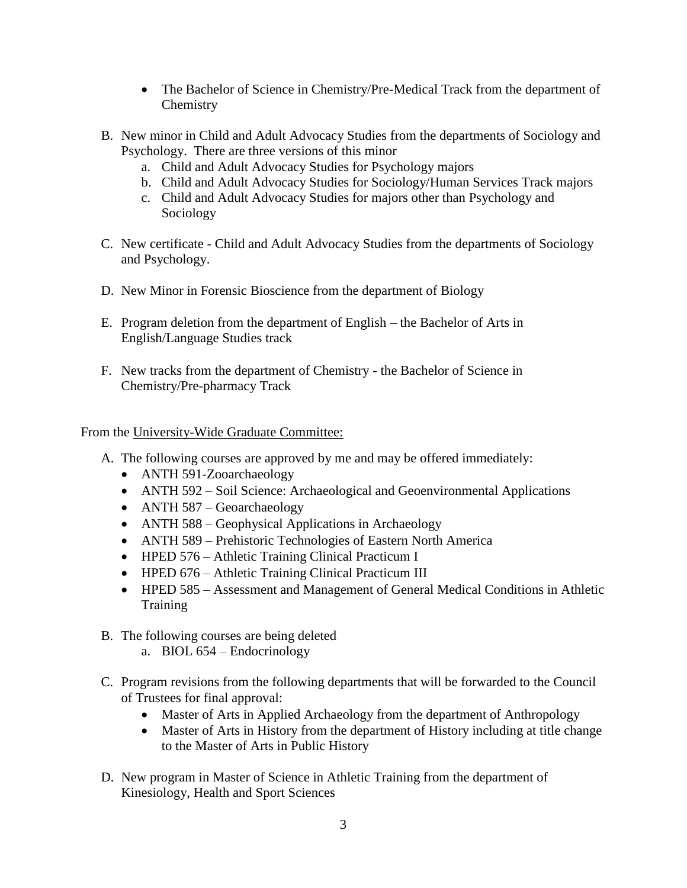- The Bachelor of Science in Chemistry/Pre-Medical Track from the department of **Chemistry**
- B. New minor in Child and Adult Advocacy Studies from the departments of Sociology and Psychology. There are three versions of this minor
	- a. Child and Adult Advocacy Studies for Psychology majors
	- b. Child and Adult Advocacy Studies for Sociology/Human Services Track majors
	- c. Child and Adult Advocacy Studies for majors other than Psychology and Sociology
- C. New certificate Child and Adult Advocacy Studies from the departments of Sociology and Psychology.
- D. New Minor in Forensic Bioscience from the department of Biology
- E. Program deletion from the department of English the Bachelor of Arts in English/Language Studies track
- F. New tracks from the department of Chemistry the Bachelor of Science in Chemistry/Pre-pharmacy Track

From the University-Wide Graduate Committee:

- A. The following courses are approved by me and may be offered immediately:
	- ANTH 591-Zooarchaeology
	- ANTH 592 Soil Science: Archaeological and Geoenvironmental Applications
	- ANTH 587 Geoarchaeology
	- ANTH 588 Geophysical Applications in Archaeology
	- ANTH 589 Prehistoric Technologies of Eastern North America
	- HPED 576 Athletic Training Clinical Practicum I
	- HPED 676 Athletic Training Clinical Practicum III
	- HPED 585 Assessment and Management of General Medical Conditions in Athletic Training
- B. The following courses are being deleted
	- a. BIOL 654 Endocrinology
- C. Program revisions from the following departments that will be forwarded to the Council of Trustees for final approval:
	- Master of Arts in Applied Archaeology from the department of Anthropology
	- Master of Arts in History from the department of History including at title change to the Master of Arts in Public History
- D. New program in Master of Science in Athletic Training from the department of Kinesiology, Health and Sport Sciences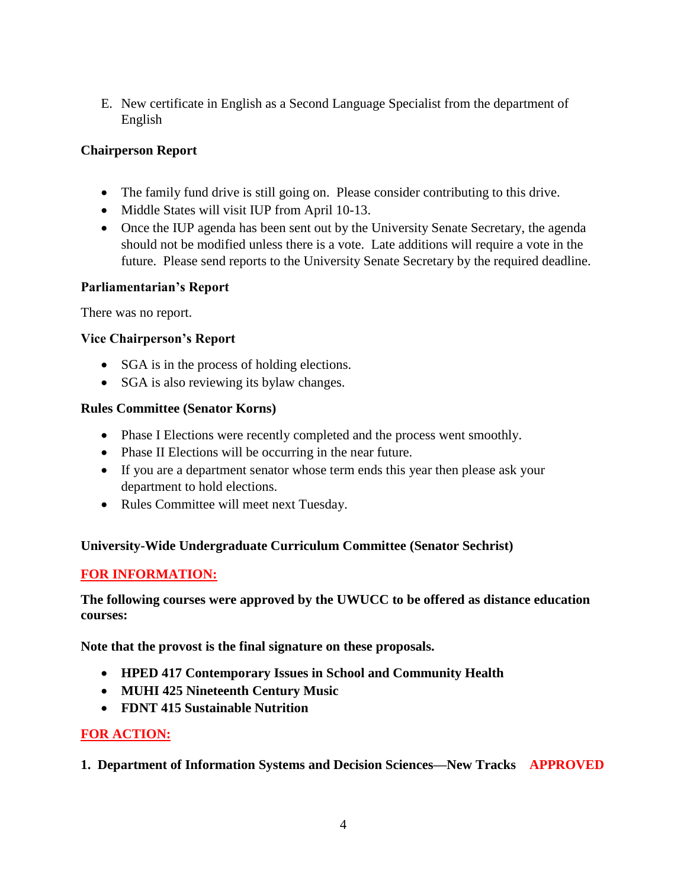E. New certificate in English as a Second Language Specialist from the department of English

# **Chairperson Report**

- The family fund drive is still going on. Please consider contributing to this drive.
- Middle States will visit IUP from April 10-13.
- Once the IUP agenda has been sent out by the University Senate Secretary, the agenda should not be modified unless there is a vote. Late additions will require a vote in the future. Please send reports to the University Senate Secretary by the required deadline.

## **Parliamentarian's Report**

There was no report.

# **Vice Chairperson's Report**

- SGA is in the process of holding elections.
- SGA is also reviewing its bylaw changes.

## **Rules Committee (Senator Korns)**

- Phase I Elections were recently completed and the process went smoothly.
- Phase II Elections will be occurring in the near future.
- If you are a department senator whose term ends this year then please ask your department to hold elections.
- Rules Committee will meet next Tuesday.

# **University-Wide Undergraduate Curriculum Committee (Senator Sechrist)**

# **FOR INFORMATION:**

**The following courses were approved by the UWUCC to be offered as distance education courses:** 

**Note that the provost is the final signature on these proposals.**

- **HPED 417 Contemporary Issues in School and Community Health**
- **MUHI 425 Nineteenth Century Music**
- **FDNT 415 Sustainable Nutrition**

# **FOR ACTION:**

**1. Department of Information Systems and Decision Sciences—New Tracks APPROVED**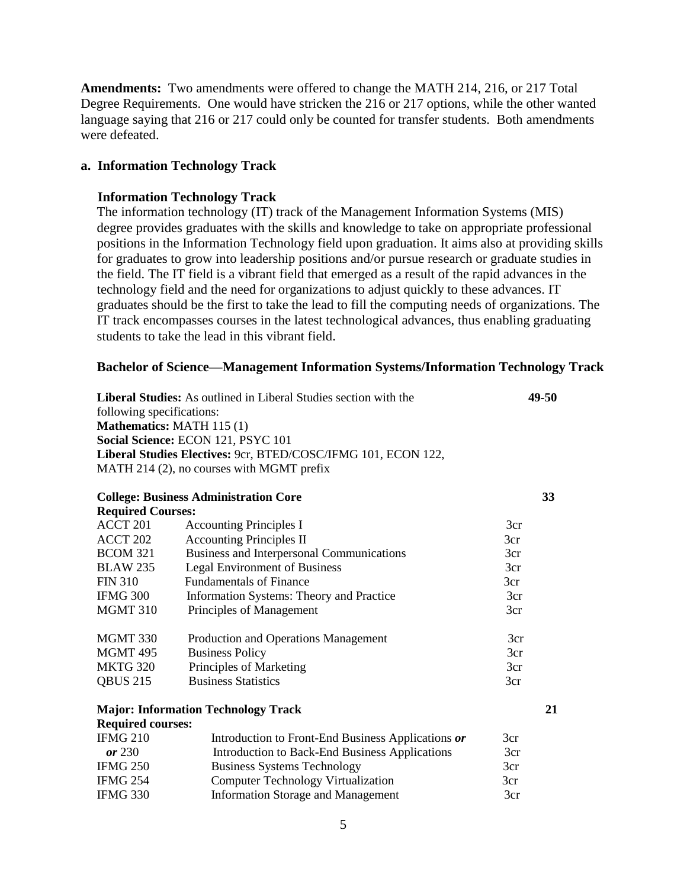**Amendments:** Two amendments were offered to change the MATH 214, 216, or 217 Total Degree Requirements. One would have stricken the 216 or 217 options, while the other wanted language saying that 216 or 217 could only be counted for transfer students. Both amendments were defeated.

#### **a. Information Technology Track**

#### **Information Technology Track**

The information technology (IT) track of the Management Information Systems (MIS) degree provides graduates with the skills and knowledge to take on appropriate professional positions in the Information Technology field upon graduation. It aims also at providing skills for graduates to grow into leadership positions and/or pursue research or graduate studies in the field. The IT field is a vibrant field that emerged as a result of the rapid advances in the technology field and the need for organizations to adjust quickly to these advances. IT graduates should be the first to take the lead to fill the computing needs of organizations. The IT track encompasses courses in the latest technological advances, thus enabling graduating students to take the lead in this vibrant field.

#### **Bachelor of Science—Management Information Systems/Information Technology Track**

| Liberal Studies: As outlined in Liberal Studies section with the<br>following specifications: |                                                               | 49-50 |    |
|-----------------------------------------------------------------------------------------------|---------------------------------------------------------------|-------|----|
| <b>Mathematics: MATH 115 (1)</b>                                                              |                                                               |       |    |
|                                                                                               | Social Science: ECON 121, PSYC 101                            |       |    |
|                                                                                               | Liberal Studies Electives: 9cr, BTED/COSC/IFMG 101, ECON 122, |       |    |
|                                                                                               | MATH 214 (2), no courses with MGMT prefix                     |       |    |
|                                                                                               |                                                               |       |    |
|                                                                                               | <b>College: Business Administration Core</b>                  |       | 33 |
| <b>Required Courses:</b>                                                                      |                                                               |       |    |
| ACCT 201                                                                                      | <b>Accounting Principles I</b>                                | 3cr   |    |
| ACCT 202                                                                                      | <b>Accounting Principles II</b>                               | 3cr   |    |
| <b>BCOM 321</b>                                                                               | Business and Interpersonal Communications                     | 3cr   |    |
| <b>BLAW 235</b>                                                                               | <b>Legal Environment of Business</b>                          | 3cr   |    |
| <b>FIN 310</b>                                                                                | <b>Fundamentals of Finance</b>                                | 3cr   |    |
| <b>IFMG 300</b>                                                                               | Information Systems: Theory and Practice                      | 3cr   |    |
| <b>MGMT 310</b>                                                                               | Principles of Management                                      | 3cr   |    |
| MGMT 330                                                                                      | Production and Operations Management                          | 3cr   |    |
| <b>MGMT 495</b>                                                                               | <b>Business Policy</b>                                        | 3cr   |    |
| <b>MKTG 320</b>                                                                               | Principles of Marketing                                       | 3cr   |    |
| <b>QBUS 215</b>                                                                               | <b>Business Statistics</b>                                    | 3cr   |    |
|                                                                                               | <b>Major: Information Technology Track</b>                    |       | 21 |
| <b>Required courses:</b>                                                                      |                                                               |       |    |
| <b>IFMG 210</b>                                                                               | Introduction to Front-End Business Applications or            | 3cr   |    |
| or 230                                                                                        | Introduction to Back-End Business Applications                | 3cr   |    |
| <b>IFMG 250</b>                                                                               | <b>Business Systems Technology</b>                            | 3cr   |    |
| <b>IFMG 254</b>                                                                               | <b>Computer Technology Virtualization</b>                     | 3cr   |    |
| <b>IFMG 330</b>                                                                               | <b>Information Storage and Management</b>                     | 3cr   |    |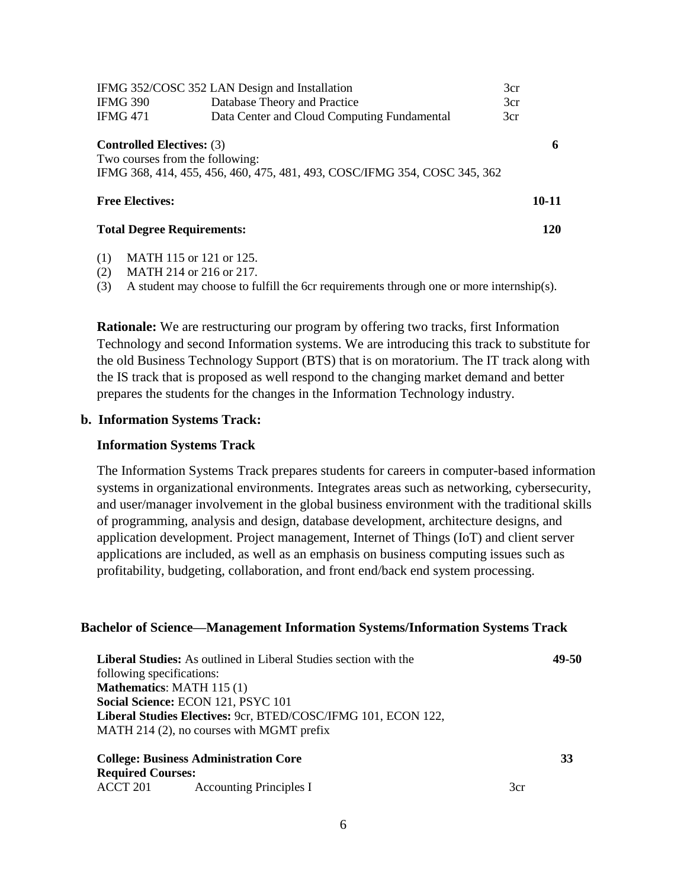| IFMG 352/COSC 352 LAN Design and Installation                       |                                                                           |     |       |
|---------------------------------------------------------------------|---------------------------------------------------------------------------|-----|-------|
| <b>IFMG 390</b>                                                     | Database Theory and Practice                                              | 3cr |       |
| <b>IFMG 471</b>                                                     | Data Center and Cloud Computing Fundamental                               | 3cr |       |
| <b>Controlled Electives: (3)</b><br>Two courses from the following: | IFMG 368, 414, 455, 456, 460, 475, 481, 493, COSC/IFMG 354, COSC 345, 362 |     | 6     |
| <b>Free Electives:</b>                                              |                                                                           |     | 10-11 |
| <b>Total Degree Requirements:</b>                                   |                                                                           |     | 120   |

(1) MATH 115 or 121 or 125.

(2) MATH 214 or 216 or 217.

(3) A student may choose to fulfill the 6cr requirements through one or more internship(s).

**Rationale:** We are restructuring our program by offering two tracks, first Information Technology and second Information systems. We are introducing this track to substitute for the old Business Technology Support (BTS) that is on moratorium. The IT track along with the IS track that is proposed as well respond to the changing market demand and better prepares the students for the changes in the Information Technology industry.

#### **b. Information Systems Track:**

#### **Information Systems Track**

The Information Systems Track prepares students for careers in computer-based information systems in organizational environments. Integrates areas such as networking, cybersecurity, and user/manager involvement in the global business environment with the traditional skills of programming, analysis and design, database development, architecture designs, and application development. Project management, Internet of Things (IoT) and client server applications are included, as well as an emphasis on business computing issues such as profitability, budgeting, collaboration, and front end/back end system processing.

#### **Bachelor of Science—Management Information Systems/Information Systems Track**

| <b>Liberal Studies:</b> As outlined in Liberal Studies section with the | 49-50 |
|-------------------------------------------------------------------------|-------|
| following specifications:                                               |       |
| <b>Mathematics: MATH 115 (1)</b>                                        |       |
| Social Science: ECON 121, PSYC 101                                      |       |
| Liberal Studies Electives: 9cr, BTED/COSC/IFMG 101, ECON 122,           |       |
| MATH 214 (2), no courses with MGMT prefix                               |       |
|                                                                         |       |

| <b>College: Business Administration Core</b> |                                |     |
|----------------------------------------------|--------------------------------|-----|
| <b>Required Courses:</b>                     |                                |     |
| ACCT 201                                     | <b>Accounting Principles I</b> | 3cr |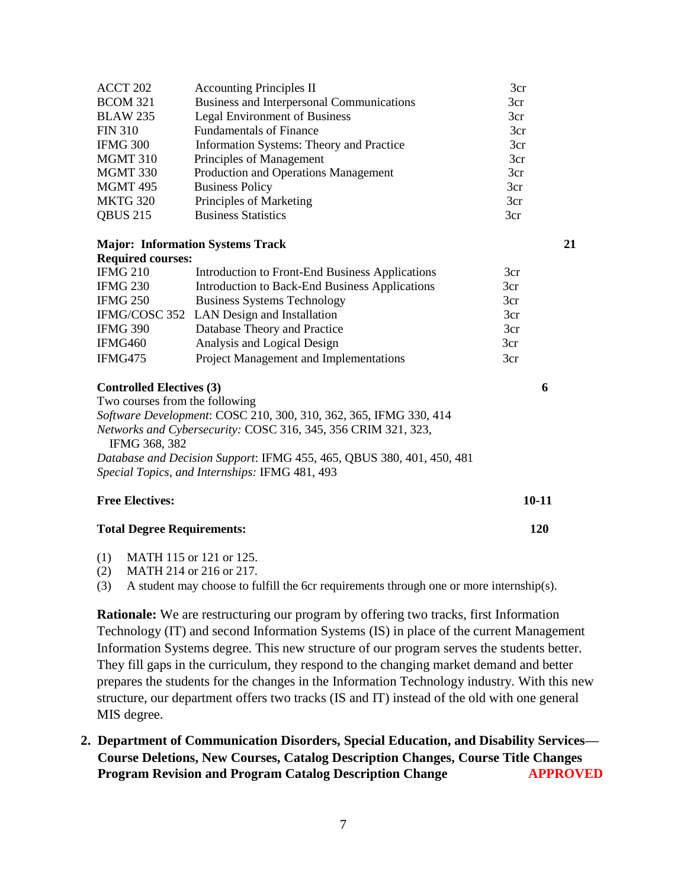| ACCT 202                          | <b>Accounting Principles II</b>                                       | 3cr |           |
|-----------------------------------|-----------------------------------------------------------------------|-----|-----------|
| <b>BCOM 321</b>                   | Business and Interpersonal Communications                             | 3cr |           |
| <b>BLAW 235</b>                   | <b>Legal Environment of Business</b>                                  | 3cr |           |
| <b>FIN 310</b>                    | <b>Fundamentals of Finance</b>                                        | 3cr |           |
| <b>IFMG 300</b>                   | Information Systems: Theory and Practice                              | 3cr |           |
| MGMT 310                          | Principles of Management                                              | 3cr |           |
| MGMT 330                          | Production and Operations Management                                  | 3cr |           |
| MGMT 495                          | <b>Business Policy</b>                                                | 3cr |           |
| <b>MKTG 320</b>                   | Principles of Marketing                                               | 3cr |           |
| <b>QBUS 215</b>                   | <b>Business Statistics</b>                                            | 3cr |           |
|                                   | <b>Major: Information Systems Track</b>                               |     | 21        |
| <b>Required courses:</b>          |                                                                       |     |           |
| <b>IFMG 210</b>                   | Introduction to Front-End Business Applications                       | 3cr |           |
| <b>IFMG 230</b>                   | <b>Introduction to Back-End Business Applications</b>                 | 3cr |           |
| <b>IFMG 250</b>                   | <b>Business Systems Technology</b>                                    | 3cr |           |
|                                   | IFMG/COSC 352 LAN Design and Installation                             | 3cr |           |
| <b>IFMG 390</b>                   | Database Theory and Practice                                          | 3cr |           |
| IFMG460                           | Analysis and Logical Design                                           | 3cr |           |
| IFMG475                           | Project Management and Implementations                                | 3cr |           |
| <b>Controlled Electives (3)</b>   |                                                                       | 6   |           |
| Two courses from the following    |                                                                       |     |           |
|                                   | Software Development: COSC 210, 300, 310, 362, 365, IFMG 330, 414     |     |           |
| IFMG 368, 382                     | Networks and Cybersecurity: COSC 316, 345, 356 CRIM 321, 323,         |     |           |
|                                   | Database and Decision Support: IFMG 455, 465, QBUS 380, 401, 450, 481 |     |           |
|                                   | Special Topics, and Internships: IFMG 481, 493                        |     |           |
| <b>Free Electives:</b>            |                                                                       |     | $10 - 11$ |
| <b>Total Degree Requirements:</b> |                                                                       |     | 120       |
|                                   |                                                                       |     |           |

- (1) MATH 115 or 121 or 125.
- (2) MATH 214 or 216 or 217.

(3) A student may choose to fulfill the 6cr requirements through one or more internship(s).

**Rationale:** We are restructuring our program by offering two tracks, first Information Technology (IT) and second Information Systems (IS) in place of the current Management Information Systems degree. This new structure of our program serves the students better. They fill gaps in the curriculum, they respond to the changing market demand and better prepares the students for the changes in the Information Technology industry. With this new structure, our department offers two tracks (IS and IT) instead of the old with one general MIS degree.

**2. Department of Communication Disorders, Special Education, and Disability Services— Course Deletions, New Courses, Catalog Description Changes, Course Title Changes Program Revision and Program Catalog Description Change APPROVED**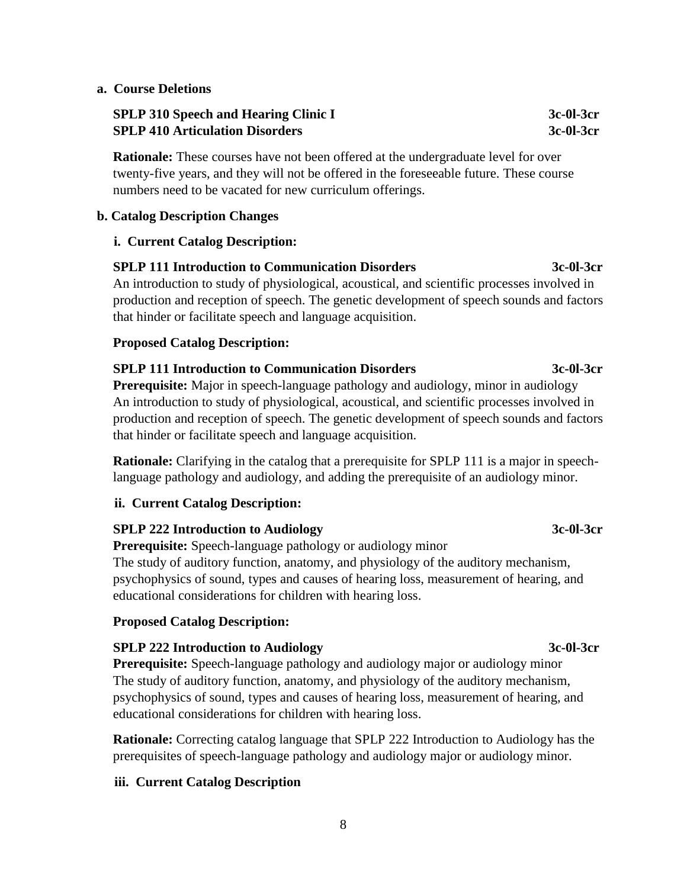#### **a. Course Deletions**

## **SPLP 310 Speech and Hearing Clinic I 3c-0l-3cr**  3c-0l-3cr **SPLP 410 Articulation Disorders** 3c-0l-3cr

**Rationale:** These courses have not been offered at the undergraduate level for over twenty-five years, and they will not be offered in the foreseeable future. These course numbers need to be vacated for new curriculum offerings.

#### **b. Catalog Description Changes**

#### **i. Current Catalog Description:**

#### **SPLP 111 Introduction to Communication Disorders 3c-0l-3cr**

An introduction to study of physiological, acoustical, and scientific processes involved in production and reception of speech. The genetic development of speech sounds and factors that hinder or facilitate speech and language acquisition.

#### **Proposed Catalog Description:**

# **SPLP 111 Introduction to Communication Disorders 3c-0l-3cr**

**Prerequisite:** Major in speech-language pathology and audiology, minor in audiology An introduction to study of physiological, acoustical, and scientific processes involved in production and reception of speech. The genetic development of speech sounds and factors that hinder or facilitate speech and language acquisition.

**Rationale:** Clarifying in the catalog that a prerequisite for SPLP 111 is a major in speechlanguage pathology and audiology, and adding the prerequisite of an audiology minor.

## **ii. Current Catalog Description:**

## **SPLP 222 Introduction to Audiology 3c-0l-3cr**

**Prerequisite:** Speech-language pathology or audiology minor The study of auditory function, anatomy, and physiology of the auditory mechanism, psychophysics of sound, types and causes of hearing loss, measurement of hearing, and educational considerations for children with hearing loss.

## **Proposed Catalog Description:**

## **SPLP 222 Introduction to Audiology 3c-0l-3cr**

**Prerequisite:** Speech-language pathology and audiology major or audiology minor The study of auditory function, anatomy, and physiology of the auditory mechanism, psychophysics of sound, types and causes of hearing loss, measurement of hearing, and educational considerations for children with hearing loss.

**Rationale:** Correcting catalog language that SPLP 222 Introduction to Audiology has the prerequisites of speech-language pathology and audiology major or audiology minor.

## **iii. Current Catalog Description**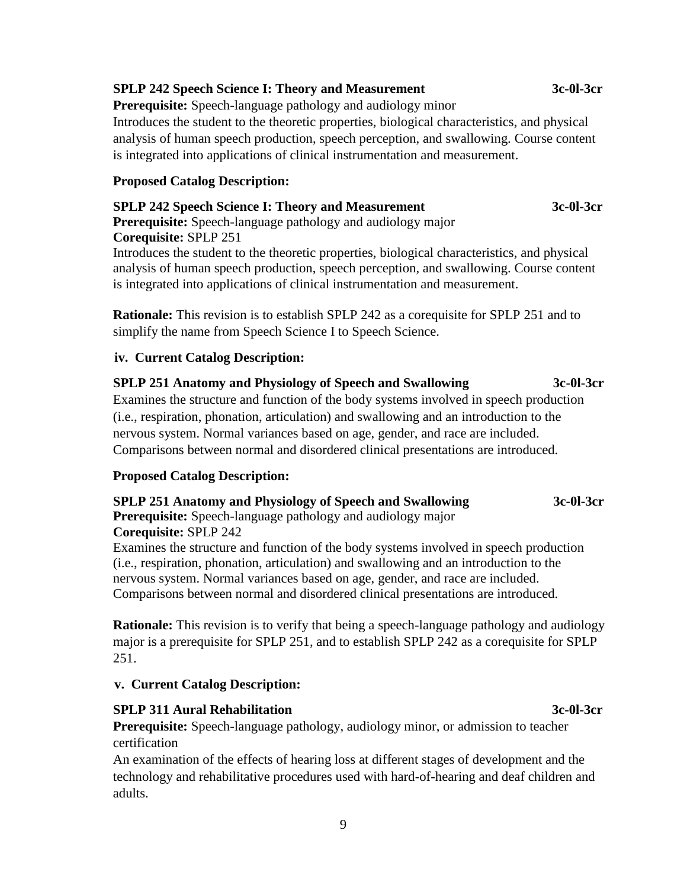#### 9

### **SPLP 242 Speech Science I: Theory and Measurement 3c-0l-3cr**

**Prerequisite:** Speech-language pathology and audiology minor

Introduces the student to the theoretic properties, biological characteristics, and physical analysis of human speech production, speech perception, and swallowing. Course content is integrated into applications of clinical instrumentation and measurement.

## **Proposed Catalog Description:**

# **SPLP 242 Speech Science I: Theory and Measurement 3c-0l-3cr**

**Prerequisite:** Speech-language pathology and audiology major **Corequisite:** SPLP 251 Introduces the student to the theoretic properties, biological characteristics, and physical analysis of human speech production, speech perception, and swallowing. Course content

is integrated into applications of clinical instrumentation and measurement.

**Rationale:** This revision is to establish SPLP 242 as a corequisite for SPLP 251 and to simplify the name from Speech Science I to Speech Science.

# **iv. Current Catalog Description:**

# **SPLP 251 Anatomy and Physiology of Speech and Swallowing 3c-0l-3cr**

Examines the structure and function of the body systems involved in speech production (i.e., respiration, phonation, articulation) and swallowing and an introduction to the nervous system. Normal variances based on age, gender, and race are included. Comparisons between normal and disordered clinical presentations are introduced.

## **Proposed Catalog Description:**

# **SPLP 251 Anatomy and Physiology of Speech and Swallowing 3c-0l-3cr**

**Prerequisite:** Speech-language pathology and audiology major **Corequisite:** SPLP 242

Examines the structure and function of the body systems involved in speech production (i.e., respiration, phonation, articulation) and swallowing and an introduction to the nervous system. Normal variances based on age, gender, and race are included. Comparisons between normal and disordered clinical presentations are introduced.

**Rationale:** This revision is to verify that being a speech-language pathology and audiology major is a prerequisite for SPLP 251, and to establish SPLP 242 as a corequisite for SPLP 251.

## **v. Current Catalog Description:**

## **SPLP 311 Aural Rehabilitation** 3c-0l-3cr

**Prerequisite:** Speech-language pathology, audiology minor, or admission to teacher certification

An examination of the effects of hearing loss at different stages of development and the technology and rehabilitative procedures used with hard-of-hearing and deaf children and adults.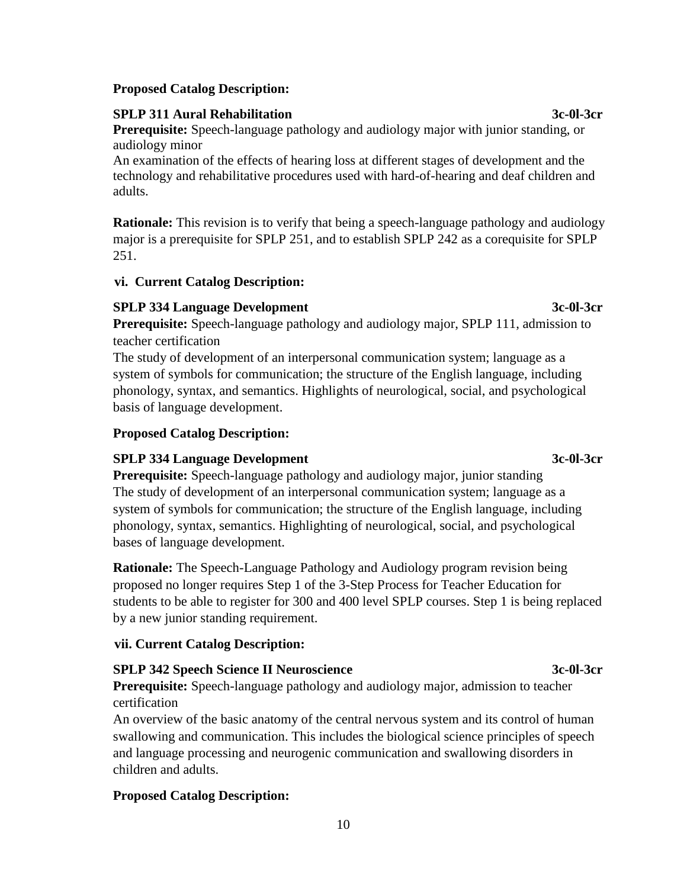# **Proposed Catalog Description:**

# **SPLP 311 Aural Rehabilitation 3c-0l-3cr**

**Prerequisite:** Speech-language pathology and audiology major with junior standing, or audiology minor

An examination of the effects of hearing loss at different stages of development and the technology and rehabilitative procedures used with hard-of-hearing and deaf children and adults.

**Rationale:** This revision is to verify that being a speech-language pathology and audiology major is a prerequisite for SPLP 251, and to establish SPLP 242 as a corequisite for SPLP 251.

# **vi. Current Catalog Description:**

# **SPLP 334 Language Development 3c-0l-3cr**

**Prerequisite:** Speech-language pathology and audiology major, SPLP 111, admission to teacher certification

The study of development of an interpersonal communication system; language as a system of symbols for communication; the structure of the English language, including phonology, syntax, and semantics. Highlights of neurological, social, and psychological basis of language development.

# **Proposed Catalog Description:**

# **SPLP 334 Language Development 3c-0l-3cr**

**Prerequisite:** Speech-language pathology and audiology major, junior standing The study of development of an interpersonal communication system; language as a system of symbols for communication; the structure of the English language, including phonology, syntax, semantics. Highlighting of neurological, social, and psychological bases of language development.

**Rationale:** The Speech-Language Pathology and Audiology program revision being proposed no longer requires Step 1 of the 3-Step Process for Teacher Education for students to be able to register for 300 and 400 level SPLP courses. Step 1 is being replaced by a new junior standing requirement.

# **vii. Current Catalog Description:**

# **SPLP 342 Speech Science II Neuroscience 3c-0l-3cr**

**Prerequisite:** Speech-language pathology and audiology major, admission to teacher certification

An overview of the basic anatomy of the central nervous system and its control of human swallowing and communication. This includes the biological science principles of speech and language processing and neurogenic communication and swallowing disorders in children and adults.

# **Proposed Catalog Description:**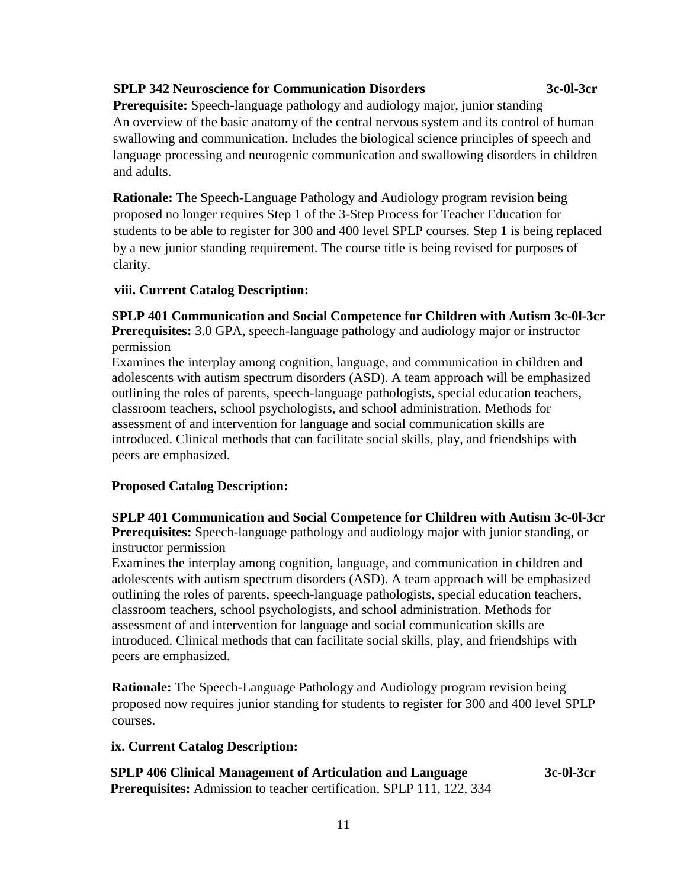#### **SPLP 342 Neuroscience for Communication Disorders 3c-0l-3cr**

**Prerequisite:** Speech-language pathology and audiology major, junior standing An overview of the basic anatomy of the central nervous system and its control of human swallowing and communication. Includes the biological science principles of speech and language processing and neurogenic communication and swallowing disorders in children and adults.

**Rationale:** The Speech-Language Pathology and Audiology program revision being proposed no longer requires Step 1 of the 3-Step Process for Teacher Education for students to be able to register for 300 and 400 level SPLP courses. Step 1 is being replaced by a new junior standing requirement. The course title is being revised for purposes of clarity.

#### **viii. Current Catalog Description:**

**SPLP 401 Communication and Social Competence for Children with Autism 3c-0l-3cr**

**Prerequisites:** 3.0 GPA, speech-language pathology and audiology major or instructor permission

 Examines the interplay among cognition, language, and communication in children and adolescents with autism spectrum disorders (ASD). A team approach will be emphasized outlining the roles of parents, speech-language pathologists, special education teachers, classroom teachers, school psychologists, and school administration. Methods for assessment of and intervention for language and social communication skills are introduced. Clinical methods that can facilitate social skills, play, and friendships with peers are emphasized.

## **Proposed Catalog Description:**

 **SPLP 401 Communication and Social Competence for Children with Autism 3c-0l-3cr Prerequisites:** Speech-language pathology and audiology major with junior standing, or instructor permission

 Examines the interplay among cognition, language, and communication in children and adolescents with autism spectrum disorders (ASD). A team approach will be emphasized outlining the roles of parents, speech-language pathologists, special education teachers, classroom teachers, school psychologists, and school administration. Methods for assessment of and intervention for language and social communication skills are introduced. Clinical methods that can facilitate social skills, play, and friendships with peers are emphasized.

 **Rationale:** The Speech-Language Pathology and Audiology program revision being proposed now requires junior standing for students to register for 300 and 400 level SPLP courses.

#### **ix. Current Catalog Description:**

 **SPLP** 406 Clinical Management of Articulation and Language 3c-0l-3cr  **Prerequisites:** Admission to teacher certification, SPLP 111, 122, 334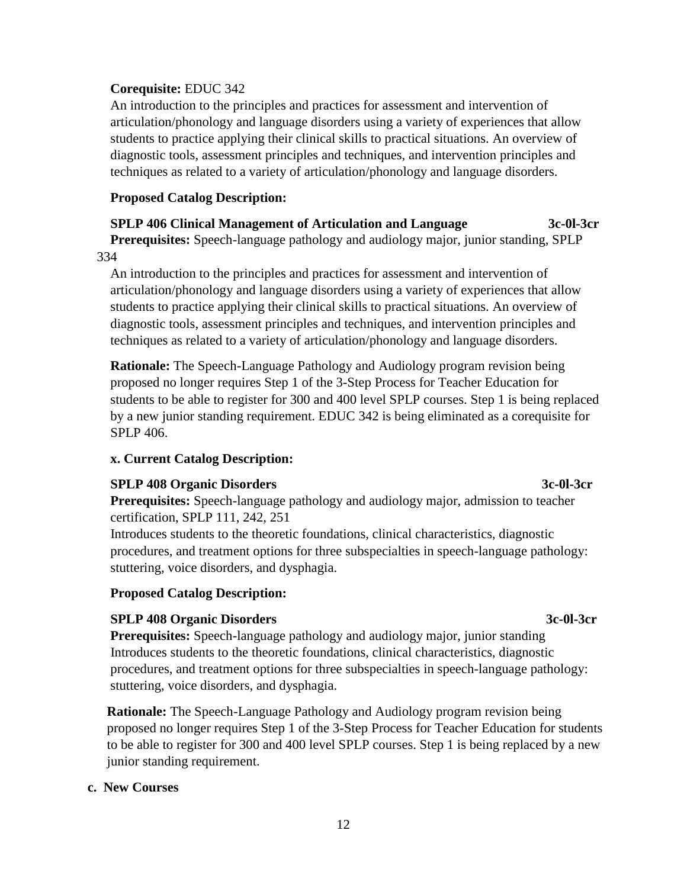#### **Corequisite:** EDUC 342

 An introduction to the principles and practices for assessment and intervention of articulation/phonology and language disorders using a variety of experiences that allow students to practice applying their clinical skills to practical situations. An overview of diagnostic tools, assessment principles and techniques, and intervention principles and techniques as related to a variety of articulation/phonology and language disorders.

## **Proposed Catalog Description:**

# **SPLP** 406 Clinical Management of Articulation and Language 3c-0l-3cr

 **Prerequisites:** Speech-language pathology and audiology major, junior standing, SPLP 334

 An introduction to the principles and practices for assessment and intervention of articulation/phonology and language disorders using a variety of experiences that allow students to practice applying their clinical skills to practical situations. An overview of diagnostic tools, assessment principles and techniques, and intervention principles and techniques as related to a variety of articulation/phonology and language disorders.

 **Rationale:** The Speech-Language Pathology and Audiology program revision being proposed no longer requires Step 1 of the 3-Step Process for Teacher Education for students to be able to register for 300 and 400 level SPLP courses. Step 1 is being replaced by a new junior standing requirement. EDUC 342 is being eliminated as a corequisite for SPLP 406.

## **x. Current Catalog Description:**

## **SPLP** 408 Organic Disorders 3c-0l-3cr

 **Prerequisites:** Speech-language pathology and audiology major, admission to teacher certification, SPLP 111, 242, 251

 Introduces students to the theoretic foundations, clinical characteristics, diagnostic procedures, and treatment options for three subspecialties in speech-language pathology: stuttering, voice disorders, and dysphagia.

#### **Proposed Catalog Description:**

## **SPLP** 408 Organic Disorders 3c-0l-3cr

**Prerequisites:** Speech-language pathology and audiology major, junior standing Introduces students to the theoretic foundations, clinical characteristics, diagnostic procedures, and treatment options for three subspecialties in speech-language pathology: stuttering, voice disorders, and dysphagia.

**Rationale:** The Speech-Language Pathology and Audiology program revision being proposed no longer requires Step 1 of the 3-Step Process for Teacher Education for students to be able to register for 300 and 400 level SPLP courses. Step 1 is being replaced by a new junior standing requirement.

#### **c. New Courses**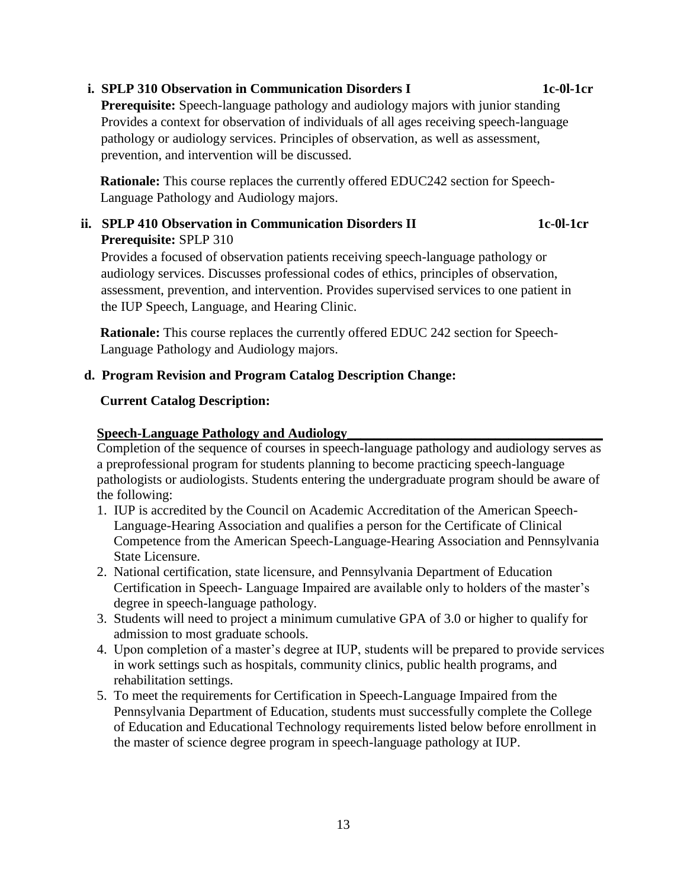# audiology services. Discusses professional codes of ethics, principles of observation,

 assessment, prevention, and intervention. Provides supervised services to one patient in the IUP Speech, Language, and Hearing Clinic.

Provides a focused of observation patients receiving speech-language pathology or

**Rationale:** This course replaces the currently offered EDUC 242 section for Speech-Language Pathology and Audiology majors.

#### **d. Program Revision and Program Catalog Description Change:**

#### **Current Catalog Description:**

 **Prerequisite:** SPLP 310

#### **Speech-Language Pathology and Audiology\_\_\_\_\_\_\_\_\_\_\_\_\_\_\_\_\_\_\_\_\_\_\_\_\_\_\_\_\_\_\_\_\_\_\_\_\_\_**

Language Pathology and Audiology majors.

Completion of the sequence of courses in speech-language pathology and audiology serves as a preprofessional program for students planning to become practicing speech-language pathologists or audiologists. Students entering the undergraduate program should be aware of the following:

- 1. IUP is accredited by the Council on Academic Accreditation of the American Speech- Language-Hearing Association and qualifies a person for the Certificate of Clinical Competence from the American Speech-Language-Hearing Association and Pennsylvania State Licensure.
- 2. National certification, state licensure, and Pennsylvania Department of Education Certification in Speech- Language Impaired are available only to holders of the master's degree in speech-language pathology.
- 3. Students will need to project a minimum cumulative GPA of 3.0 or higher to qualify for admission to most graduate schools.
- 4. Upon completion of a master's degree at IUP, students will be prepared to provide services in work settings such as hospitals, community clinics, public health programs, and rehabilitation settings.
- 5. To meet the requirements for Certification in Speech-Language Impaired from the Pennsylvania Department of Education, students must successfully complete the College of Education and Educational Technology requirements listed below before enrollment in the master of science degree program in speech-language pathology at IUP.

#### **i. SPLP 310 Observation in Communication Disorders I 1c-0l-1cr**

 **Prerequisite:** Speech-language pathology and audiology majors with junior standing Provides a context for observation of individuals of all ages receiving speech-language pathology or audiology services. Principles of observation, as well as assessment, prevention, and intervention will be discussed.

**Rationale:** This course replaces the currently offered EDUC242 section for Speech-

ii. **SPLP 410** Observation in Communication Disorders II 1c-0l-1cr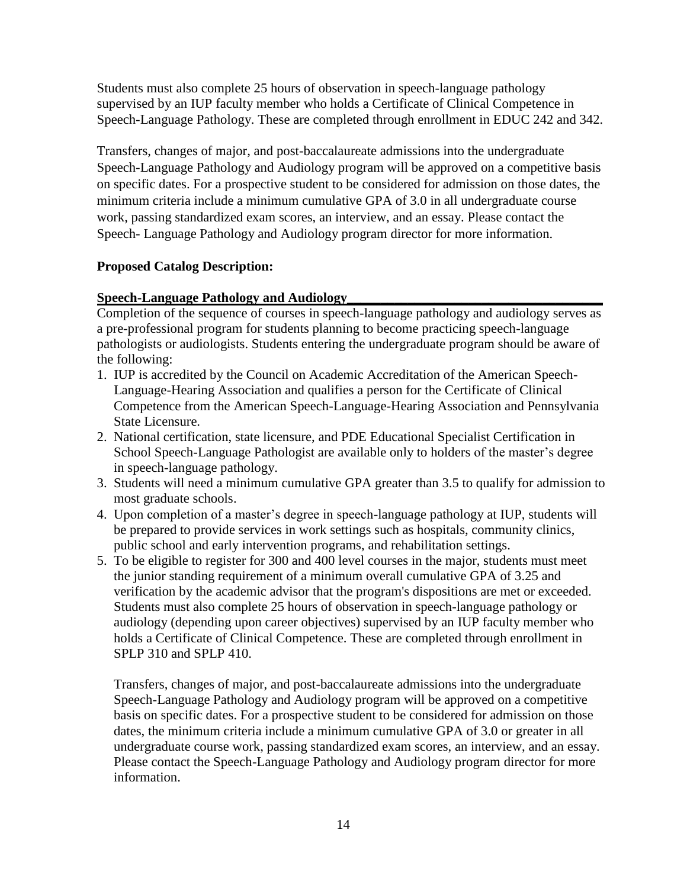Students must also complete 25 hours of observation in speech-language pathology supervised by an IUP faculty member who holds a Certificate of Clinical Competence in Speech-Language Pathology. These are completed through enrollment in EDUC 242 and 342.

Transfers, changes of major, and post-baccalaureate admissions into the undergraduate Speech-Language Pathology and Audiology program will be approved on a competitive basis on specific dates. For a prospective student to be considered for admission on those dates, the minimum criteria include a minimum cumulative GPA of 3.0 in all undergraduate course work, passing standardized exam scores, an interview, and an essay. Please contact the Speech- Language Pathology and Audiology program director for more information.

## **Proposed Catalog Description:**

#### **Speech-Language Pathology and Audiology\_\_\_\_\_\_\_\_\_\_\_\_\_\_\_\_\_\_\_\_\_\_\_\_\_\_\_\_\_\_\_\_\_\_\_\_\_\_**

Completion of the sequence of courses in speech-language pathology and audiology serves as a pre-professional program for students planning to become practicing speech-language pathologists or audiologists. Students entering the undergraduate program should be aware of the following:

- 1. IUP is accredited by the Council on Academic Accreditation of the American Speech- Language-Hearing Association and qualifies a person for the Certificate of Clinical Competence from the American Speech-Language-Hearing Association and Pennsylvania State Licensure.
- 2. National certification, state licensure, and PDE Educational Specialist Certification in School Speech-Language Pathologist are available only to holders of the master's degree in speech-language pathology.
- 3. Students will need a minimum cumulative GPA greater than 3.5 to qualify for admission to most graduate schools.
- 4. Upon completion of a master's degree in speech-language pathology at IUP, students will be prepared to provide services in work settings such as hospitals, community clinics, public school and early intervention programs, and rehabilitation settings.
- 5. To be eligible to register for 300 and 400 level courses in the major, students must meet the junior standing requirement of a minimum overall cumulative GPA of 3.25 and verification by the academic advisor that the program's dispositions are met or exceeded. Students must also complete 25 hours of observation in speech-language pathology or audiology (depending upon career objectives) supervised by an IUP faculty member who holds a Certificate of Clinical Competence. These are completed through enrollment in SPLP 310 and SPLP 410.

 Transfers, changes of major, and post-baccalaureate admissions into the undergraduate Speech-Language Pathology and Audiology program will be approved on a competitive basis on specific dates. For a prospective student to be considered for admission on those dates, the minimum criteria include a minimum cumulative GPA of 3.0 or greater in all undergraduate course work, passing standardized exam scores, an interview, and an essay. Please contact the Speech-Language Pathology and Audiology program director for more information.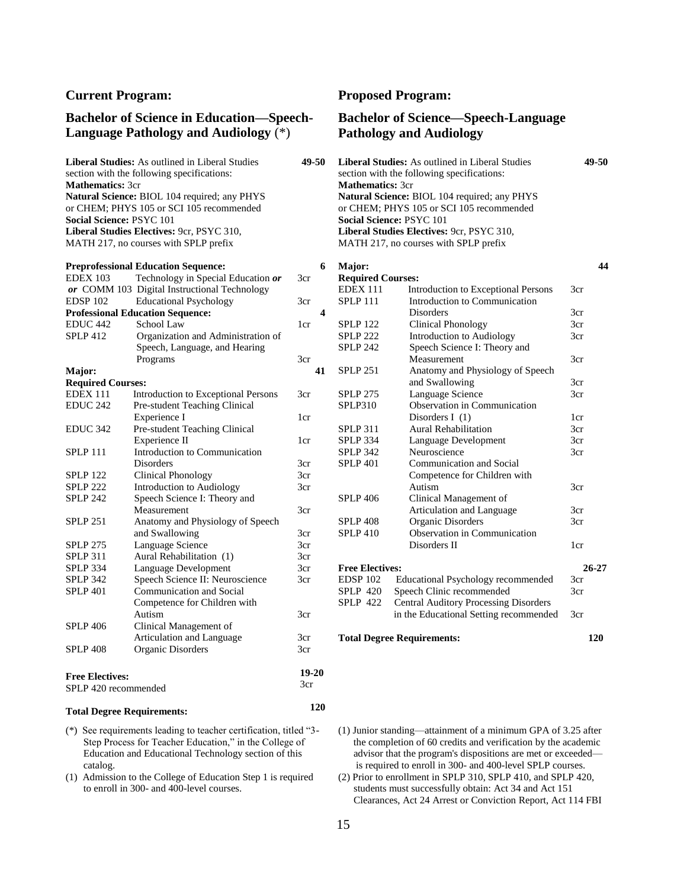#### **Bachelor of Science in Education—Speech-Language Pathology and Audiology** (\*)

**Liberal Studies:** As outlined in Liberal Studies **49-50** section with the following specifications: **Mathematics:** 3cr **Natural Science:** BIOL 104 required; any PHYS or CHEM; PHYS 105 or SCI 105 recommended **Social Science:** PSYC 101 **Liberal Studies Electives:** 9cr, PSYC 310, MATH 217, no courses with SPLP prefix

|                          | <b>Preprofessional Education Sequence:</b>   |                 | 6  |
|--------------------------|----------------------------------------------|-----------------|----|
| <b>EDEX 103</b>          | Technology in Special Education or           | 3 <sub>cr</sub> |    |
|                          | or COMM 103 Digital Instructional Technology |                 |    |
| EDSP <sub>102</sub>      | <b>Educational Psychology</b>                | 3cr             |    |
|                          | <b>Professional Education Sequence:</b>      |                 | 4  |
| <b>EDUC 442</b>          | School Law                                   | 1cr             |    |
| <b>SPLP 412</b>          | Organization and Administration of           |                 |    |
|                          | Speech, Language, and Hearing                |                 |    |
|                          | Programs                                     | 3cr             |    |
| Major:                   |                                              |                 | 41 |
| <b>Required Courses:</b> |                                              |                 |    |
| <b>EDEX 111</b>          | Introduction to Exceptional Persons          | 3cr             |    |
| <b>EDUC 242</b>          | Pre-student Teaching Clinical                |                 |    |
|                          | Experience I                                 | 1 <sub>cr</sub> |    |
| <b>EDUC 342</b>          | Pre-student Teaching Clinical                |                 |    |
|                          | Experience II                                | 1 <sub>cr</sub> |    |
| <b>SPLP 111</b>          | Introduction to Communication                |                 |    |
|                          | Disorders                                    | 3cr             |    |
| <b>SPLP 122</b>          | <b>Clinical Phonology</b>                    | 3cr             |    |
| <b>SPLP 222</b>          | <b>Introduction to Audiology</b>             | 3cr             |    |
| <b>SPLP 242</b>          | Speech Science I: Theory and                 |                 |    |
|                          | Measurement                                  | 3cr             |    |
| <b>SPLP 251</b>          | Anatomy and Physiology of Speech             |                 |    |
|                          | and Swallowing                               | 3cr             |    |
| <b>SPLP 275</b>          | Language Science                             | 3cr             |    |
| <b>SPLP 311</b>          | Aural Rehabilitation (1)                     | 3cr             |    |
| <b>SPLP 334</b>          | Language Development                         | 3cr             |    |
| <b>SPLP 342</b>          | Speech Science II: Neuroscience              | 3cr             |    |
| <b>SPLP 401</b>          | Communication and Social                     |                 |    |
|                          | Competence for Children with                 |                 |    |
|                          | Autism                                       | 3cr             |    |
| <b>SPLP 406</b>          | Clinical Management of                       |                 |    |
|                          | Articulation and Language                    | 3cr             |    |
| <b>SPLP 408</b>          | Organic Disorders                            | 3cr             |    |
| <b>Free Electives:</b>   |                                              | 19-20           |    |
| $CDI$ D $AO$ $$          | $-1 - 1$                                     | 3cr             |    |

# SPLP 420 recommended

#### **Total Degree Requirements:**

- (\*) See requirements leading to teacher certification, titled "3- Step Process for Teacher Education," in the College of Education and Educational Technology section of this catalog.
- (1) Admission to the College of Education Step 1 is required to enroll in 300- and 400-level courses.

#### **Current Program: Proposed Program:**

#### **Bachelor of Science—Speech-Language Pathology and Audiology**

| <b>Liberal Studies:</b> As outlined in Liberal Studies | 49.50 |
|--------------------------------------------------------|-------|
| section with the following specifications:             |       |
| <b>Mathematics: 3cr</b>                                |       |
| <b>Natural Science: BIOL 104 required; any PHYS</b>    |       |
| or CHEM; PHYS 105 or SCI 105 recommended               |       |
| <b>Social Science: PSYC 101</b>                        |       |
| <b>Liberal Studies Electives: 9cr, PSYC 310,</b>       |       |
| MATH 217, no courses with SPLP prefix                  |       |
|                                                        |       |
|                                                        |       |

| 6  | Major:                   |                                              | 44              |
|----|--------------------------|----------------------------------------------|-----------------|
|    | <b>Required Courses:</b> |                                              |                 |
|    | <b>EDEX 111</b>          | <b>Introduction to Exceptional Persons</b>   | 3cr             |
|    | <b>SPLP 111</b>          | Introduction to Communication                |                 |
| 4  |                          | <b>Disorders</b>                             | 3 <sub>cr</sub> |
|    | <b>SPLP 122</b>          | <b>Clinical Phonology</b>                    | 3 <sub>cr</sub> |
|    | <b>SPLP 222</b>          | <b>Introduction to Audiology</b>             | 3 <sub>cr</sub> |
|    | <b>SPLP 242</b>          | Speech Science I: Theory and                 |                 |
|    |                          | Measurement                                  | 3 <sub>cr</sub> |
| 41 | <b>SPLP 251</b>          | Anatomy and Physiology of Speech             |                 |
|    |                          | and Swallowing                               | 3cr             |
|    | <b>SPLP 275</b>          | Language Science                             | 3cr             |
|    | SPLP310                  | Observation in Communication                 |                 |
|    |                          | Disorders $I(1)$                             | 1 <sub>cr</sub> |
|    | <b>SPLP 311</b>          | <b>Aural Rehabilitation</b>                  | 3 <sub>cr</sub> |
|    | <b>SPLP 334</b>          | Language Development                         | 3cr             |
|    | <b>SPLP 342</b>          | Neuroscience                                 | 3cr             |
|    | <b>SPLP 401</b>          | Communication and Social                     |                 |
|    |                          | Competence for Children with                 |                 |
|    |                          | Autism                                       | 3cr             |
|    | <b>SPLP 406</b>          | Clinical Management of                       |                 |
|    |                          | Articulation and Language                    | 3 <sub>cr</sub> |
|    | <b>SPLP 408</b>          | Organic Disorders                            | 3 <sub>cr</sub> |
|    | <b>SPLP 410</b>          | Observation in Communication                 |                 |
|    |                          | Disorders II                                 | 1cr             |
|    | <b>Free Electives:</b>   |                                              | $26 - 27$       |
|    | <b>EDSP 102</b>          | <b>Educational Psychology recommended</b>    | 3 <sub>cr</sub> |
|    | <b>SPLP 420</b>          | Speech Clinic recommended                    | 3cr             |
|    | <b>SPLP 422</b>          | <b>Central Auditory Processing Disorders</b> |                 |
|    |                          | in the Educational Setting recommended       | 3cr             |
|    |                          | <b>Total Degree Requirements:</b>            | 120             |

- (1) Junior standing—attainment of a minimum GPA of 3.25 after the completion of 60 credits and verification by the academic advisor that the program's dispositions are met or exceeded is required to enroll in 300- and 400-level SPLP courses.
- (2) Prior to enrollment in SPLP 310, SPLP 410, and SPLP 420, students must successfully obtain: Act 34 and Act 151 Clearances, Act 24 Arrest or Conviction Report, Act 114 FBI

 **120**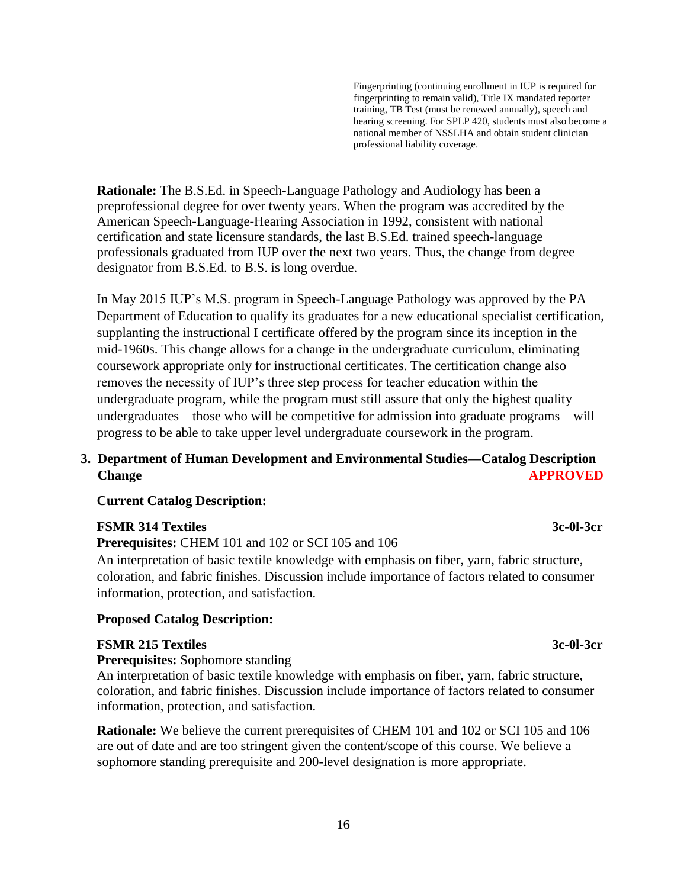Fingerprinting (continuing enrollment in IUP is required for fingerprinting to remain valid), Title IX mandated reporter training, TB Test (must be renewed annually), speech and hearing screening. For SPLP 420, students must also become a national member of NSSLHA and obtain student clinician professional liability coverage.

**Rationale:** The B.S.Ed. in Speech-Language Pathology and Audiology has been a preprofessional degree for over twenty years. When the program was accredited by the American Speech-Language-Hearing Association in 1992, consistent with national certification and state licensure standards, the last B.S.Ed. trained speech-language professionals graduated from IUP over the next two years. Thus, the change from degree designator from B.S.Ed. to B.S. is long overdue.

In May 2015 IUP's M.S. program in Speech-Language Pathology was approved by the PA Department of Education to qualify its graduates for a new educational specialist certification, supplanting the instructional I certificate offered by the program since its inception in the mid-1960s. This change allows for a change in the undergraduate curriculum, eliminating coursework appropriate only for instructional certificates. The certification change also removes the necessity of IUP's three step process for teacher education within the undergraduate program, while the program must still assure that only the highest quality undergraduates—those who will be competitive for admission into graduate programs—will progress to be able to take upper level undergraduate coursework in the program.

# **3. Department of Human Development and Environmental Studies—Catalog Description Change APPROVED**

## **Current Catalog Description:**

#### **FSMR 314 Textiles** 3c-0l-3cr **3c-0l-3cr**

**Prerequisites:** CHEM 101 and 102 or SCI 105 and 106

An interpretation of basic textile knowledge with emphasis on fiber, yarn, fabric structure, coloration, and fabric finishes. Discussion include importance of factors related to consumer information, protection, and satisfaction.

#### **Proposed Catalog Description:**

#### **FSMR 215 Textiles** 3c-0l-3cr

**Prerequisites:** Sophomore standing

An interpretation of basic textile knowledge with emphasis on fiber, yarn, fabric structure, coloration, and fabric finishes. Discussion include importance of factors related to consumer information, protection, and satisfaction.

**Rationale:** We believe the current prerequisites of CHEM 101 and 102 or SCI 105 and 106 are out of date and are too stringent given the content/scope of this course. We believe a sophomore standing prerequisite and 200-level designation is more appropriate.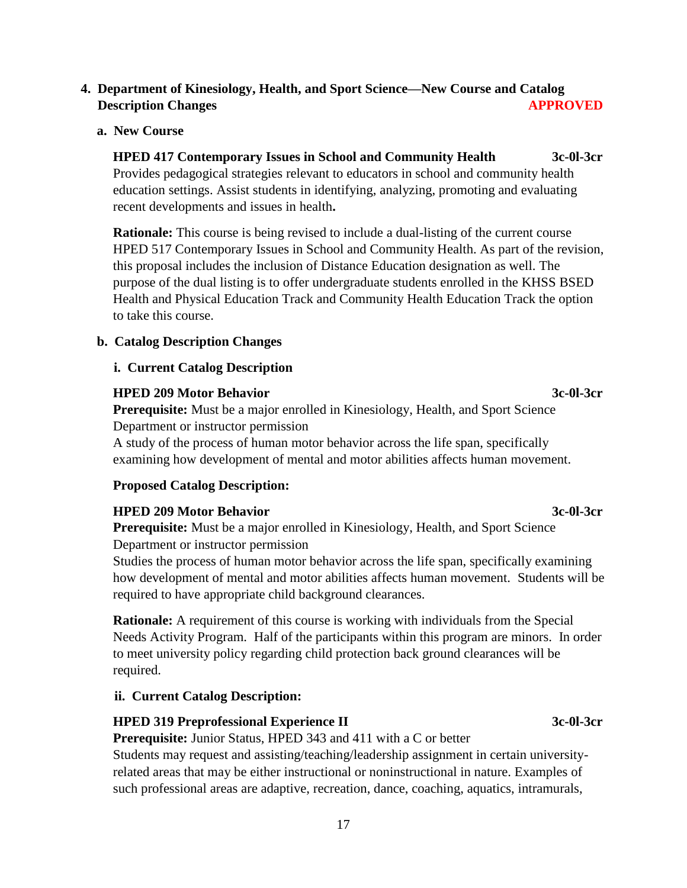# **4. Department of Kinesiology, Health, and Sport Science—New Course and Catalog Description Changes APPROVED**

#### **a. New Course**

**HPED 417 Contemporary Issues in School and Community Health 3c-0l-3cr** Provides pedagogical strategies relevant to educators in school and community health education settings. Assist students in identifying, analyzing, promoting and evaluating recent developments and issues in health**.**

**Rationale:** This course is being revised to include a dual-listing of the current course HPED 517 Contemporary Issues in School and Community Health. As part of the revision, this proposal includes the inclusion of Distance Education designation as well. The purpose of the dual listing is to offer undergraduate students enrolled in the KHSS BSED Health and Physical Education Track and Community Health Education Track the option to take this course.

#### **b. Catalog Description Changes**

#### **i. Current Catalog Description**

#### **HPED 209 Motor Behavior** 3c-0l-3cr

**Prerequisite:** Must be a major enrolled in Kinesiology, Health, and Sport Science Department or instructor permission

A study of the process of human motor behavior across the life span, specifically examining how development of mental and motor abilities affects human movement.

## **Proposed Catalog Description:**

## **HPED 209 Motor Behavior** 3c-0l-3cr

**Prerequisite:** Must be a major enrolled in Kinesiology, Health, and Sport Science Department or instructor permission

Studies the process of human motor behavior across the life span, specifically examining how development of mental and motor abilities affects human movement. Students will be required to have appropriate child background clearances.

**Rationale:** A requirement of this course is working with individuals from the Special Needs Activity Program. Half of the participants within this program are minors. In order to meet university policy regarding child protection back ground clearances will be required.

## **ii. Current Catalog Description:**

## **HPED 319 Preprofessional Experience II** 3c-0l-3cr

**Prerequisite:** Junior Status, HPED 343 and 411 with a C or better

Students may request and assisting/teaching/leadership assignment in certain universityrelated areas that may be either instructional or noninstructional in nature. Examples of such professional areas are adaptive, recreation, dance, coaching, aquatics, intramurals,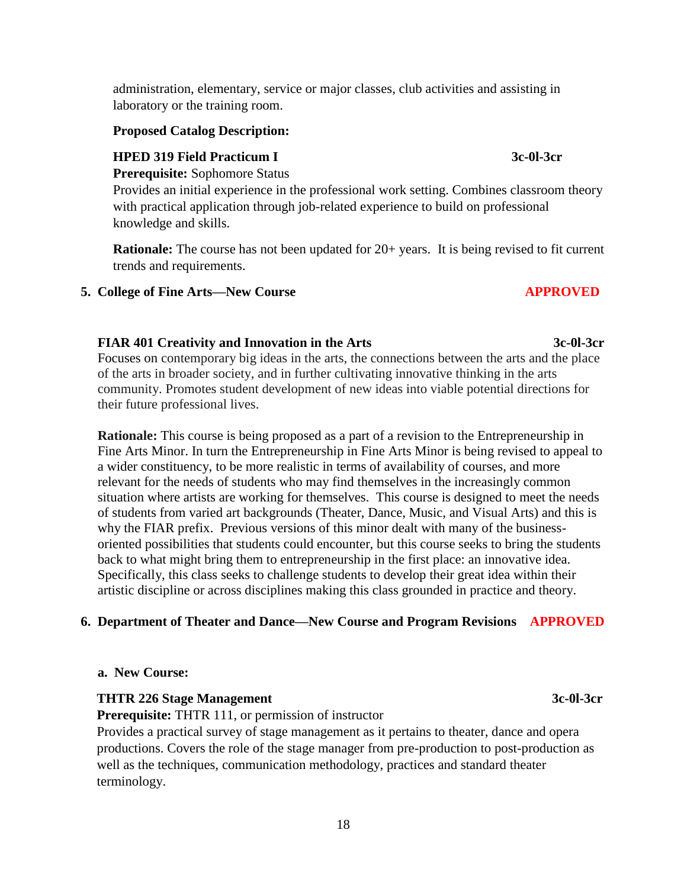administration, elementary, service or major classes, club activities and assisting in laboratory or the training room.

## **Proposed Catalog Description:**

## **HPED 319 Field Practicum I 3c-0l-3cr**

**Prerequisite:** Sophomore Status

Provides an initial experience in the professional work setting. Combines classroom theory with practical application through job-related experience to build on professional knowledge and skills.

**Rationale:** The course has not been updated for 20+ years. It is being revised to fit current trends and requirements.

#### **5. College of Fine Arts—New Course APPROVED**

# **FIAR 401 Creativity and Innovation in the Arts 3c-0l-3cr**

Focuses on contemporary big ideas in the arts, the connections between the arts and the place of the arts in broader society, and in further cultivating innovative thinking in the arts community. Promotes student development of new ideas into viable potential directions for their future professional lives.

 **Rationale:** This course is being proposed as a part of a revision to the Entrepreneurship in Fine Arts Minor. In turn the Entrepreneurship in Fine Arts Minor is being revised to appeal to a wider constituency, to be more realistic in terms of availability of courses, and more relevant for the needs of students who may find themselves in the increasingly common situation where artists are working for themselves. This course is designed to meet the needs of students from varied art backgrounds (Theater, Dance, Music, and Visual Arts) and this is why the FIAR prefix. Previous versions of this minor dealt with many of the business oriented possibilities that students could encounter, but this course seeks to bring the students back to what might bring them to entrepreneurship in the first place: an innovative idea. Specifically, this class seeks to challenge students to develop their great idea within their artistic discipline or across disciplines making this class grounded in practice and theory.

## **6. Department of Theater and Dance—New Course and Program Revisions APPROVED**

#### **a. New Course:**

#### **THTR 226 Stage Management** 3c-0l-3cr

**Prerequisite:** THTR 111, or permission of instructor

Provides a practical survey of stage management as it pertains to theater, dance and opera productions. Covers the role of the stage manager from pre-production to post-production as well as the techniques, communication methodology, practices and standard theater terminology.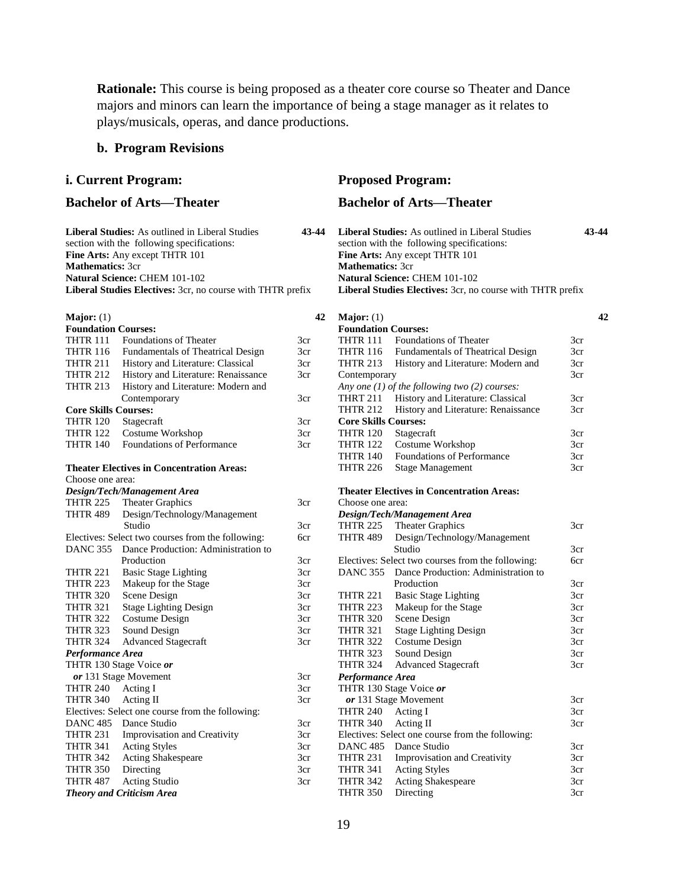**Rationale:** This course is being proposed as a theater core course so Theater and Dance majors and minors can learn the importance of being a stage manager as it relates to plays/musicals, operas, and dance productions.

#### **b. Program Revisions**

#### **i. Current Program: Proposed Program:**

**Liberal Studies:** As outlined in Liberal Studies **43-44** section with the following specifications: **Fine Arts:** Any except THTR 101 **Mathematics:** 3cr **Natural Science:** CHEM 101-102 **Liberal Studies Electives:** 3cr, no course with THTR prefix

#### **Major:** (1)

| <b>Foundation Courses:</b>  |                                                   |     |
|-----------------------------|---------------------------------------------------|-----|
| <b>THTR 111</b>             | Foundations of Theater                            | 3cr |
| <b>THTR 116</b>             | Fundamentals of Theatrical Design                 | 3cr |
| <b>THTR 211</b>             | History and Literature: Classical                 | 3cr |
| <b>THTR 212</b>             | History and Literature: Renaissance               | 3cr |
| <b>THTR 213</b>             | History and Literature: Modern and                |     |
|                             | Contemporary                                      | 3cr |
| <b>Core Skills Courses:</b> |                                                   |     |
| <b>THTR 120</b>             | Stagecraft                                        | 3cr |
| THTR 122                    | Costume Workshop                                  | 3cr |
| <b>THTR 140</b>             | <b>Foundations of Performance</b>                 | 3cr |
|                             | <b>Theater Electives in Concentration Areas:</b>  |     |
| Choose one area:            |                                                   |     |
|                             | <b>Design/Tech/Management Area</b>                |     |
| <b>THTR 225</b>             | Theater Graphics                                  | 3cr |
| THTR 489                    | Design/Technology/Management                      |     |
|                             | Studio                                            | 3cr |
|                             | Electives: Select two courses from the following: | бcг |
| <b>DANC 355</b>             | Dance Production: Administration to               |     |
|                             | Production                                        | 3cr |
| <b>THTR 221</b>             | <b>Basic Stage Lighting</b>                       | 3cr |
| <b>THTR 223</b>             | Makeup for the Stage                              | 3cr |
| <b>THTR 320</b>             | Scene Design                                      | 3cr |
| <b>THTR 321</b>             | <b>Stage Lighting Design</b>                      | 3cr |
| <b>THTR 322</b>             | Costume Design                                    | 3cr |
| <b>THTR 323</b>             | Sound Design                                      | 3cr |
| <b>THTR 324</b>             | <b>Advanced Stagecraft</b>                        | 3cr |
| Performance Area            |                                                   |     |
|                             | THTR 130 Stage Voice or                           |     |
|                             | or 131 Stage Movement                             | 3cr |
| <b>THTR 240</b>             | Acting I                                          | 3cr |
| <b>THTR 340</b>             | Acting II                                         | 3cr |
|                             | Electives: Select one course from the following:  |     |
| <b>DANC 485</b>             | Dance Studio                                      | 3cr |
| <b>THTR 231</b>             | <b>Improvisation and Creativity</b>               | 3cr |
| <b>THTR 341</b>             | <b>Acting Styles</b>                              | 3cr |
| <b>THTR 342</b>             | Acting Shakespeare                                | 3cr |
| <b>THTR 350</b>             | Directing                                         | 3cr |
| <b>THTR 487</b>             | Acting Studio                                     | 3cr |
|                             | <b>Theory and Criticism Area</b>                  |     |

#### **Bachelor of Arts—Theater Bachelor of Arts—Theater**

| <b>Liberal Studies:</b> As outlined in Liberal Studies            | 43-44 |
|-------------------------------------------------------------------|-------|
| section with the following specifications:                        |       |
| <b>Fine Arts:</b> Any except THTR 101                             |       |
| <b>Mathematics: 3cr</b>                                           |       |
| <b>Natural Science: CHEM 101-102</b>                              |       |
| <b>Liberal Studies Electives:</b> 3cr, no course with THTR prefix |       |
|                                                                   |       |

 **42**

| 42 | Major: $(1)$    |                                          |                                                                                                                                |
|----|-----------------|------------------------------------------|--------------------------------------------------------------------------------------------------------------------------------|
|    |                 |                                          |                                                                                                                                |
|    | <b>THTR 111</b> | <b>Foundations of Theater</b>            | 3cr                                                                                                                            |
|    | <b>THTR 116</b> | <b>Fundamentals of Theatrical Design</b> | 3cr                                                                                                                            |
|    | <b>THTR 213</b> | History and Literature: Modern and       | 3cr                                                                                                                            |
|    |                 |                                          | 3cr                                                                                                                            |
|    |                 |                                          |                                                                                                                                |
|    | <b>THRT 211</b> | History and Literature: Classical        | 3cr                                                                                                                            |
|    | <b>THTR 212</b> | History and Literature: Renaissance      | 3cr                                                                                                                            |
|    |                 |                                          |                                                                                                                                |
|    | <b>THTR 120</b> | Stagecraft                               | 3cr                                                                                                                            |
|    | <b>THTR 122</b> | Costume Workshop                         | 3cr                                                                                                                            |
|    | <b>THTR 140</b> | <b>Foundations of Performance</b>        | 3cr                                                                                                                            |
|    | <b>THTR 226</b> | <b>Stage Management</b>                  | 3cr                                                                                                                            |
|    |                 |                                          | <b>Foundation Courses:</b><br>Contemporary<br>Any one $(1)$ of the following two $(2)$ courses:<br><b>Core Skills Courses:</b> |

#### **Theater Electives in Concentration Areas:**

| Choose one area:                                 |                                                   |     |  |  |
|--------------------------------------------------|---------------------------------------------------|-----|--|--|
|                                                  | Design/Tech/Management Area                       |     |  |  |
|                                                  | THTR 225 Theater Graphics                         | 3cr |  |  |
| THTR 489                                         | Design/Technology/Management                      |     |  |  |
|                                                  | Studio                                            | 3cr |  |  |
|                                                  | Electives: Select two courses from the following: | 6cr |  |  |
|                                                  | DANC 355 Dance Production: Administration to      |     |  |  |
|                                                  | Production                                        | 3cr |  |  |
| <b>THTR 221</b>                                  | <b>Basic Stage Lighting</b>                       | 3cr |  |  |
| <b>THTR 223</b>                                  | Makeup for the Stage                              | 3cr |  |  |
| <b>THTR 320</b>                                  | Scene Design                                      | 3cr |  |  |
| THTR 321                                         | <b>Stage Lighting Design</b>                      | 3cr |  |  |
| THTR 322                                         | Costume Design                                    | 3cr |  |  |
| <b>THTR 323</b>                                  | Sound Design                                      | 3cr |  |  |
| THTR 324                                         | <b>Advanced Stagecraft</b>                        | 3cr |  |  |
| Performance Area                                 |                                                   |     |  |  |
|                                                  | THTR 130 Stage Voice or                           |     |  |  |
|                                                  | or 131 Stage Movement                             | 3cr |  |  |
| <b>THTR 240</b>                                  | Acting I                                          | 3cr |  |  |
| <b>THTR 340</b>                                  | Acting II                                         | 3cr |  |  |
| Electives: Select one course from the following: |                                                   |     |  |  |
|                                                  | DANC 485 Dance Studio                             | 3cr |  |  |
| THTR 231                                         | <b>Improvisation and Creativity</b>               | 3cr |  |  |
| <b>THTR 341</b>                                  | <b>Acting Styles</b>                              | 3cr |  |  |
| THTR 342                                         | <b>Acting Shakespeare</b>                         | 3cr |  |  |
| <b>THTR 350</b>                                  | Directing                                         | 3cr |  |  |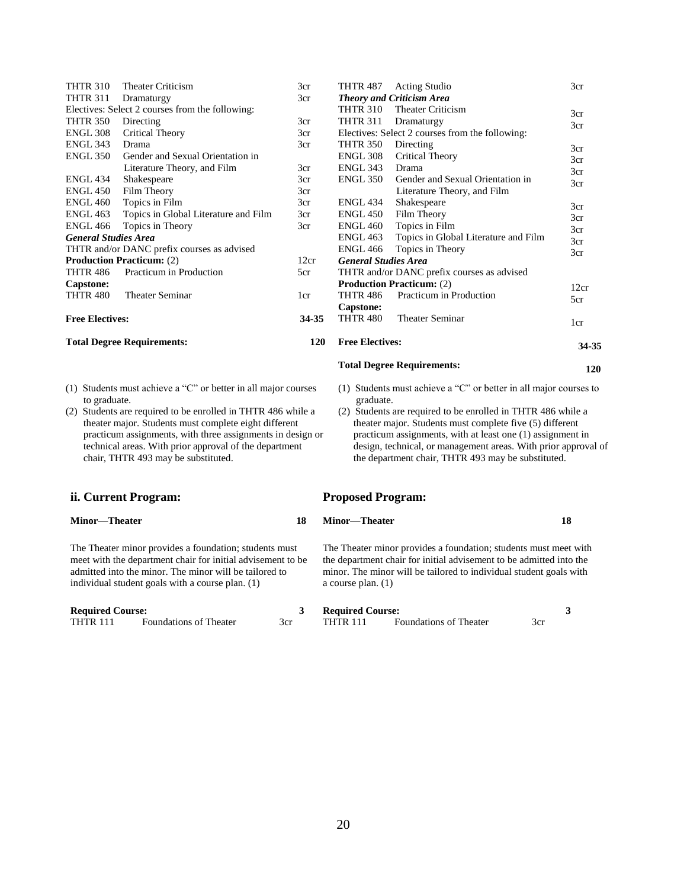| <b>THTR 310</b>                      | <b>Theater Criticism</b>                        | 3cr                              | <b>THTR 487</b>                  | <b>Acting Studio</b>                            | 3cr   |
|--------------------------------------|-------------------------------------------------|----------------------------------|----------------------------------|-------------------------------------------------|-------|
| <b>THTR 311</b><br>3cr<br>Dramaturgy |                                                 | <b>Theory and Criticism Area</b> |                                  |                                                 |       |
|                                      | Electives: Select 2 courses from the following: |                                  | <b>THTR 310</b>                  | <b>Theater Criticism</b>                        | 3cr   |
| <b>THTR 350</b>                      | Directing                                       | 3cr                              | <b>THTR 311</b>                  | Dramaturgy                                      | 3cr   |
| <b>ENGL 308</b>                      | Critical Theory                                 | 3cr                              |                                  | Electives: Select 2 courses from the following: |       |
| <b>ENGL 343</b>                      | Drama                                           | 3cr                              | <b>THTR 350</b>                  | Directing                                       | 3cr   |
| <b>ENGL 350</b>                      | Gender and Sexual Orientation in                |                                  | ENGL 308                         | Critical Theory                                 | 3cr   |
|                                      | Literature Theory, and Film                     | 3cr                              | ENGL 343                         | Drama                                           | 3cr   |
| <b>ENGL 434</b>                      | Shakespeare                                     | 3cr                              | ENGL 350                         | Gender and Sexual Orientation in                | 3cr   |
| <b>ENGL 450</b>                      | Film Theory                                     | 3cr                              |                                  | Literature Theory, and Film                     |       |
| <b>ENGL 460</b>                      | Topics in Film                                  | 3cr                              | <b>ENGL 434</b>                  | Shakespeare                                     | 3cr   |
| <b>ENGL 463</b>                      | Topics in Global Literature and Film            | 3cr                              | ENGL 450                         | Film Theory                                     | 3cr   |
| <b>ENGL 466</b>                      | Topics in Theory                                | 3cr                              | <b>ENGL 460</b>                  | Topics in Film                                  | 3cr   |
| <b>General Studies Area</b>          |                                                 |                                  | ENGL 463                         | Topics in Global Literature and Film            | 3cr   |
|                                      | THTR and/or DANC prefix courses as advised      |                                  | <b>ENGL 466</b>                  | Topics in Theory                                | 3cr   |
|                                      | <b>Production Practicum:</b> (2)                | 12cr                             | <b>General Studies Area</b>      |                                                 |       |
| <b>THTR 486</b>                      | Practicum in Production                         | 5cr                              |                                  | THTR and/or DANC prefix courses as advised      |       |
| Capstone:                            |                                                 |                                  | <b>Production Practicum: (2)</b> |                                                 | 12cr  |
| <b>THTR 480</b>                      | <b>Theater Seminar</b>                          | 1cr                              | <b>THTR 486</b>                  | Practicum in Production                         | 5cr   |
|                                      |                                                 |                                  | Capstone:                        |                                                 |       |
| <b>Free Electives:</b>               |                                                 | 34-35                            | <b>THTR 480</b>                  | <b>Theater Seminar</b>                          | 1cr   |
|                                      | <b>Total Degree Requirements:</b>               | <b>120</b>                       | <b>Free Electives:</b>           |                                                 | 34-35 |

- (1) Students must achieve a "C" or better in all major courses to graduate.
- (2) Students are required to be enrolled in THTR 486 while a theater major. Students must complete eight different practicum assignments, with three assignments in design or technical areas. With prior approval of the department chair, THTR 493 may be substituted.

#### **ii. Current Program: Proposed Program:**

#### **Minor—Theater 18**

The Theater minor provides a foundation; students must meet with the department chair for initial advisement to be admitted into the minor. The minor will be tailored to individual student goals with a course plan. (1)

**Required Course:** 3<br>THTR 111 Foundations of Theater 3cr Foundations of Theater 3cr

- (1) Students must achieve a "C" or better in all major courses to graduate.
- (2) Students are required to be enrolled in THTR 486 while a theater major. Students must complete five (5) different practicum assignments, with at least one (1) assignment in design, technical, or management areas. With prior approval of the department chair, THTR 493 may be substituted.

**Total Degree Requirements:** 

#### **Minor—Theater 18**

 **120**

The Theater minor provides a foundation; students must meet with the department chair for initial advisement to be admitted into the minor. The minor will be tailored to individual student goals with a course plan. (1)

#### **Required Course:** 3<br>THTR 111 Foundations of Theater 3cr Foundations of Theater 3cr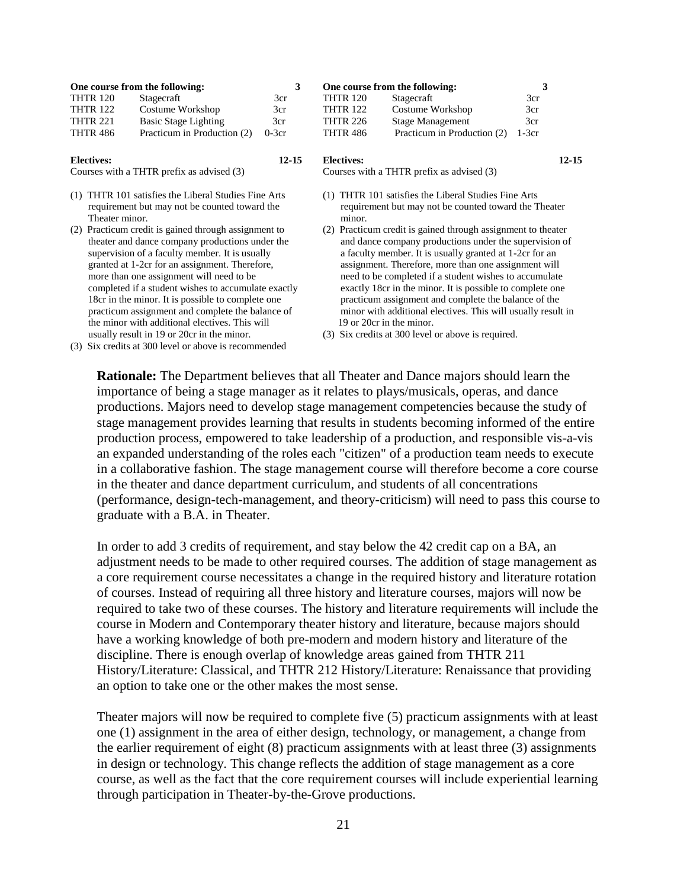| One course from the following: |                             |         | One course from the following: |                             |         |           |
|--------------------------------|-----------------------------|---------|--------------------------------|-----------------------------|---------|-----------|
| <b>THTR 120</b>                | Stagecraft                  | 3cr     | <b>THTR 120</b>                | Stagecraft                  | 3cr     |           |
| <b>THTR 122</b>                | Costume Workshop            | 3cr     | <b>THTR 122</b>                | Costume Workshop            | 3cr     |           |
| <b>THTR 221</b>                | Basic Stage Lighting        | 3cr     | <b>THTR 226</b>                | <b>Stage Management</b>     | 3cr     |           |
| <b>THTR 486</b>                | Practicum in Production (2) | $0-3cr$ | <b>THTR 486</b>                | Practicum in Production (2) | $1-3cr$ |           |
| <b>Electives:</b>              |                             | 12-15   | <b>Electives:</b>              |                             |         | $12 - 15$ |

Courses with a THTR prefix as advised (3)

- (1) THTR 101 satisfies the Liberal Studies Fine Arts requirement but may not be counted toward the Theater minor.
- (2) Practicum credit is gained through assignment to theater and dance company productions under the supervision of a faculty member. It is usually granted at 1-2cr for an assignment. Therefore, more than one assignment will need to be completed if a student wishes to accumulate exactly 18cr in the minor. It is possible to complete one practicum assignment and complete the balance of the minor with additional electives. This will usually result in 19 or 20cr in the minor.

Courses with a THTR prefix as advised (3)

- (1) THTR 101 satisfies the Liberal Studies Fine Arts requirement but may not be counted toward the Theater minor.
- (2) Practicum credit is gained through assignment to theater and dance company productions under the supervision of a faculty member. It is usually granted at 1-2cr for an assignment. Therefore, more than one assignment will need to be completed if a student wishes to accumulate exactly 18cr in the minor. It is possible to complete one practicum assignment and complete the balance of the minor with additional electives. This will usually result in 19 or 20cr in the minor.
- (3) Six credits at 300 level or above is required.

(3) Six credits at 300 level or above is recommended

**Rationale:** The Department believes that all Theater and Dance majors should learn the importance of being a stage manager as it relates to plays/musicals, operas, and dance productions. Majors need to develop stage management competencies because the study of stage management provides learning that results in students becoming informed of the entire production process, empowered to take leadership of a production, and responsible vis-a-vis an expanded understanding of the roles each "citizen" of a production team needs to execute in a collaborative fashion. The stage management course will therefore become a core course in the theater and dance department curriculum, and students of all concentrations (performance, design-tech-management, and theory-criticism) will need to pass this course to graduate with a B.A. in Theater.

In order to add 3 credits of requirement, and stay below the 42 credit cap on a BA, an adjustment needs to be made to other required courses. The addition of stage management as a core requirement course necessitates a change in the required history and literature rotation of courses. Instead of requiring all three history and literature courses, majors will now be required to take two of these courses. The history and literature requirements will include the course in Modern and Contemporary theater history and literature, because majors should have a working knowledge of both pre-modern and modern history and literature of the discipline. There is enough overlap of knowledge areas gained from THTR 211 History/Literature: Classical, and THTR 212 History/Literature: Renaissance that providing an option to take one or the other makes the most sense.

Theater majors will now be required to complete five (5) practicum assignments with at least one (1) assignment in the area of either design, technology, or management, a change from the earlier requirement of eight (8) practicum assignments with at least three (3) assignments in design or technology. This change reflects the addition of stage management as a core course, as well as the fact that the core requirement courses will include experiential learning through participation in Theater-by-the-Grove productions.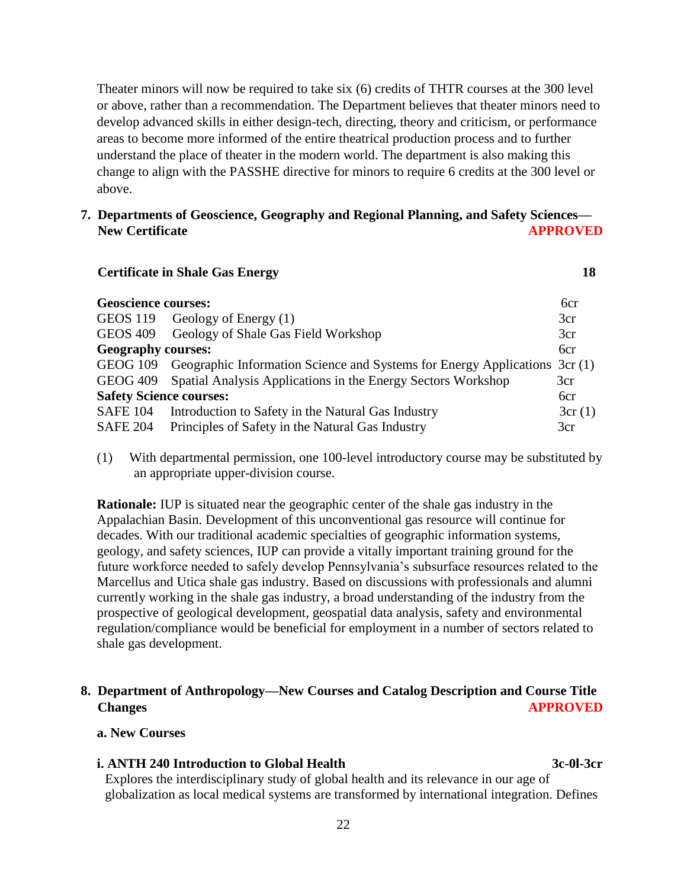Theater minors will now be required to take six (6) credits of THTR courses at the 300 level or above, rather than a recommendation. The Department believes that theater minors need to develop advanced skills in either design-tech, directing, theory and criticism, or performance areas to become more informed of the entire theatrical production process and to further understand the place of theater in the modern world. The department is also making this change to align with the PASSHE directive for minors to require 6 credits at the 300 level or above.

#### **7. Departments of Geoscience, Geography and Regional Planning, and Safety Sciences— New Certificate APPROVED**

*Certificate in Shale Gas Energy* **18** 

| <b>Geoscience courses:</b>     |                                                                                     | 6 <sub>cr</sub> |
|--------------------------------|-------------------------------------------------------------------------------------|-----------------|
|                                | GEOS 119 Geology of Energy (1)                                                      | 3cr             |
| <b>GEOS 409</b>                | Geology of Shale Gas Field Workshop                                                 | 3cr             |
| <b>Geography courses:</b>      |                                                                                     | 6cr             |
|                                | GEOG 109 Geographic Information Science and Systems for Energy Applications 3cr (1) |                 |
|                                | GEOG 409 Spatial Analysis Applications in the Energy Sectors Workshop               | 3cr             |
| <b>Safety Science courses:</b> |                                                                                     | 6cr             |
| <b>SAFE 104</b>                | Introduction to Safety in the Natural Gas Industry                                  | 3cr(1)          |
| <b>SAFE 204</b>                | Principles of Safety in the Natural Gas Industry                                    | 3cr             |

(1) With departmental permission, one 100-level introductory course may be substituted by an appropriate upper-division course.

**Rationale:** IUP is situated near the geographic center of the shale gas industry in the Appalachian Basin. Development of this unconventional gas resource will continue for decades. With our traditional academic specialties of geographic information systems, geology, and safety sciences, IUP can provide a vitally important training ground for the future workforce needed to safely develop Pennsylvania's subsurface resources related to the Marcellus and Utica shale gas industry. Based on discussions with professionals and alumni currently working in the shale gas industry, a broad understanding of the industry from the prospective of geological development, geospatial data analysis, safety and environmental regulation/compliance would be beneficial for employment in a number of sectors related to shale gas development.

# **8. Department of Anthropology—New Courses and Catalog Description and Course Title Changes** APPROVED

#### **a. New Courses**

#### **i. ANTH 240 Introduction to Global Health 3c-0l-3cr**

Explores the interdisciplinary study of global health and its relevance in our age of globalization as local medical systems are transformed by international integration. Defines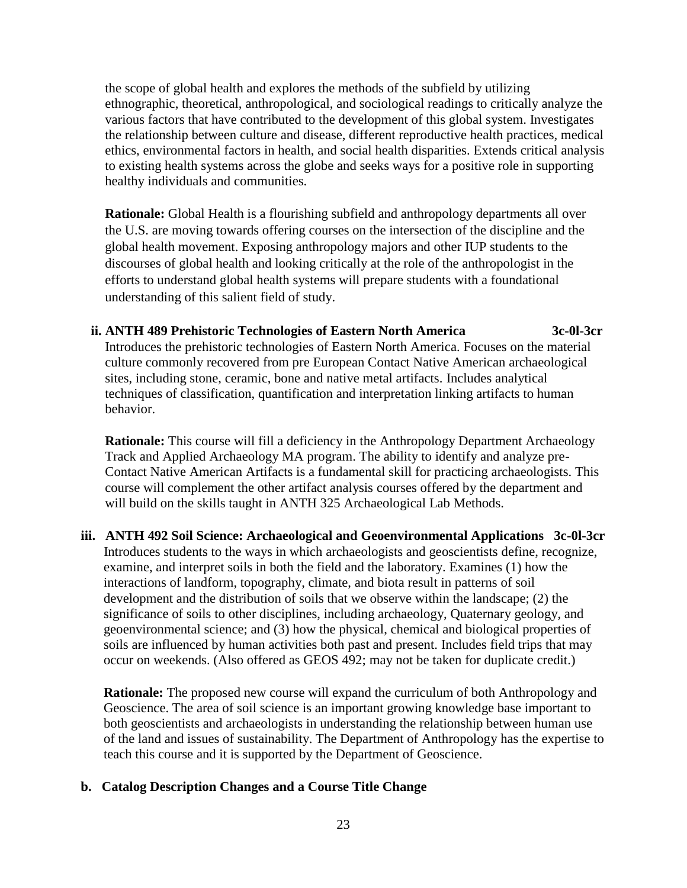the scope of global health and explores the methods of the subfield by utilizing ethnographic, theoretical, anthropological, and sociological readings to critically analyze the various factors that have contributed to the development of this global system. Investigates the relationship between culture and disease, different reproductive health practices, medical ethics, environmental factors in health, and social health disparities. Extends critical analysis to existing health systems across the globe and seeks ways for a positive role in supporting healthy individuals and communities.

**Rationale:** Global Health is a flourishing subfield and anthropology departments all over the U.S. are moving towards offering courses on the intersection of the discipline and the global health movement. Exposing anthropology majors and other IUP students to the discourses of global health and looking critically at the role of the anthropologist in the efforts to understand global health systems will prepare students with a foundational understanding of this salient field of study.

 **ii. ANTH 489 Prehistoric Technologies of Eastern North America 3c-0l-3cr** Introduces the prehistoric technologies of Eastern North America. Focuses on the material

culture commonly recovered from pre European Contact Native American archaeological sites, including stone, ceramic, bone and native metal artifacts. Includes analytical techniques of classification, quantification and interpretation linking artifacts to human behavior.

**Rationale:** This course will fill a deficiency in the Anthropology Department Archaeology Track and Applied Archaeology MA program. The ability to identify and analyze pre-Contact Native American Artifacts is a fundamental skill for practicing archaeologists. This course will complement the other artifact analysis courses offered by the department and will build on the skills taught in ANTH 325 Archaeological Lab Methods.

**iii. ANTH 492 Soil Science: Archaeological and Geoenvironmental Applications 3c-0l-3cr** Introduces students to the ways in which archaeologists and geoscientists define, recognize, examine, and interpret soils in both the field and the laboratory. Examines (1) how the interactions of landform, topography, climate, and biota result in patterns of soil development and the distribution of soils that we observe within the landscape; (2) the significance of soils to other disciplines, including archaeology, Quaternary geology, and geoenvironmental science; and (3) how the physical, chemical and biological properties of soils are influenced by human activities both past and present. Includes field trips that may occur on weekends. (Also offered as GEOS 492; may not be taken for duplicate credit.)

 **Rationale:** The proposed new course will expand the curriculum of both Anthropology and Geoscience. The area of soil science is an important growing knowledge base important to both geoscientists and archaeologists in understanding the relationship between human use of the land and issues of sustainability. The Department of Anthropology has the expertise to teach this course and it is supported by the Department of Geoscience.

## **b. Catalog Description Changes and a Course Title Change**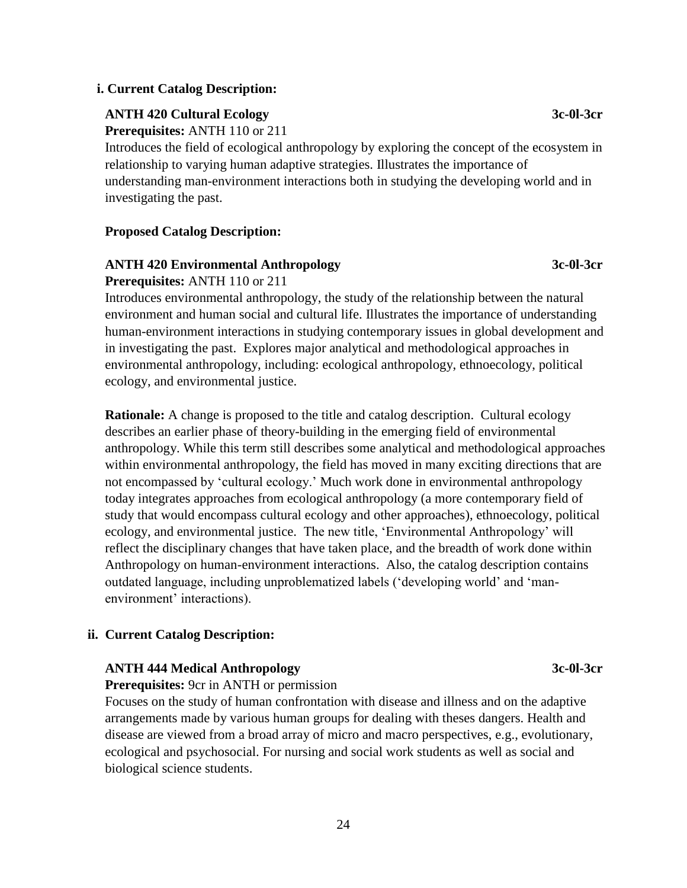#### **i. Current Catalog Description:**

#### **ANTH 420 Cultural Ecology 3c-0l-3cr**

**Prerequisites:** ANTH 110 or 211

Introduces the field of ecological anthropology by exploring the concept of the ecosystem in relationship to varying human adaptive strategies. Illustrates the importance of understanding man-environment interactions both in studying the developing world and in investigating the past.

#### **Proposed Catalog Description:**

**Prerequisites:** ANTH 110 or 211

#### **ANTH 420 Environmental Anthropology 3c-0l-3cr**

Introduces environmental anthropology, the study of the relationship between the natural environment and human social and cultural life. Illustrates the importance of understanding human-environment interactions in studying contemporary issues in global development and in investigating the past. Explores major analytical and methodological approaches in environmental anthropology, including: ecological anthropology, ethnoecology, political ecology, and environmental justice.

**Rationale:** A change is proposed to the title and catalog description. Cultural ecology describes an earlier phase of theory-building in the emerging field of environmental anthropology. While this term still describes some analytical and methodological approaches within environmental anthropology, the field has moved in many exciting directions that are not encompassed by 'cultural ecology.' Much work done in environmental anthropology today integrates approaches from ecological anthropology (a more contemporary field of study that would encompass cultural ecology and other approaches), ethnoecology, political ecology, and environmental justice. The new title, 'Environmental Anthropology' will reflect the disciplinary changes that have taken place, and the breadth of work done within Anthropology on human-environment interactions. Also, the catalog description contains outdated language, including unproblematized labels ('developing world' and 'manenvironment' interactions).

#### **ii. Current Catalog Description:**

#### **ANTH 444 Medical Anthropology 3c-0l-3cr**

**Prerequisites:** 9cr in ANTH or permission

Focuses on the study of human confrontation with disease and illness and on the adaptive arrangements made by various human groups for dealing with theses dangers. Health and disease are viewed from a broad array of micro and macro perspectives, e.g., evolutionary, ecological and psychosocial. For nursing and social work students as well as social and biological science students.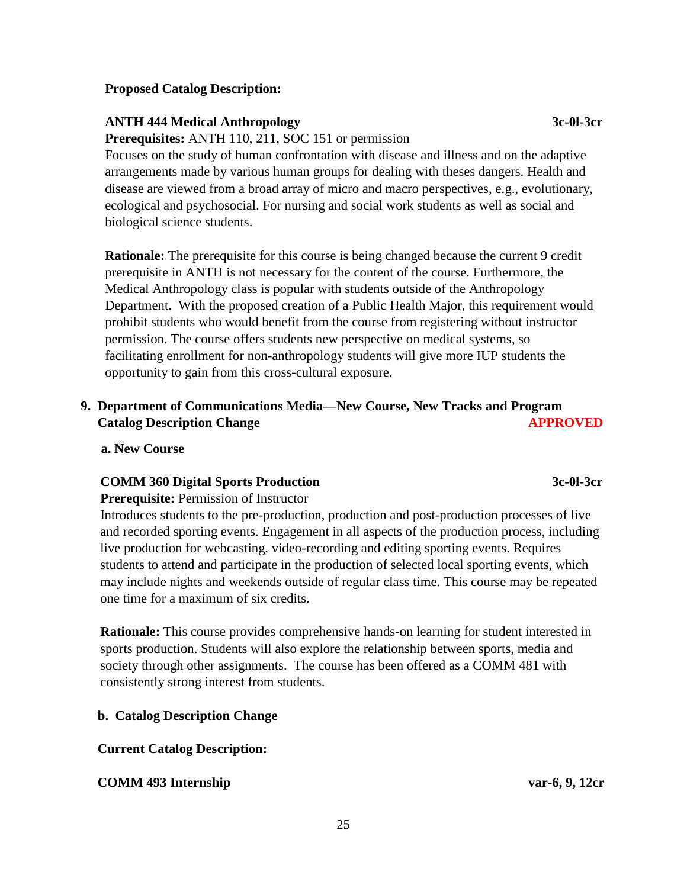#### **Proposed Catalog Description:**

#### **ANTH 444 Medical Anthropology 3c-0l-3cr**

**Prerequisites:** ANTH 110, 211, SOC 151 or permission

Focuses on the study of human confrontation with disease and illness and on the adaptive arrangements made by various human groups for dealing with theses dangers. Health and disease are viewed from a broad array of micro and macro perspectives, e.g., evolutionary, ecological and psychosocial. For nursing and social work students as well as social and biological science students.

**Rationale:** The prerequisite for this course is being changed because the current 9 credit prerequisite in ANTH is not necessary for the content of the course. Furthermore, the Medical Anthropology class is popular with students outside of the Anthropology Department. With the proposed creation of a Public Health Major, this requirement would prohibit students who would benefit from the course from registering without instructor permission. The course offers students new perspective on medical systems, so facilitating enrollment for non-anthropology students will give more IUP students the opportunity to gain from this cross-cultural exposure.

# **9. Department of Communications Media—New Course, New Tracks and Program Catalog Description Change APPROVED**

 **a. New Course**

## **COMM 360 Digital Sports Production 3c-0l-3cr**

#### **Prerequisite:** Permission of Instructor

Introduces students to the pre-production, production and post-production processes of live and recorded sporting events. Engagement in all aspects of the production process, including live production for webcasting, video-recording and editing sporting events. Requires students to attend and participate in the production of selected local sporting events, which may include nights and weekends outside of regular class time. This course may be repeated one time for a maximum of six credits.

**Rationale:** This course provides comprehensive hands-on learning for student interested in sports production. Students will also explore the relationship between sports, media and society through other assignments. The course has been offered as a COMM 481 with consistently strong interest from students.

## **b. Catalog Description Change**

## **Current Catalog Description:**

# **COMM 493 Internship var-6, 9, 12cr**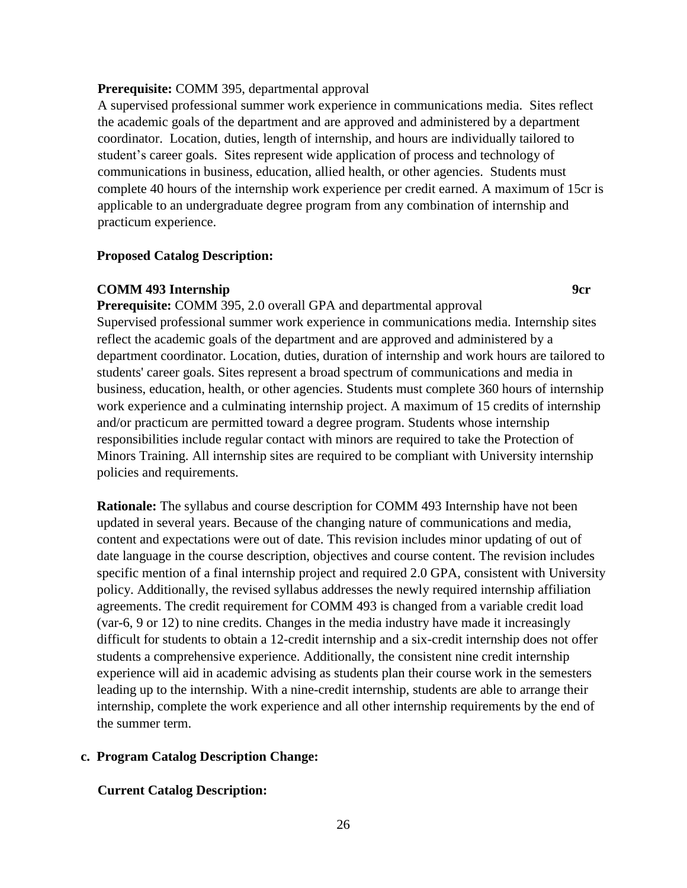#### **Prerequisite:** COMM 395, departmental approval

 A supervised professional summer work experience in communications media. Sites reflect the academic goals of the department and are approved and administered by a department coordinator. Location, duties, length of internship, and hours are individually tailored to student's career goals. Sites represent wide application of process and technology of communications in business, education, allied health, or other agencies. Students must complete 40 hours of the internship work experience per credit earned. A maximum of 15cr is applicable to an undergraduate degree program from any combination of internship and practicum experience.

#### **Proposed Catalog Description:**

#### **COMM 493 Internship 9cr**

**Prerequisite:** COMM 395, 2.0 overall GPA and departmental approval Supervised professional summer work experience in communications media. Internship sites reflect the academic goals of the department and are approved and administered by a department coordinator. Location, duties, duration of internship and work hours are tailored to students' career goals. Sites represent a broad spectrum of communications and media in business, education, health, or other agencies. Students must complete 360 hours of internship work experience and a culminating internship project. A maximum of 15 credits of internship and/or practicum are permitted toward a degree program. Students whose internship responsibilities include regular contact with minors are required to take the Protection of Minors Training. All internship sites are required to be compliant with University internship policies and requirements.

**Rationale:** The syllabus and course description for COMM 493 Internship have not been updated in several years. Because of the changing nature of communications and media, content and expectations were out of date. This revision includes minor updating of out of date language in the course description, objectives and course content. The revision includes specific mention of a final internship project and required 2.0 GPA, consistent with University policy. Additionally, the revised syllabus addresses the newly required internship affiliation agreements. The credit requirement for COMM 493 is changed from a variable credit load (var-6, 9 or 12) to nine credits. Changes in the media industry have made it increasingly difficult for students to obtain a 12-credit internship and a six-credit internship does not offer students a comprehensive experience. Additionally, the consistent nine credit internship experience will aid in academic advising as students plan their course work in the semesters leading up to the internship. With a nine-credit internship, students are able to arrange their internship, complete the work experience and all other internship requirements by the end of the summer term.

#### **c. Program Catalog Description Change:**

#### **Current Catalog Description:**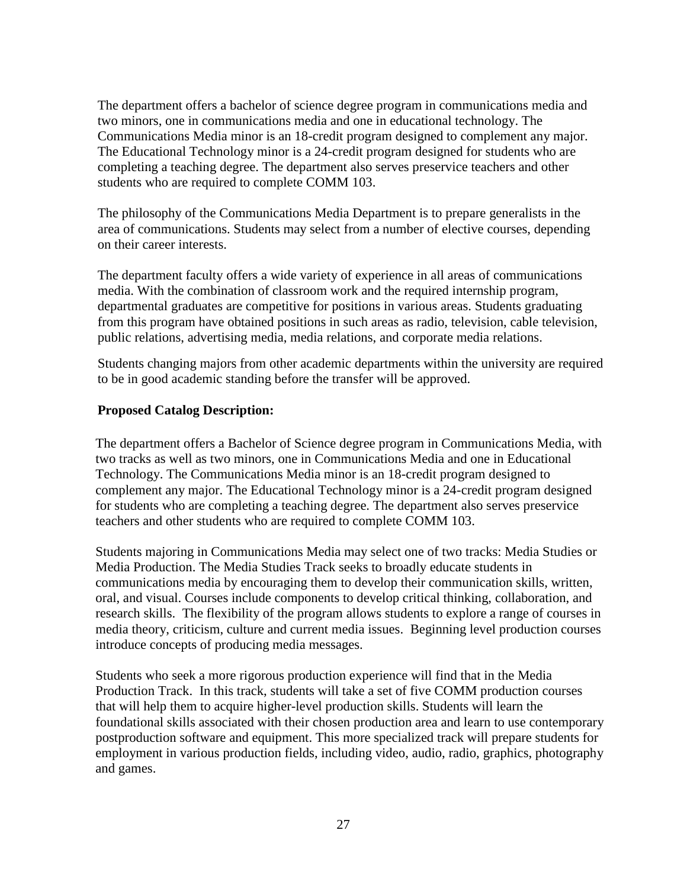The department offers a bachelor of science degree program in communications media and two minors, one in communications media and one in educational technology. The Communications Media minor is an 18-credit program designed to complement any major. The Educational Technology minor is a 24-credit program designed for students who are completing a teaching degree. The department also serves preservice teachers and other students who are required to complete COMM 103.

 The philosophy of the Communications Media Department is to prepare generalists in the area of communications. Students may select from a number of elective courses, depending on their career interests.

 The department faculty offers a wide variety of experience in all areas of communications media. With the combination of classroom work and the required internship program, departmental graduates are competitive for positions in various areas. Students graduating from this program have obtained positions in such areas as radio, television, cable television, public relations, advertising media, media relations, and corporate media relations.

 Students changing majors from other academic departments within the university are required to be in good academic standing before the transfer will be approved.

## **Proposed Catalog Description:**

The department offers a Bachelor of Science degree program in Communications Media, with two tracks as well as two minors, one in Communications Media and one in Educational Technology. The Communications Media minor is an 18-credit program designed to complement any major. The Educational Technology minor is a 24-credit program designed for students who are completing a teaching degree. The department also serves preservice teachers and other students who are required to complete COMM 103.

 Students majoring in Communications Media may select one of two tracks: Media Studies or Media Production. The Media Studies Track seeks to broadly educate students in communications media by encouraging them to develop their communication skills, written, oral, and visual. Courses include components to develop critical thinking, collaboration, and research skills. The flexibility of the program allows students to explore a range of courses in media theory, criticism, culture and current media issues. Beginning level production courses introduce concepts of producing media messages.

 Students who seek a more rigorous production experience will find that in the Media Production Track. In this track, students will take a set of five COMM production courses that will help them to acquire higher-level production skills. Students will learn the foundational skills associated with their chosen production area and learn to use contemporary postproduction software and equipment. This more specialized track will prepare students for employment in various production fields, including video, audio, radio, graphics, photography and games.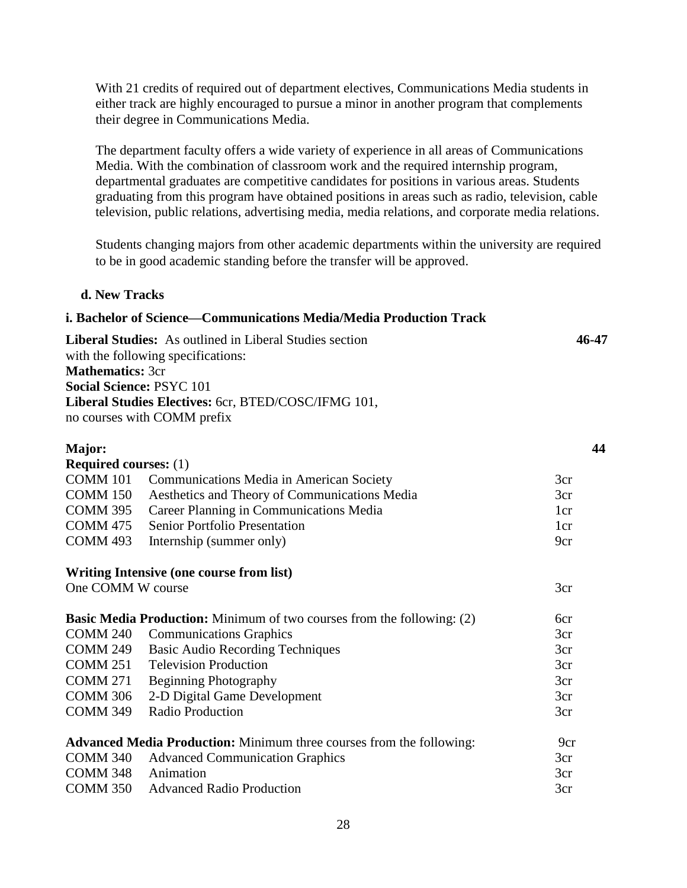With 21 credits of required out of department electives, Communications Media students in either track are highly encouraged to pursue a minor in another program that complements their degree in Communications Media.

 The department faculty offers a wide variety of experience in all areas of Communications Media. With the combination of classroom work and the required internship program, departmental graduates are competitive candidates for positions in various areas. Students graduating from this program have obtained positions in areas such as radio, television, cable television, public relations, advertising media, media relations, and corporate media relations.

 Students changing majors from other academic departments within the university are required to be in good academic standing before the transfer will be approved.

**44**

3cr 3cr

3cr

#### **d. New Tracks**

#### **i. Bachelor of Science—Communications Media/Media Production Track**

**Liberal Studies:** As outlined in Liberal Studies section **46-47** with the following specifications: **Mathematics:** 3cr **Social Science:** PSYC 101 **Liberal Studies Electives:** 6cr, BTED/COSC/IFMG 101, no courses with COMM prefix

#### **Major: Required courses:** (1) COMM 101 Communications Media in American Society COMM 150 Aesthetics and Theory of Communications Media COMM 395 Career Planning in Communications Media

| <b>COMM 395</b> Career Planning in Communications Media | 1cr             |
|---------------------------------------------------------|-----------------|
| <b>COMM 475</b> Senior Portfolio Presentation           | 1 <sub>cr</sub> |
| COMM 493 Internship (summer only)                       | 9cr             |
|                                                         |                 |

#### **Writing Intensive (one course from list)**

One COMM W course

| <b>Basic Media Production:</b> Minimum of two courses from the following: (2) |                                                                             | 6cr             |
|-------------------------------------------------------------------------------|-----------------------------------------------------------------------------|-----------------|
| COMM <sub>240</sub>                                                           | <b>Communications Graphics</b>                                              | 3cr             |
| <b>COMM 249</b>                                                               | <b>Basic Audio Recording Techniques</b>                                     | 3cr             |
| COMM 251                                                                      | <b>Television Production</b>                                                | 3cr             |
| <b>COMM 271</b>                                                               | <b>Beginning Photography</b>                                                | 3cr             |
| <b>COMM 306</b>                                                               | 2-D Digital Game Development                                                | 3cr             |
| <b>COMM 349</b>                                                               | <b>Radio Production</b>                                                     | 3cr             |
|                                                                               | <b>Advanced Media Production:</b> Minimum three courses from the following: | 9 <sub>cr</sub> |
| COMM <sub>340</sub>                                                           | <b>Advanced Communication Graphics</b>                                      | 3cr             |
| COMM <sub>348</sub>                                                           | Animation                                                                   | 3cr             |
| COMM 350                                                                      | <b>Advanced Radio Production</b>                                            | 3cr             |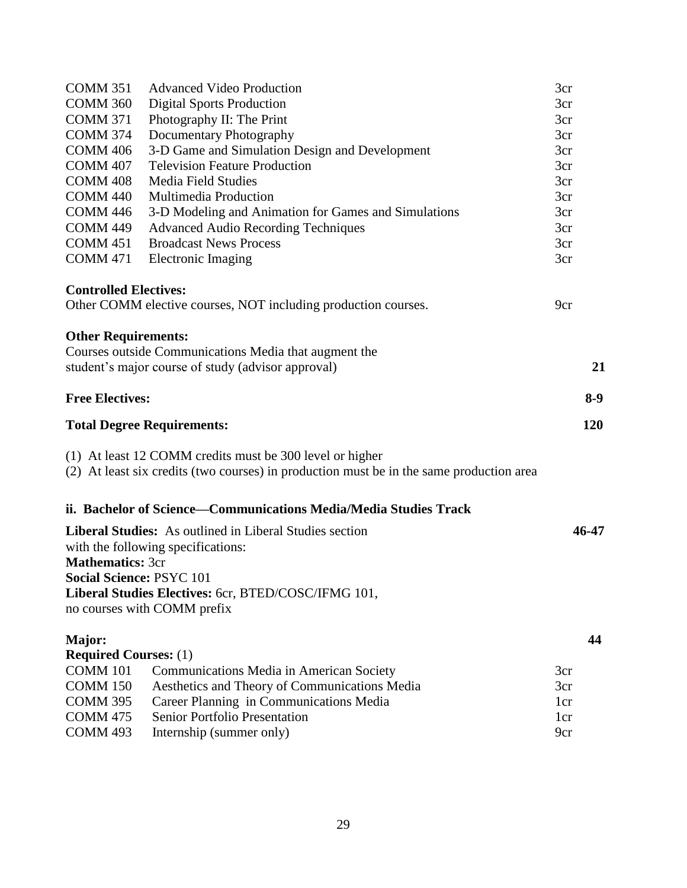| <b>COMM 351</b>                        | <b>Advanced Video Production</b>                                                         | 3cr             |
|----------------------------------------|------------------------------------------------------------------------------------------|-----------------|
| <b>COMM 360</b>                        | <b>Digital Sports Production</b>                                                         | 3cr             |
| <b>COMM 371</b>                        | Photography II: The Print                                                                | 3cr             |
| <b>COMM 374</b>                        | Documentary Photography                                                                  | 3cr             |
| <b>COMM 406</b>                        | 3-D Game and Simulation Design and Development                                           | 3cr             |
| <b>COMM 407</b>                        | <b>Television Feature Production</b>                                                     | 3cr             |
| <b>COMM 408</b>                        | <b>Media Field Studies</b>                                                               | 3cr             |
| <b>COMM 440</b>                        | Multimedia Production                                                                    | 3cr             |
| <b>COMM 446</b>                        | 3-D Modeling and Animation for Games and Simulations                                     | 3cr             |
| <b>COMM 449</b>                        | <b>Advanced Audio Recording Techniques</b>                                               | 3cr             |
| <b>COMM 451</b>                        | <b>Broadcast News Process</b>                                                            | 3cr             |
| <b>COMM 471</b>                        | <b>Electronic Imaging</b>                                                                | 3cr             |
| <b>Controlled Electives:</b>           |                                                                                          |                 |
|                                        | Other COMM elective courses, NOT including production courses.                           | 9 <sub>cr</sub> |
| <b>Other Requirements:</b>             |                                                                                          |                 |
|                                        | Courses outside Communications Media that augment the                                    |                 |
|                                        | student's major course of study (advisor approval)                                       | 21              |
| <b>Free Electives:</b>                 |                                                                                          | $8-9$           |
|                                        | <b>Total Degree Requirements:</b>                                                        | 120             |
|                                        | (1) At least 12 COMM credits must be 300 level or higher                                 |                 |
|                                        | (2) At least six credits (two courses) in production must be in the same production area |                 |
|                                        | ii. Bachelor of Science—Communications Media/Media Studies Track                         |                 |
|                                        | <b>Liberal Studies:</b> As outlined in Liberal Studies section                           | 46-47           |
|                                        | with the following specifications:                                                       |                 |
| <b>Mathematics: 3cr</b>                |                                                                                          |                 |
| <b>Social Science: PSYC 101</b>        |                                                                                          |                 |
|                                        | Liberal Studies Electives: 6cr, BTED/COSC/IFMG 101,                                      |                 |
|                                        | no courses with COMM prefix                                                              |                 |
|                                        |                                                                                          |                 |
|                                        |                                                                                          | 44              |
| Major:<br><b>Required Courses:</b> (1) |                                                                                          |                 |
| COMM 101                               | Communications Media in American Society                                                 | 3cr             |
| <b>COMM 150</b>                        | Aesthetics and Theory of Communications Media                                            | 3cr             |
| COMM <sub>395</sub>                    | Career Planning in Communications Media                                                  | 1 <sub>cr</sub> |
| <b>COMM 475</b><br>COMM 493            | <b>Senior Portfolio Presentation</b>                                                     | 1 <sub>cr</sub> |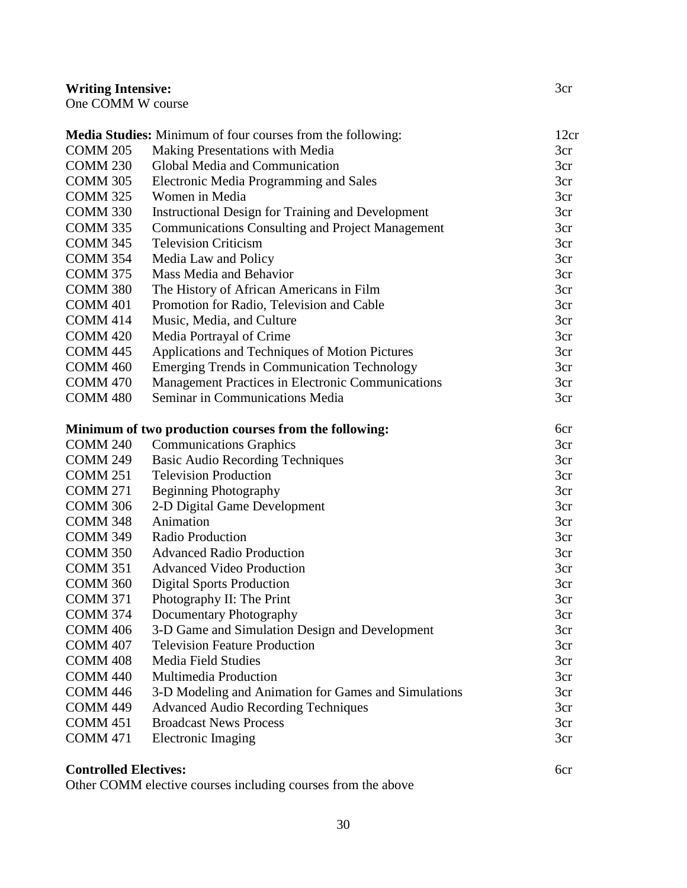# **Writing Intensive:**

|  | One COMM W course |  |  |
|--|-------------------|--|--|
|--|-------------------|--|--|

|                              | Media Studies: Minimum of four courses from the following: | 12cr |
|------------------------------|------------------------------------------------------------|------|
| <b>COMM 205</b>              | Making Presentations with Media                            | 3cr  |
| <b>COMM 230</b>              | Global Media and Communication                             | 3cr  |
| <b>COMM 305</b>              | <b>Electronic Media Programming and Sales</b>              | 3cr  |
| <b>COMM 325</b>              | Women in Media                                             | 3cr  |
| <b>COMM 330</b>              | <b>Instructional Design for Training and Development</b>   | 3cr  |
| <b>COMM 335</b>              | <b>Communications Consulting and Project Management</b>    | 3cr  |
| <b>COMM 345</b>              | <b>Television Criticism</b>                                | 3cr  |
| <b>COMM 354</b>              | Media Law and Policy                                       | 3cr  |
| <b>COMM 375</b>              | Mass Media and Behavior                                    | 3cr  |
| COMM <sub>380</sub>          | The History of African Americans in Film                   | 3cr  |
| <b>COMM 401</b>              | Promotion for Radio, Television and Cable                  | 3cr  |
| <b>COMM 414</b>              | Music, Media, and Culture                                  | 3cr  |
| <b>COMM 420</b>              | Media Portrayal of Crime                                   | 3cr  |
| <b>COMM 445</b>              | Applications and Techniques of Motion Pictures             | 3cr  |
| <b>COMM 460</b>              | <b>Emerging Trends in Communication Technology</b>         | 3cr  |
| <b>COMM 470</b>              | Management Practices in Electronic Communications          | 3cr  |
| <b>COMM 480</b>              | Seminar in Communications Media                            | 3cr  |
|                              |                                                            |      |
|                              | Minimum of two production courses from the following:      | 6cr  |
| <b>COMM 240</b>              | <b>Communications Graphics</b>                             | 3cr  |
| <b>COMM 249</b>              | <b>Basic Audio Recording Techniques</b>                    | 3cr  |
| <b>COMM 251</b>              | <b>Television Production</b>                               | 3cr  |
| <b>COMM 271</b>              | <b>Beginning Photography</b>                               | 3cr  |
| <b>COMM 306</b>              | 2-D Digital Game Development                               | 3cr  |
| COMM <sub>348</sub>          | Animation                                                  | 3cr  |
| <b>COMM 349</b>              | <b>Radio Production</b>                                    | 3cr  |
| <b>COMM 350</b>              | <b>Advanced Radio Production</b>                           | 3cr  |
| <b>COMM 351</b>              | <b>Advanced Video Production</b>                           | 3cr  |
| <b>COMM 360</b>              | <b>Digital Sports Production</b>                           | 3cr  |
| <b>COMM 371</b>              | Photography II: The Print                                  | 3cr  |
| <b>COMM 374</b>              | Documentary Photography                                    | 3cr  |
| COMM 406                     | 3-D Game and Simulation Design and Development             | 3cr  |
| <b>COMM 407</b>              | <b>Television Feature Production</b>                       | 3cr  |
| <b>COMM 408</b>              | <b>Media Field Studies</b>                                 | 3cr  |
| COMM <sub>440</sub>          | Multimedia Production                                      | 3cr  |
| <b>COMM 446</b>              | 3-D Modeling and Animation for Games and Simulations       | 3cr  |
| COMM 449                     | <b>Advanced Audio Recording Techniques</b>                 | 3cr  |
| COMM <sub>451</sub>          | <b>Broadcast News Process</b>                              | 3cr  |
| <b>COMM 471</b>              | <b>Electronic Imaging</b>                                  | 3cr  |
| <b>Controlled Electives:</b> |                                                            | 6cr  |
|                              |                                                            |      |

3cr

# **Controlled Electives:**

Other COMM elective courses including courses from the above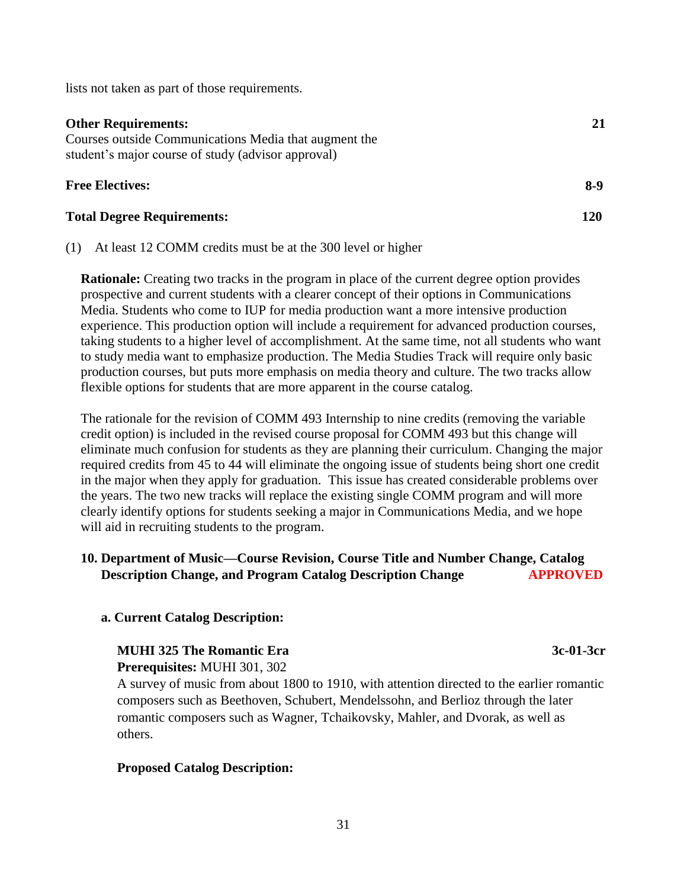lists not taken as part of those requirements.

| <b>Other Requirements:</b><br>Courses outside Communications Media that augment the<br>student's major course of study (advisor approval) |            |
|-------------------------------------------------------------------------------------------------------------------------------------------|------------|
| <b>Free Electives:</b>                                                                                                                    | 8-9        |
| <b>Total Degree Requirements:</b>                                                                                                         | <b>120</b> |

(1) At least 12 COMM credits must be at the 300 level or higher

**Rationale:** Creating two tracks in the program in place of the current degree option provides prospective and current students with a clearer concept of their options in Communications Media. Students who come to IUP for media production want a more intensive production experience. This production option will include a requirement for advanced production courses, taking students to a higher level of accomplishment. At the same time, not all students who want to study media want to emphasize production. The Media Studies Track will require only basic production courses, but puts more emphasis on media theory and culture. The two tracks allow flexible options for students that are more apparent in the course catalog.

The rationale for the revision of COMM 493 Internship to nine credits (removing the variable credit option) is included in the revised course proposal for COMM 493 but this change will eliminate much confusion for students as they are planning their curriculum. Changing the major required credits from 45 to 44 will eliminate the ongoing issue of students being short one credit in the major when they apply for graduation. This issue has created considerable problems over the years. The two new tracks will replace the existing single COMM program and will more clearly identify options for students seeking a major in Communications Media, and we hope will aid in recruiting students to the program.

## **10. Department of Music—Course Revision, Course Title and Number Change, Catalog Description Change, and Program Catalog Description Change APPROVED**

#### **a. Current Catalog Description:**

# **MUHI 325 The Romantic Era** 3c-01-3cr

 **Prerequisites:** MUHI 301, 302

 A survey of music from about 1800 to 1910, with attention directed to the earlier romantic composers such as Beethoven, Schubert, Mendelssohn, and Berlioz through the later romantic composers such as Wagner, Tchaikovsky, Mahler, and Dvorak, as well as others.

#### **Proposed Catalog Description:**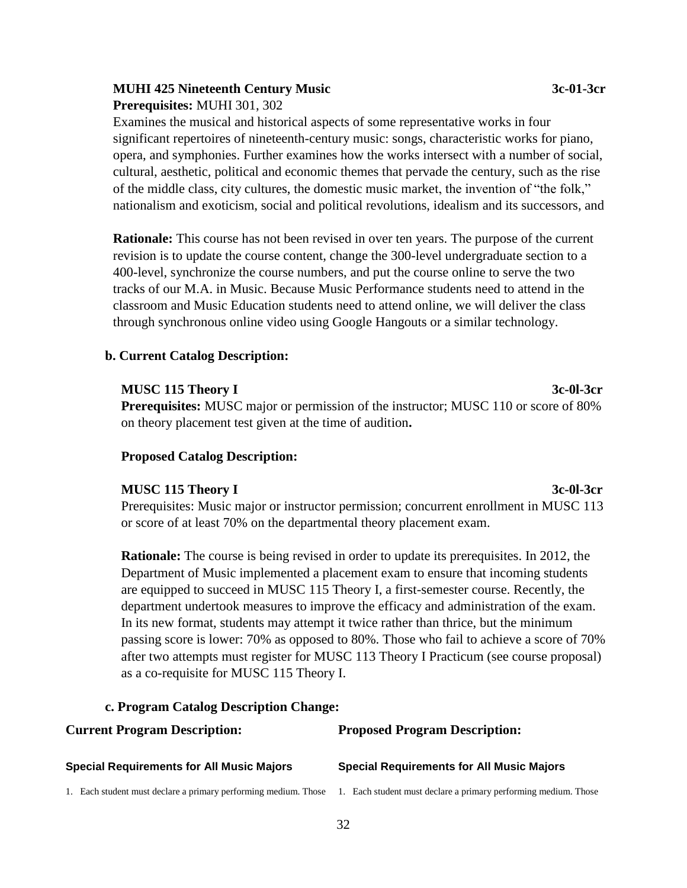# **MUHI 425 Nineteenth Century Music 3c-01-3cr**

**Prerequisites:** MUHI 301, 302

Examines the musical and historical aspects of some representative works in four significant repertoires of nineteenth-century music: songs, characteristic works for piano, opera, and symphonies. Further examines how the works intersect with a number of social, cultural, aesthetic, political and economic themes that pervade the century, such as the rise of the middle class, city cultures, the domestic music market, the invention of "the folk," nationalism and exoticism, social and political revolutions, idealism and its successors, and

**Rationale:** This course has not been revised in over ten years. The purpose of the current revision is to update the course content, change the 300-level undergraduate section to a 400-level, synchronize the course numbers, and put the course online to serve the two tracks of our M.A. in Music. Because Music Performance students need to attend in the classroom and Music Education students need to attend online, we will deliver the class through synchronous online video using Google Hangouts or a similar technology.

#### **b. Current Catalog Description:**

#### **MUSC 115 Theory I 3c-0l-3cr**  3c-0l-3cr

**Prerequisites:** MUSC major or permission of the instructor; MUSC 110 or score of 80% on theory placement test given at the time of audition**.**

## **Proposed Catalog Description:**

#### **MUSC 115 Theory I 3c-0l-3cr**

# Prerequisites: Music major or instructor permission; concurrent enrollment in MUSC 113 or score of at least 70% on the departmental theory placement exam.

**Rationale:** The course is being revised in order to update its prerequisites. In 2012, the Department of Music implemented a placement exam to ensure that incoming students are equipped to succeed in MUSC 115 Theory I, a first-semester course. Recently, the department undertook measures to improve the efficacy and administration of the exam. In its new format, students may attempt it twice rather than thrice, but the minimum passing score is lower: 70% as opposed to 80%. Those who fail to achieve a score of 70% after two attempts must register for MUSC 113 Theory I Practicum (see course proposal) as a co-requisite for MUSC 115 Theory I.

#### **c. Program Catalog Description Change:**

| <b>Current Program Description:</b>                             | <b>Proposed Program Description:</b>                            |  |
|-----------------------------------------------------------------|-----------------------------------------------------------------|--|
| <b>Special Requirements for All Music Majors</b>                | <b>Special Requirements for All Music Majors</b>                |  |
| 1. Each student must declare a primary performing medium. Those | 1. Each student must declare a primary performing medium. Those |  |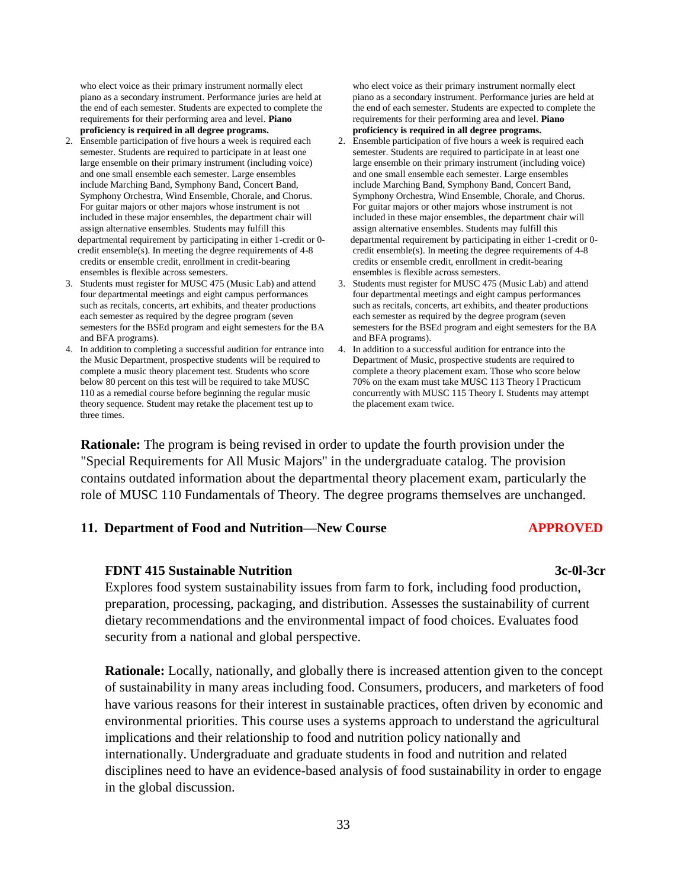who elect voice as their primary instrument normally elect piano as a secondary instrument. Performance juries are held at the end of each semester. Students are expected to complete the requirements for their performing area and level. **Piano proficiency is required in all degree programs.**

- 2. Ensemble participation of five hours a week is required each semester. Students are required to participate in at least one large ensemble on their primary instrument (including voice) and one small ensemble each semester. Large ensembles include Marching Band, Symphony Band, Concert Band, Symphony Orchestra, Wind Ensemble, Chorale, and Chorus. For guitar majors or other majors whose instrument is not included in these major ensembles, the department chair will assign alternative ensembles. Students may fulfill this departmental requirement by participating in either 1-credit or 0 credit ensemble(s). In meeting the degree requirements of 4-8 credits or ensemble credit, enrollment in credit-bearing ensembles is flexible across semesters.
- 3. Students must register for MUSC 475 (Music Lab) and attend four departmental meetings and eight campus performances such as recitals, concerts, art exhibits, and theater productions each semester as required by the degree program (seven semesters for the BSEd program and eight semesters for the BA and BFA programs).
- 4. In addition to completing a successful audition for entrance into the Music Department, prospective students will be required to complete a music theory placement test. Students who score below 80 percent on this test will be required to take MUSC 110 as a remedial course before beginning the regular music theory sequence. Student may retake the placement test up to three times.

 who elect voice as their primary instrument normally elect piano as a secondary instrument. Performance juries are held at the end of each semester. Students are expected to complete the requirements for their performing area and level. **Piano proficiency is required in all degree programs.**

- 2. Ensemble participation of five hours a week is required each semester. Students are required to participate in at least one large ensemble on their primary instrument (including voice) and one small ensemble each semester. Large ensembles include Marching Band, Symphony Band, Concert Band, Symphony Orchestra, Wind Ensemble, Chorale, and Chorus. For guitar majors or other majors whose instrument is not included in these major ensembles, the department chair will assign alternative ensembles. Students may fulfill this departmental requirement by participating in either 1-credit or 0 credit ensemble(s). In meeting the degree requirements of 4-8 credits or ensemble credit, enrollment in credit-bearing ensembles is flexible across semesters.
- 3. Students must register for MUSC 475 (Music Lab) and attend four departmental meetings and eight campus performances such as recitals, concerts, art exhibits, and theater productions each semester as required by the degree program (seven semesters for the BSEd program and eight semesters for the BA and BFA programs).
- 4. In addition to a successful audition for entrance into the Department of Music, prospective students are required to complete a theory placement exam. Those who score below 70% on the exam must take MUSC 113 Theory I Practicum concurrently with MUSC 115 Theory I. Students may attempt the placement exam twice.

**Rationale:** The program is being revised in order to update the fourth provision under the "Special Requirements for All Music Majors" in the undergraduate catalog. The provision contains outdated information about the departmental theory placement exam, particularly the role of MUSC 110 Fundamentals of Theory. The degree programs themselves are unchanged.

#### **11. Department of Food and Nutrition—New Course APPROVED**

#### **FDNT 415 Sustainable Nutrition 3c-0l-3cr**

Explores food system sustainability issues from farm to fork, including food production, preparation, processing, packaging, and distribution. Assesses the sustainability of current dietary recommendations and the environmental impact of food choices. Evaluates food security from a national and global perspective.

**Rationale:** Locally, nationally, and globally there is increased attention given to the concept of sustainability in many areas including food. Consumers, producers, and marketers of food have various reasons for their interest in sustainable practices, often driven by economic and environmental priorities. This course uses a systems approach to understand the agricultural implications and their relationship to food and nutrition policy nationally and internationally. Undergraduate and graduate students in food and nutrition and related disciplines need to have an evidence-based analysis of food sustainability in order to engage in the global discussion.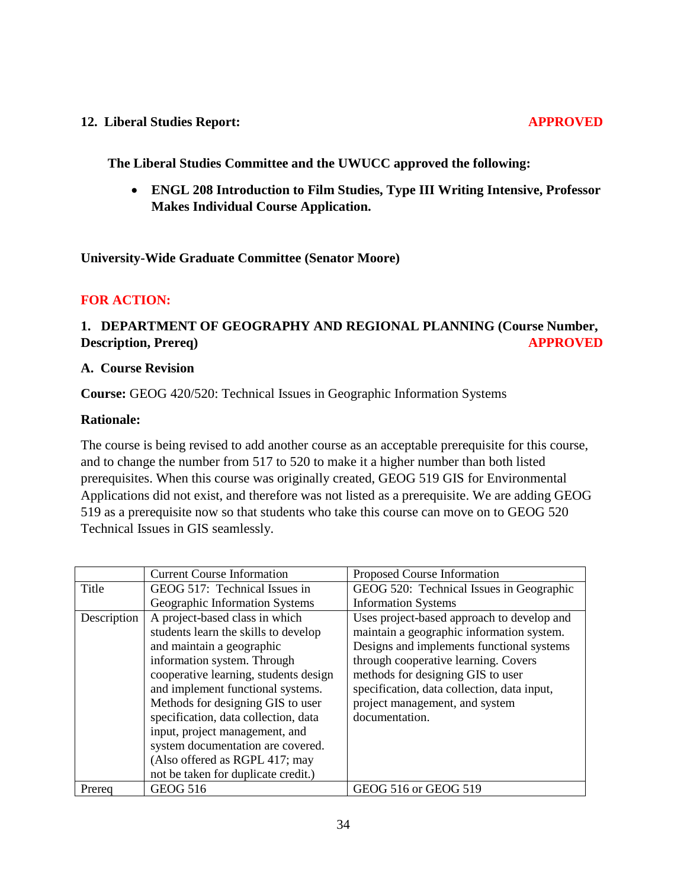#### **12. Liberal Studies Report: APPROVED**

 **The Liberal Studies Committee and the UWUCC approved the following:**

 **ENGL 208 Introduction to Film Studies, Type III Writing Intensive, Professor Makes Individual Course Application.**

**University-Wide Graduate Committee (Senator Moore)**

## **FOR ACTION:**

# **1. DEPARTMENT OF GEOGRAPHY AND REGIONAL PLANNING (Course Number, Description, Prereq)** APPROVED

#### **A. Course Revision**

**Course:** GEOG 420/520: Technical Issues in Geographic Information Systems

#### **Rationale:**

The course is being revised to add another course as an acceptable prerequisite for this course, and to change the number from 517 to 520 to make it a higher number than both listed prerequisites. When this course was originally created, GEOG 519 GIS for Environmental Applications did not exist, and therefore was not listed as a prerequisite. We are adding GEOG 519 as a prerequisite now so that students who take this course can move on to GEOG 520 Technical Issues in GIS seamlessly.

|             | <b>Current Course Information</b>     | Proposed Course Information                 |
|-------------|---------------------------------------|---------------------------------------------|
| Title       | GEOG 517: Technical Issues in         | GEOG 520: Technical Issues in Geographic    |
|             | Geographic Information Systems        | <b>Information Systems</b>                  |
| Description | A project-based class in which        | Uses project-based approach to develop and  |
|             | students learn the skills to develop  | maintain a geographic information system.   |
|             | and maintain a geographic             | Designs and implements functional systems   |
|             | information system. Through           | through cooperative learning. Covers        |
|             | cooperative learning, students design | methods for designing GIS to user           |
|             | and implement functional systems.     | specification, data collection, data input, |
|             | Methods for designing GIS to user     | project management, and system              |
|             | specification, data collection, data  | documentation.                              |
|             | input, project management, and        |                                             |
|             | system documentation are covered.     |                                             |
|             | (Also offered as RGPL 417; may        |                                             |
|             | not be taken for duplicate credit.)   |                                             |
| Prereq      | <b>GEOG 516</b>                       | GEOG 516 or GEOG 519                        |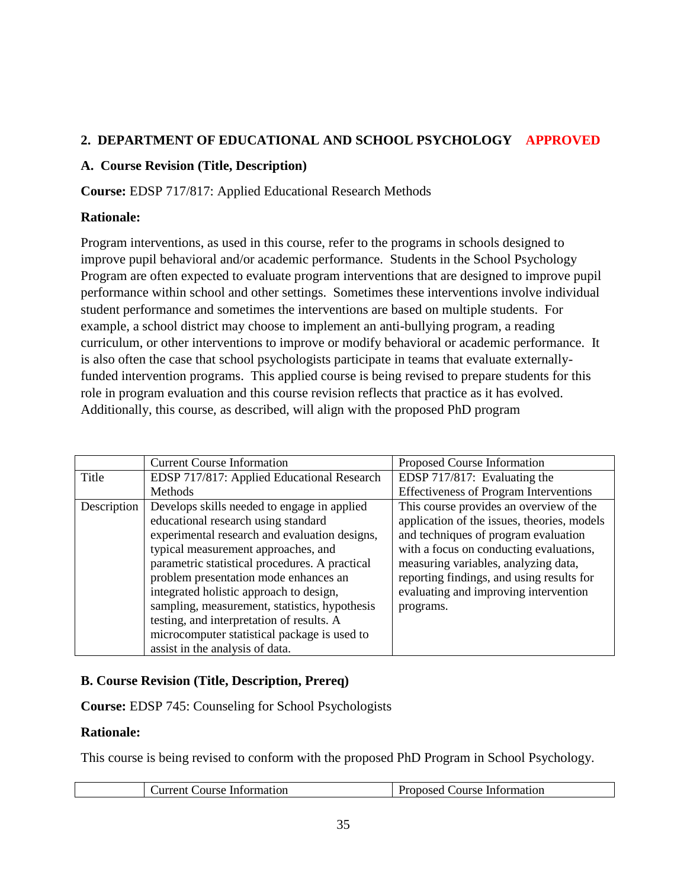# **2. DEPARTMENT OF EDUCATIONAL AND SCHOOL PSYCHOLOGY APPROVED**

## **A. Course Revision (Title, Description)**

**Course:** EDSP 717/817: Applied Educational Research Methods

# **Rationale:**

Program interventions, as used in this course, refer to the programs in schools designed to improve pupil behavioral and/or academic performance. Students in the School Psychology Program are often expected to evaluate program interventions that are designed to improve pupil performance within school and other settings. Sometimes these interventions involve individual student performance and sometimes the interventions are based on multiple students. For example, a school district may choose to implement an anti-bullying program, a reading curriculum, or other interventions to improve or modify behavioral or academic performance. It is also often the case that school psychologists participate in teams that evaluate externallyfunded intervention programs. This applied course is being revised to prepare students for this role in program evaluation and this course revision reflects that practice as it has evolved. Additionally, this course, as described, will align with the proposed PhD program

|             | <b>Current Course Information</b>                                                                                                                                                                                                                                                                                                                          | Proposed Course Information                                                                                                                                                        |
|-------------|------------------------------------------------------------------------------------------------------------------------------------------------------------------------------------------------------------------------------------------------------------------------------------------------------------------------------------------------------------|------------------------------------------------------------------------------------------------------------------------------------------------------------------------------------|
| Title       | EDSP 717/817: Applied Educational Research                                                                                                                                                                                                                                                                                                                 | EDSP 717/817: Evaluating the                                                                                                                                                       |
|             | Methods                                                                                                                                                                                                                                                                                                                                                    | <b>Effectiveness of Program Interventions</b>                                                                                                                                      |
| Description | Develops skills needed to engage in applied<br>educational research using standard<br>experimental research and evaluation designs,                                                                                                                                                                                                                        | This course provides an overview of the<br>application of the issues, theories, models<br>and techniques of program evaluation                                                     |
|             | typical measurement approaches, and<br>parametric statistical procedures. A practical<br>problem presentation mode enhances an<br>integrated holistic approach to design,<br>sampling, measurement, statistics, hypothesis<br>testing, and interpretation of results. A<br>microcomputer statistical package is used to<br>assist in the analysis of data. | with a focus on conducting evaluations,<br>measuring variables, analyzing data,<br>reporting findings, and using results for<br>evaluating and improving intervention<br>programs. |

# **B. Course Revision (Title, Description, Prereq)**

**Course:** EDSP 745: Counseling for School Psychologists

## **Rationale:**

This course is being revised to conform with the proposed PhD Program in School Psychology.

| Course Information<br>Jurrent. | Course Information<br>∵ronosed t . |
|--------------------------------|------------------------------------|
|                                |                                    |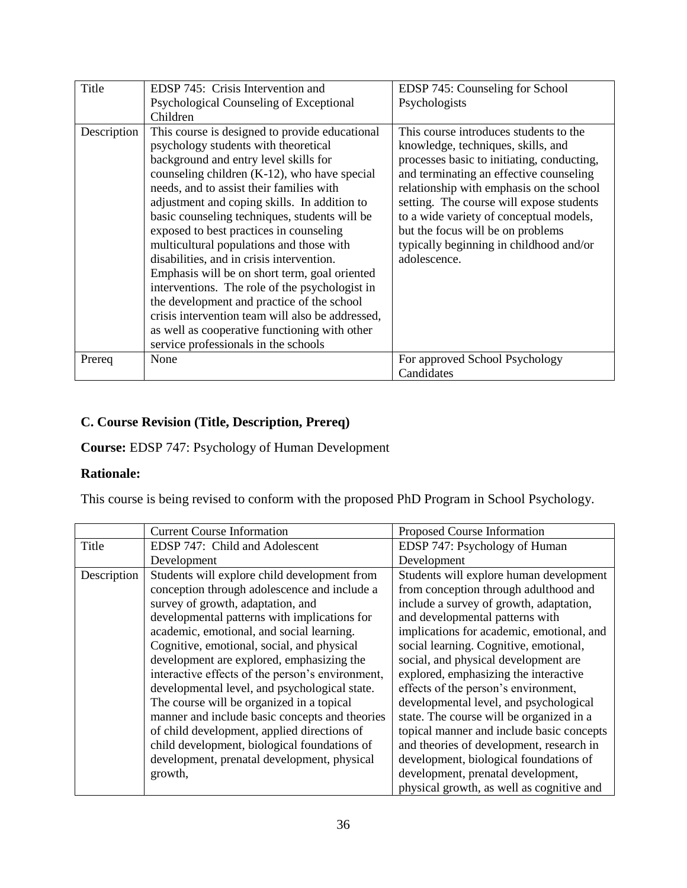| Title       | EDSP 745: Crisis Intervention and                | EDSP 745: Counseling for School            |
|-------------|--------------------------------------------------|--------------------------------------------|
|             | Psychological Counseling of Exceptional          | Psychologists                              |
|             | Children                                         |                                            |
| Description | This course is designed to provide educational   | This course introduces students to the     |
|             | psychology students with theoretical             | knowledge, techniques, skills, and         |
|             | background and entry level skills for            | processes basic to initiating, conducting, |
|             | counseling children $(K-12)$ , who have special  | and terminating an effective counseling    |
|             | needs, and to assist their families with         | relationship with emphasis on the school   |
|             | adjustment and coping skills. In addition to     | setting. The course will expose students   |
|             | basic counseling techniques, students will be    | to a wide variety of conceptual models,    |
|             | exposed to best practices in counseling          | but the focus will be on problems          |
|             | multicultural populations and those with         | typically beginning in childhood and/or    |
|             | disabilities, and in crisis intervention.        | adolescence.                               |
|             | Emphasis will be on short term, goal oriented    |                                            |
|             | interventions. The role of the psychologist in   |                                            |
|             | the development and practice of the school       |                                            |
|             | crisis intervention team will also be addressed, |                                            |
|             | as well as cooperative functioning with other    |                                            |
|             | service professionals in the schools             |                                            |
| Prereq      | None                                             | For approved School Psychology             |
|             |                                                  | Candidates                                 |

# **C. Course Revision (Title, Description, Prereq)**

**Course:** EDSP 747: Psychology of Human Development

## **Rationale:**

This course is being revised to conform with the proposed PhD Program in School Psychology.

|             | <b>Current Course Information</b>                | Proposed Course Information               |
|-------------|--------------------------------------------------|-------------------------------------------|
| Title       | EDSP 747: Child and Adolescent                   | EDSP 747: Psychology of Human             |
|             | Development                                      | Development                               |
| Description | Students will explore child development from     | Students will explore human development   |
|             | conception through adolescence and include a     | from conception through adulthood and     |
|             | survey of growth, adaptation, and                | include a survey of growth, adaptation,   |
|             | developmental patterns with implications for     | and developmental patterns with           |
|             | academic, emotional, and social learning.        | implications for academic, emotional, and |
|             | Cognitive, emotional, social, and physical       | social learning. Cognitive, emotional,    |
|             | development are explored, emphasizing the        | social, and physical development are      |
|             | interactive effects of the person's environment, | explored, emphasizing the interactive     |
|             | developmental level, and psychological state.    | effects of the person's environment,      |
|             | The course will be organized in a topical        | developmental level, and psychological    |
|             | manner and include basic concepts and theories   | state. The course will be organized in a  |
|             | of child development, applied directions of      | topical manner and include basic concepts |
|             | child development, biological foundations of     | and theories of development, research in  |
|             | development, prenatal development, physical      | development, biological foundations of    |
|             | growth,                                          | development, prenatal development,        |
|             |                                                  | physical growth, as well as cognitive and |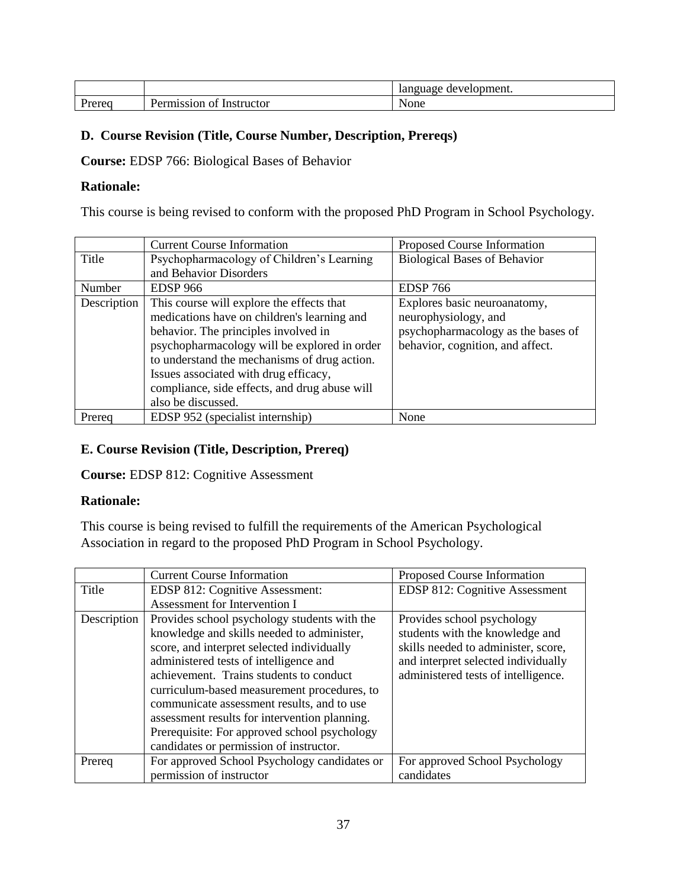|                                    |                                                             | •velopment.<br>ліаре<br>de:<br>iai |
|------------------------------------|-------------------------------------------------------------|------------------------------------|
| nuu<br>$\sim$ $\sim$ $\sim$ $\sim$ | $\sim$<br>∽<br>.nstructor<br>ີ<br>310F<br>$\mathbf{v}$<br>. | ∖one                               |

## **D. Course Revision (Title, Course Number, Description, Prereqs)**

**Course:** EDSP 766: Biological Bases of Behavior

#### **Rationale:**

This course is being revised to conform with the proposed PhD Program in School Psychology.

|             | <b>Current Course Information</b>             | Proposed Course Information         |
|-------------|-----------------------------------------------|-------------------------------------|
| Title       | Psychopharmacology of Children's Learning     | <b>Biological Bases of Behavior</b> |
|             | and Behavior Disorders                        |                                     |
| Number      | <b>EDSP</b> 966                               | <b>EDSP 766</b>                     |
| Description | This course will explore the effects that     | Explores basic neuroanatomy,        |
|             | medications have on children's learning and   | neurophysiology, and                |
|             | behavior. The principles involved in          | psychopharmacology as the bases of  |
|             | psychopharmacology will be explored in order  | behavior, cognition, and affect.    |
|             | to understand the mechanisms of drug action.  |                                     |
|             | Issues associated with drug efficacy,         |                                     |
|             | compliance, side effects, and drug abuse will |                                     |
|             | also be discussed.                            |                                     |
| Prereq      | EDSP 952 (specialist internship)              | None                                |

## **E. Course Revision (Title, Description, Prereq)**

**Course:** EDSP 812: Cognitive Assessment

## **Rationale:**

This course is being revised to fulfill the requirements of the American Psychological Association in regard to the proposed PhD Program in School Psychology.

|             | <b>Current Course Information</b>             | Proposed Course Information           |
|-------------|-----------------------------------------------|---------------------------------------|
| Title       | EDSP 812: Cognitive Assessment:               | <b>EDSP 812: Cognitive Assessment</b> |
|             | Assessment for Intervention I                 |                                       |
| Description | Provides school psychology students with the  | Provides school psychology            |
|             | knowledge and skills needed to administer,    | students with the knowledge and       |
|             | score, and interpret selected individually    | skills needed to administer, score,   |
|             | administered tests of intelligence and        | and interpret selected individually   |
|             | achievement. Trains students to conduct       | administered tests of intelligence.   |
|             | curriculum-based measurement procedures, to   |                                       |
|             | communicate assessment results, and to use    |                                       |
|             | assessment results for intervention planning. |                                       |
|             | Prerequisite: For approved school psychology  |                                       |
|             | candidates or permission of instructor.       |                                       |
| Prereq      | For approved School Psychology candidates or  | For approved School Psychology        |
|             | permission of instructor                      | candidates                            |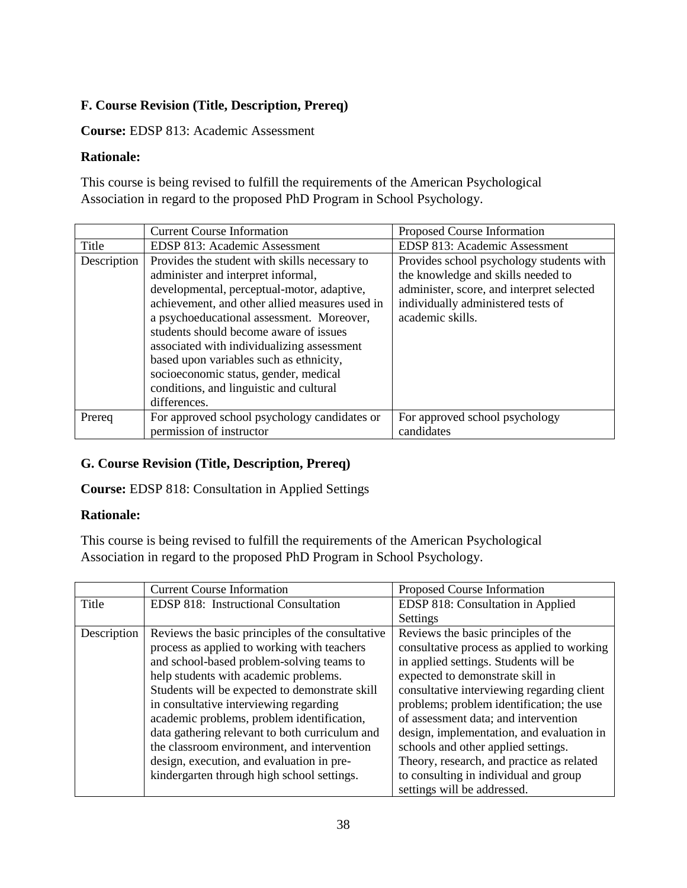# **F. Course Revision (Title, Description, Prereq)**

## **Course:** EDSP 813: Academic Assessment

# **Rationale:**

This course is being revised to fulfill the requirements of the American Psychological Association in regard to the proposed PhD Program in School Psychology.

|             | <b>Current Course Information</b>              | Proposed Course Information               |
|-------------|------------------------------------------------|-------------------------------------------|
| Title       | EDSP 813: Academic Assessment                  | EDSP 813: Academic Assessment             |
| Description | Provides the student with skills necessary to  | Provides school psychology students with  |
|             | administer and interpret informal,             | the knowledge and skills needed to        |
|             | developmental, perceptual-motor, adaptive,     | administer, score, and interpret selected |
|             | achievement, and other allied measures used in | individually administered tests of        |
|             | a psychoeducational assessment. Moreover,      | academic skills.                          |
|             | students should become aware of issues         |                                           |
|             | associated with individualizing assessment     |                                           |
|             | based upon variables such as ethnicity,        |                                           |
|             | socioeconomic status, gender, medical          |                                           |
|             | conditions, and linguistic and cultural        |                                           |
|             | differences.                                   |                                           |
| Prereq      | For approved school psychology candidates or   | For approved school psychology            |
|             | permission of instructor                       | candidates                                |

# **G. Course Revision (Title, Description, Prereq)**

**Course:** EDSP 818: Consultation in Applied Settings

## **Rationale:**

This course is being revised to fulfill the requirements of the American Psychological Association in regard to the proposed PhD Program in School Psychology.

|             | <b>Current Course Information</b>                | Proposed Course Information                |
|-------------|--------------------------------------------------|--------------------------------------------|
| Title       | EDSP 818: Instructional Consultation             | EDSP 818: Consultation in Applied          |
|             |                                                  | Settings                                   |
| Description | Reviews the basic principles of the consultative | Reviews the basic principles of the        |
|             | process as applied to working with teachers      | consultative process as applied to working |
|             | and school-based problem-solving teams to        | in applied settings. Students will be      |
|             | help students with academic problems.            | expected to demonstrate skill in           |
|             | Students will be expected to demonstrate skill   | consultative interviewing regarding client |
|             | in consultative interviewing regarding           | problems; problem identification; the use  |
|             | academic problems, problem identification,       | of assessment data; and intervention       |
|             | data gathering relevant to both curriculum and   | design, implementation, and evaluation in  |
|             | the classroom environment, and intervention      | schools and other applied settings.        |
|             | design, execution, and evaluation in pre-        | Theory, research, and practice as related  |
|             | kindergarten through high school settings.       | to consulting in individual and group      |
|             |                                                  | settings will be addressed.                |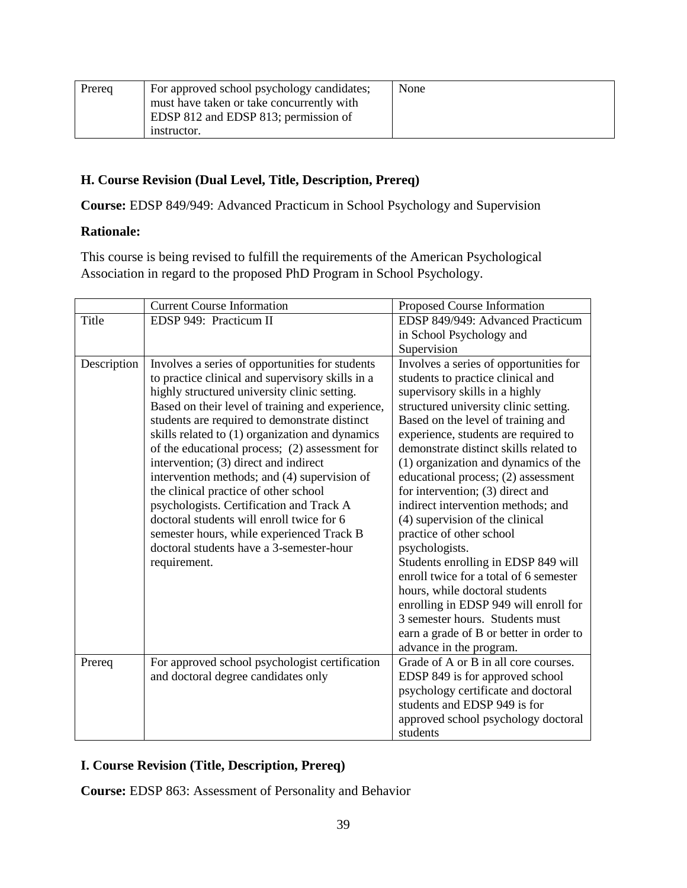| Prereq | For approved school psychology candidates; | None |
|--------|--------------------------------------------|------|
|        | must have taken or take concurrently with  |      |
|        | EDSP 812 and EDSP 813; permission of       |      |
|        | instructor.                                |      |

#### **H. Course Revision (Dual Level, Title, Description, Prereq)**

**Course:** EDSP 849/949: Advanced Practicum in School Psychology and Supervision

#### **Rationale:**

This course is being revised to fulfill the requirements of the American Psychological Association in regard to the proposed PhD Program in School Psychology.

|             | <b>Current Course Information</b>                                                                                                                                                                                                                                                                                                                                                                                                                                                                                                                                                                                                                                                                 | Proposed Course Information                                                                                                                                                                                                                                                                                                                                                                                                                                                                                                                                                                                                                                                                                                                                        |
|-------------|---------------------------------------------------------------------------------------------------------------------------------------------------------------------------------------------------------------------------------------------------------------------------------------------------------------------------------------------------------------------------------------------------------------------------------------------------------------------------------------------------------------------------------------------------------------------------------------------------------------------------------------------------------------------------------------------------|--------------------------------------------------------------------------------------------------------------------------------------------------------------------------------------------------------------------------------------------------------------------------------------------------------------------------------------------------------------------------------------------------------------------------------------------------------------------------------------------------------------------------------------------------------------------------------------------------------------------------------------------------------------------------------------------------------------------------------------------------------------------|
| Title       | EDSP 949: Practicum II                                                                                                                                                                                                                                                                                                                                                                                                                                                                                                                                                                                                                                                                            | EDSP 849/949: Advanced Practicum                                                                                                                                                                                                                                                                                                                                                                                                                                                                                                                                                                                                                                                                                                                                   |
|             |                                                                                                                                                                                                                                                                                                                                                                                                                                                                                                                                                                                                                                                                                                   | in School Psychology and                                                                                                                                                                                                                                                                                                                                                                                                                                                                                                                                                                                                                                                                                                                                           |
|             |                                                                                                                                                                                                                                                                                                                                                                                                                                                                                                                                                                                                                                                                                                   | Supervision                                                                                                                                                                                                                                                                                                                                                                                                                                                                                                                                                                                                                                                                                                                                                        |
| Description | Involves a series of opportunities for students<br>to practice clinical and supervisory skills in a<br>highly structured university clinic setting.<br>Based on their level of training and experience,<br>students are required to demonstrate distinct<br>skills related to (1) organization and dynamics<br>of the educational process; (2) assessment for<br>intervention; (3) direct and indirect<br>intervention methods; and (4) supervision of<br>the clinical practice of other school<br>psychologists. Certification and Track A<br>doctoral students will enroll twice for 6<br>semester hours, while experienced Track B<br>doctoral students have a 3-semester-hour<br>requirement. | Involves a series of opportunities for<br>students to practice clinical and<br>supervisory skills in a highly<br>structured university clinic setting.<br>Based on the level of training and<br>experience, students are required to<br>demonstrate distinct skills related to<br>(1) organization and dynamics of the<br>educational process; (2) assessment<br>for intervention; (3) direct and<br>indirect intervention methods; and<br>(4) supervision of the clinical<br>practice of other school<br>psychologists.<br>Students enrolling in EDSP 849 will<br>enroll twice for a total of 6 semester<br>hours, while doctoral students<br>enrolling in EDSP 949 will enroll for<br>3 semester hours. Students must<br>earn a grade of B or better in order to |
| Prereq      | For approved school psychologist certification                                                                                                                                                                                                                                                                                                                                                                                                                                                                                                                                                                                                                                                    | advance in the program.<br>Grade of A or B in all core courses.                                                                                                                                                                                                                                                                                                                                                                                                                                                                                                                                                                                                                                                                                                    |
|             | and doctoral degree candidates only                                                                                                                                                                                                                                                                                                                                                                                                                                                                                                                                                                                                                                                               | EDSP 849 is for approved school                                                                                                                                                                                                                                                                                                                                                                                                                                                                                                                                                                                                                                                                                                                                    |
|             |                                                                                                                                                                                                                                                                                                                                                                                                                                                                                                                                                                                                                                                                                                   | psychology certificate and doctoral                                                                                                                                                                                                                                                                                                                                                                                                                                                                                                                                                                                                                                                                                                                                |
|             |                                                                                                                                                                                                                                                                                                                                                                                                                                                                                                                                                                                                                                                                                                   | students and EDSP 949 is for                                                                                                                                                                                                                                                                                                                                                                                                                                                                                                                                                                                                                                                                                                                                       |
|             |                                                                                                                                                                                                                                                                                                                                                                                                                                                                                                                                                                                                                                                                                                   | approved school psychology doctoral                                                                                                                                                                                                                                                                                                                                                                                                                                                                                                                                                                                                                                                                                                                                |
|             |                                                                                                                                                                                                                                                                                                                                                                                                                                                                                                                                                                                                                                                                                                   | students                                                                                                                                                                                                                                                                                                                                                                                                                                                                                                                                                                                                                                                                                                                                                           |

## **I. Course Revision (Title, Description, Prereq)**

**Course:** EDSP 863: Assessment of Personality and Behavior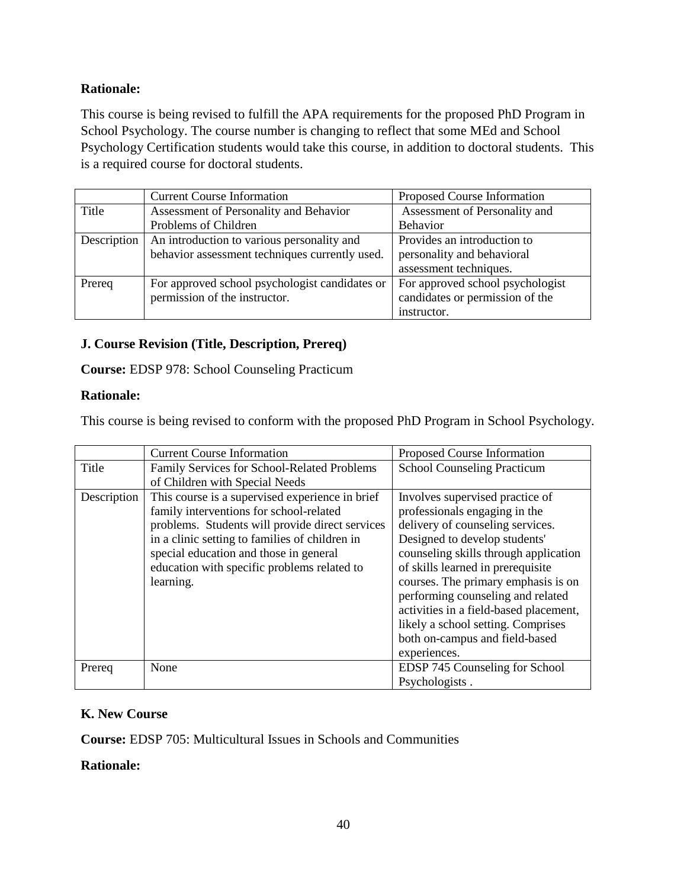# **Rationale:**

This course is being revised to fulfill the APA requirements for the proposed PhD Program in School Psychology. The course number is changing to reflect that some MEd and School Psychology Certification students would take this course, in addition to doctoral students. This is a required course for doctoral students.

|             | <b>Current Course Information</b>              | Proposed Course Information      |
|-------------|------------------------------------------------|----------------------------------|
| Title       | Assessment of Personality and Behavior         | Assessment of Personality and    |
|             | Problems of Children                           | Behavior                         |
| Description | An introduction to various personality and     | Provides an introduction to      |
|             | behavior assessment techniques currently used. | personality and behavioral       |
|             |                                                | assessment techniques.           |
| Prereq      | For approved school psychologist candidates or | For approved school psychologist |
|             | permission of the instructor.                  | candidates or permission of the  |
|             |                                                | instructor.                      |

## **J. Course Revision (Title, Description, Prereq)**

**Course:** EDSP 978: School Counseling Practicum

#### **Rationale:**

This course is being revised to conform with the proposed PhD Program in School Psychology.

|             | <b>Current Course Information</b>                  | Proposed Course Information            |
|-------------|----------------------------------------------------|----------------------------------------|
| Title       | <b>Family Services for School-Related Problems</b> | <b>School Counseling Practicum</b>     |
|             | of Children with Special Needs                     |                                        |
| Description | This course is a supervised experience in brief    | Involves supervised practice of        |
|             | family interventions for school-related            | professionals engaging in the          |
|             | problems. Students will provide direct services    | delivery of counseling services.       |
|             | in a clinic setting to families of children in     | Designed to develop students'          |
|             | special education and those in general             | counseling skills through application  |
|             | education with specific problems related to        | of skills learned in prerequisite      |
|             | learning.                                          | courses. The primary emphasis is on    |
|             |                                                    | performing counseling and related      |
|             |                                                    | activities in a field-based placement, |
|             |                                                    | likely a school setting. Comprises     |
|             |                                                    | both on-campus and field-based         |
|             |                                                    | experiences.                           |
| Prereq      | None                                               | EDSP 745 Counseling for School         |
|             |                                                    | Psychologists.                         |

## **K. New Course**

**Course:** EDSP 705: Multicultural Issues in Schools and Communities

## **Rationale:**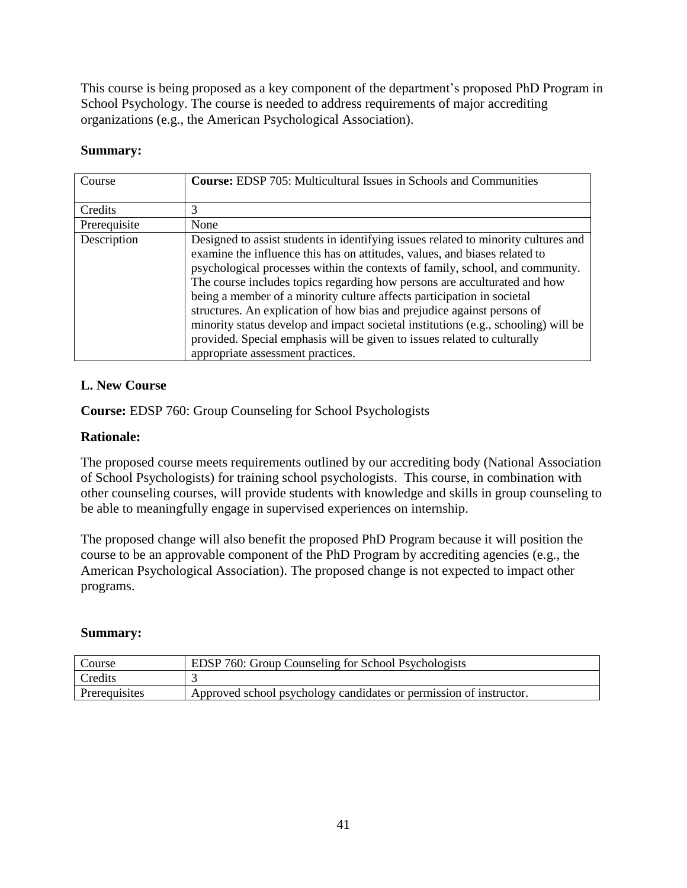This course is being proposed as a key component of the department's proposed PhD Program in School Psychology. The course is needed to address requirements of major accrediting organizations (e.g., the American Psychological Association).

#### **Summary:**

| Course       | <b>Course:</b> EDSP 705: Multicultural Issues in Schools and Communities                                                                                                                                                                                                                                                                                                                                                                                                                                                                                                                                                                                                                   |
|--------------|--------------------------------------------------------------------------------------------------------------------------------------------------------------------------------------------------------------------------------------------------------------------------------------------------------------------------------------------------------------------------------------------------------------------------------------------------------------------------------------------------------------------------------------------------------------------------------------------------------------------------------------------------------------------------------------------|
| Credits      | 3                                                                                                                                                                                                                                                                                                                                                                                                                                                                                                                                                                                                                                                                                          |
| Prerequisite | None                                                                                                                                                                                                                                                                                                                                                                                                                                                                                                                                                                                                                                                                                       |
| Description  | Designed to assist students in identifying issues related to minority cultures and<br>examine the influence this has on attitudes, values, and biases related to<br>psychological processes within the contexts of family, school, and community.<br>The course includes topics regarding how persons are acculturated and how<br>being a member of a minority culture affects participation in societal<br>structures. An explication of how bias and prejudice against persons of<br>minority status develop and impact societal institutions (e.g., schooling) will be<br>provided. Special emphasis will be given to issues related to culturally<br>appropriate assessment practices. |

# **L. New Course**

**Course:** EDSP 760: Group Counseling for School Psychologists

# **Rationale:**

The proposed course meets requirements outlined by our accrediting body (National Association of School Psychologists) for training school psychologists. This course, in combination with other counseling courses, will provide students with knowledge and skills in group counseling to be able to meaningfully engage in supervised experiences on internship.

The proposed change will also benefit the proposed PhD Program because it will position the course to be an approvable component of the PhD Program by accrediting agencies (e.g., the American Psychological Association). The proposed change is not expected to impact other programs.

## **Summary:**

| Course         | EDSP 760: Group Counseling for School Psychologists                |
|----------------|--------------------------------------------------------------------|
| <b>Credits</b> |                                                                    |
| Prerequisites  | Approved school psychology candidates or permission of instructor. |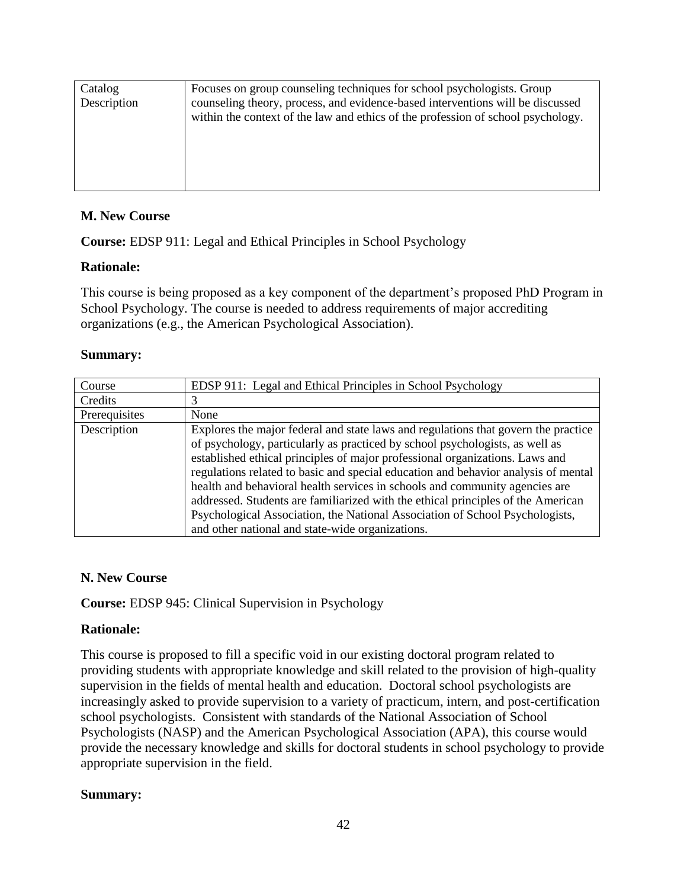| Catalog<br>Description | Focuses on group counseling techniques for school psychologists. Group<br>counseling theory, process, and evidence-based interventions will be discussed<br>within the context of the law and ethics of the profession of school psychology. |
|------------------------|----------------------------------------------------------------------------------------------------------------------------------------------------------------------------------------------------------------------------------------------|
|                        |                                                                                                                                                                                                                                              |

#### **M. New Course**

**Course:** EDSP 911: Legal and Ethical Principles in School Psychology

#### **Rationale:**

This course is being proposed as a key component of the department's proposed PhD Program in School Psychology. The course is needed to address requirements of major accrediting organizations (e.g., the American Psychological Association).

#### **Summary:**

| Course        | EDSP 911: Legal and Ethical Principles in School Psychology                                                                                                                                                                                                                                                                                                                                                                                                                                                                                                                                                                                     |
|---------------|-------------------------------------------------------------------------------------------------------------------------------------------------------------------------------------------------------------------------------------------------------------------------------------------------------------------------------------------------------------------------------------------------------------------------------------------------------------------------------------------------------------------------------------------------------------------------------------------------------------------------------------------------|
| Credits       |                                                                                                                                                                                                                                                                                                                                                                                                                                                                                                                                                                                                                                                 |
| Prerequisites | None                                                                                                                                                                                                                                                                                                                                                                                                                                                                                                                                                                                                                                            |
| Description   | Explores the major federal and state laws and regulations that govern the practice<br>of psychology, particularly as practiced by school psychologists, as well as<br>established ethical principles of major professional organizations. Laws and<br>regulations related to basic and special education and behavior analysis of mental<br>health and behavioral health services in schools and community agencies are<br>addressed. Students are familiarized with the ethical principles of the American<br>Psychological Association, the National Association of School Psychologists,<br>and other national and state-wide organizations. |

#### **N. New Course**

**Course:** EDSP 945: Clinical Supervision in Psychology

## **Rationale:**

This course is proposed to fill a specific void in our existing doctoral program related to providing students with appropriate knowledge and skill related to the provision of high-quality supervision in the fields of mental health and education. Doctoral school psychologists are increasingly asked to provide supervision to a variety of practicum, intern, and post-certification school psychologists. Consistent with standards of the National Association of School Psychologists (NASP) and the American Psychological Association (APA), this course would provide the necessary knowledge and skills for doctoral students in school psychology to provide appropriate supervision in the field.

## **Summary:**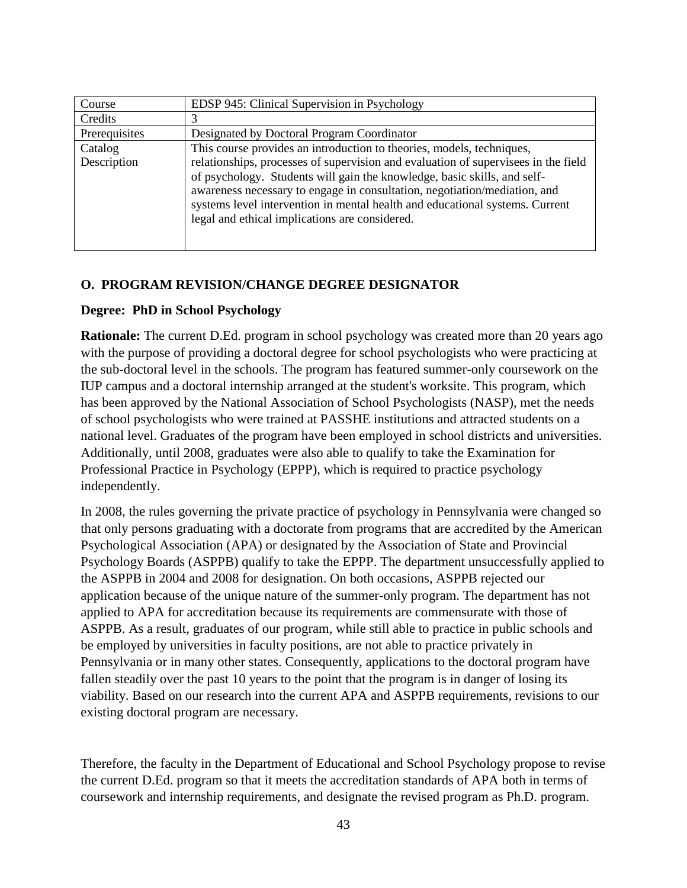| Course        | EDSP 945: Clinical Supervision in Psychology                                                                                                                                                                                                                                                                                                                                  |
|---------------|-------------------------------------------------------------------------------------------------------------------------------------------------------------------------------------------------------------------------------------------------------------------------------------------------------------------------------------------------------------------------------|
| Credits       |                                                                                                                                                                                                                                                                                                                                                                               |
| Prerequisites | Designated by Doctoral Program Coordinator                                                                                                                                                                                                                                                                                                                                    |
| Catalog       | This course provides an introduction to theories, models, techniques,                                                                                                                                                                                                                                                                                                         |
| Description   | relationships, processes of supervision and evaluation of supervisees in the field<br>of psychology. Students will gain the knowledge, basic skills, and self-<br>awareness necessary to engage in consultation, negotiation/mediation, and<br>systems level intervention in mental health and educational systems. Current<br>legal and ethical implications are considered. |

#### **O. PROGRAM REVISION/CHANGE DEGREE DESIGNATOR**

#### **Degree: PhD in School Psychology**

**Rationale:** The current D.Ed. program in school psychology was created more than 20 years ago with the purpose of providing a doctoral degree for school psychologists who were practicing at the sub-doctoral level in the schools. The program has featured summer-only coursework on the IUP campus and a doctoral internship arranged at the student's worksite. This program, which has been approved by the National Association of School Psychologists (NASP), met the needs of school psychologists who were trained at PASSHE institutions and attracted students on a national level. Graduates of the program have been employed in school districts and universities. Additionally, until 2008, graduates were also able to qualify to take the Examination for Professional Practice in Psychology (EPPP), which is required to practice psychology independently.

In 2008, the rules governing the private practice of psychology in Pennsylvania were changed so that only persons graduating with a doctorate from programs that are accredited by the American Psychological Association (APA) or designated by the Association of State and Provincial Psychology Boards (ASPPB) qualify to take the EPPP. The department unsuccessfully applied to the ASPPB in 2004 and 2008 for designation. On both occasions, ASPPB rejected our application because of the unique nature of the summer-only program. The department has not applied to APA for accreditation because its requirements are commensurate with those of ASPPB. As a result, graduates of our program, while still able to practice in public schools and be employed by universities in faculty positions, are not able to practice privately in Pennsylvania or in many other states. Consequently, applications to the doctoral program have fallen steadily over the past 10 years to the point that the program is in danger of losing its viability. Based on our research into the current APA and ASPPB requirements, revisions to our existing doctoral program are necessary.

Therefore, the faculty in the Department of Educational and School Psychology propose to revise the current D.Ed. program so that it meets the accreditation standards of APA both in terms of coursework and internship requirements, and designate the revised program as Ph.D. program.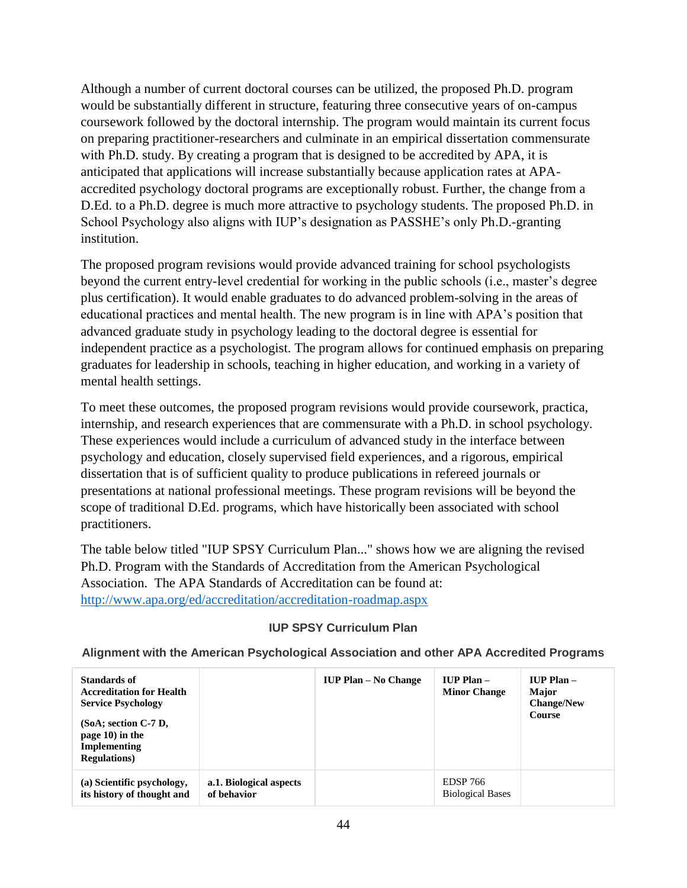Although a number of current doctoral courses can be utilized, the proposed Ph.D. program would be substantially different in structure, featuring three consecutive years of on-campus coursework followed by the doctoral internship. The program would maintain its current focus on preparing practitioner-researchers and culminate in an empirical dissertation commensurate with Ph.D. study. By creating a program that is designed to be accredited by APA, it is anticipated that applications will increase substantially because application rates at APAaccredited psychology doctoral programs are exceptionally robust. Further, the change from a D.Ed. to a Ph.D. degree is much more attractive to psychology students. The proposed Ph.D. in School Psychology also aligns with IUP's designation as PASSHE's only Ph.D.-granting institution.

The proposed program revisions would provide advanced training for school psychologists beyond the current entry-level credential for working in the public schools (i.e., master's degree plus certification). It would enable graduates to do advanced problem-solving in the areas of educational practices and mental health. The new program is in line with APA's position that advanced graduate study in psychology leading to the doctoral degree is essential for independent practice as a psychologist. The program allows for continued emphasis on preparing graduates for leadership in schools, teaching in higher education, and working in a variety of mental health settings.

To meet these outcomes, the proposed program revisions would provide coursework, practica, internship, and research experiences that are commensurate with a Ph.D. in school psychology. These experiences would include a curriculum of advanced study in the interface between psychology and education, closely supervised field experiences, and a rigorous, empirical dissertation that is of sufficient quality to produce publications in refereed journals or presentations at national professional meetings. These program revisions will be beyond the scope of traditional D.Ed. programs, which have historically been associated with school practitioners.

The table below titled "IUP SPSY Curriculum Plan..." shows how we are aligning the revised Ph.D. Program with the Standards of Accreditation from the American Psychological Association. The APA Standards of Accreditation can be found at: <http://www.apa.org/ed/accreditation/accreditation-roadmap.aspx>

#### **IUP SPSY Curriculum Plan**

#### **Alignment with the American Psychological Association and other APA Accredited Programs**

| Standards of<br><b>Accreditation for Health</b><br><b>Service Psychology</b><br>$(SoA; section C-7D,$<br>page 10) in the<br>Implementing<br><b>Regulations</b> ) |                                        | <b>IUP Plan – No Change</b> | $IUP$ Plan $-$<br><b>Minor Change</b>      | $IUP$ Plan $-$<br><b>Major</b><br><b>Change/New</b><br>Course |
|------------------------------------------------------------------------------------------------------------------------------------------------------------------|----------------------------------------|-----------------------------|--------------------------------------------|---------------------------------------------------------------|
| (a) Scientific psychology,<br>its history of thought and                                                                                                         | a.1. Biological aspects<br>of behavior |                             | <b>EDSP 766</b><br><b>Biological Bases</b> |                                                               |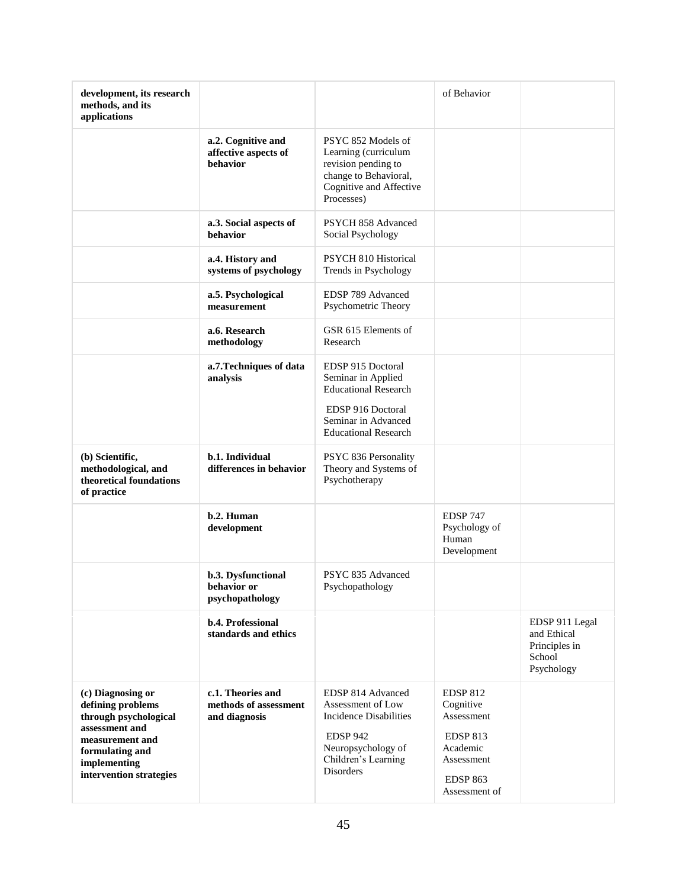| development, its research<br>methods, and its<br>applications                                                                                                      |                                                             |                                                                                                                                                             | of Behavior                                                                                                |                                                                        |
|--------------------------------------------------------------------------------------------------------------------------------------------------------------------|-------------------------------------------------------------|-------------------------------------------------------------------------------------------------------------------------------------------------------------|------------------------------------------------------------------------------------------------------------|------------------------------------------------------------------------|
|                                                                                                                                                                    | a.2. Cognitive and<br>affective aspects of<br>behavior      | PSYC 852 Models of<br>Learning (curriculum<br>revision pending to<br>change to Behavioral,<br>Cognitive and Affective<br>Processes)                         |                                                                                                            |                                                                        |
|                                                                                                                                                                    | a.3. Social aspects of<br>behavior                          | PSYCH 858 Advanced<br>Social Psychology                                                                                                                     |                                                                                                            |                                                                        |
|                                                                                                                                                                    | a.4. History and<br>systems of psychology                   | PSYCH 810 Historical<br>Trends in Psychology                                                                                                                |                                                                                                            |                                                                        |
|                                                                                                                                                                    | a.5. Psychological<br>measurement                           | EDSP 789 Advanced<br>Psychometric Theory                                                                                                                    |                                                                                                            |                                                                        |
|                                                                                                                                                                    | a.6. Research<br>methodology                                | GSR 615 Elements of<br>Research                                                                                                                             |                                                                                                            |                                                                        |
|                                                                                                                                                                    | a.7. Techniques of data<br>analysis                         | EDSP 915 Doctoral<br>Seminar in Applied<br><b>Educational Research</b><br>EDSP 916 Doctoral<br>Seminar in Advanced<br><b>Educational Research</b>           |                                                                                                            |                                                                        |
| (b) Scientific,<br>methodological, and<br>theoretical foundations<br>of practice                                                                                   | b.1. Individual<br>differences in behavior                  | PSYC 836 Personality<br>Theory and Systems of<br>Psychotherapy                                                                                              |                                                                                                            |                                                                        |
|                                                                                                                                                                    | b.2. Human<br>development                                   |                                                                                                                                                             | <b>EDSP 747</b><br>Psychology of<br>Human<br>Development                                                   |                                                                        |
|                                                                                                                                                                    | b.3. Dysfunctional<br>behavior or<br>psychopathology        | PSYC 835 Advanced<br>Psychopathology                                                                                                                        |                                                                                                            |                                                                        |
|                                                                                                                                                                    | b.4. Professional<br>standards and ethics                   |                                                                                                                                                             |                                                                                                            | EDSP 911 Legal<br>and Ethical<br>Principles in<br>School<br>Psychology |
| (c) Diagnosing or<br>defining problems<br>through psychological<br>assessment and<br>measurement and<br>formulating and<br>implementing<br>intervention strategies | c.1. Theories and<br>methods of assessment<br>and diagnosis | EDSP 814 Advanced<br>Assessment of Low<br><b>Incidence Disabilities</b><br><b>EDSP 942</b><br>Neuropsychology of<br>Children's Learning<br><b>Disorders</b> | <b>EDSP 812</b><br>Cognitive<br>Assessment<br><b>EDSP 813</b><br>Academic<br>Assessment<br><b>EDSP 863</b> |                                                                        |
|                                                                                                                                                                    |                                                             |                                                                                                                                                             | Assessment of                                                                                              |                                                                        |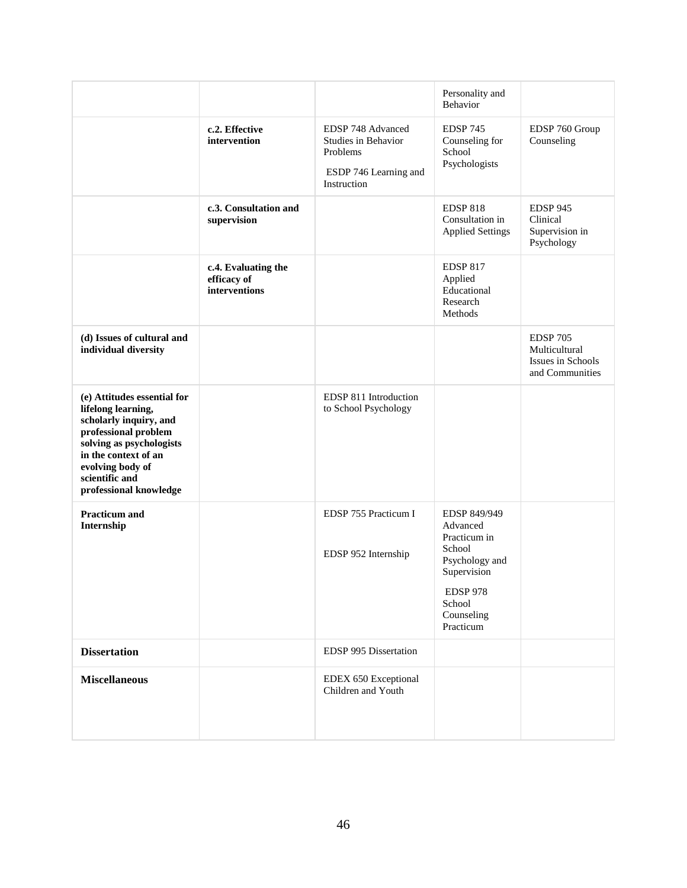|                                                                                                                                                                                                                         |                                                     |                                                                                              | Personality and<br><b>Behavior</b>                                                                                                          |                                                                          |
|-------------------------------------------------------------------------------------------------------------------------------------------------------------------------------------------------------------------------|-----------------------------------------------------|----------------------------------------------------------------------------------------------|---------------------------------------------------------------------------------------------------------------------------------------------|--------------------------------------------------------------------------|
|                                                                                                                                                                                                                         | c.2. Effective<br>intervention                      | EDSP 748 Advanced<br>Studies in Behavior<br>Problems<br>ESDP 746 Learning and<br>Instruction | <b>EDSP 745</b><br>Counseling for<br>School<br>Psychologists                                                                                | EDSP 760 Group<br>Counseling                                             |
|                                                                                                                                                                                                                         | c.3. Consultation and<br>supervision                |                                                                                              | <b>EDSP 818</b><br>Consultation in<br><b>Applied Settings</b>                                                                               | <b>EDSP 945</b><br>Clinical<br>Supervision in<br>Psychology              |
|                                                                                                                                                                                                                         | c.4. Evaluating the<br>efficacy of<br>interventions |                                                                                              | <b>EDSP 817</b><br>Applied<br>Educational<br>Research<br>Methods                                                                            |                                                                          |
| (d) Issues of cultural and<br>individual diversity                                                                                                                                                                      |                                                     |                                                                                              |                                                                                                                                             | <b>EDSP 705</b><br>Multicultural<br>Issues in Schools<br>and Communities |
| (e) Attitudes essential for<br>lifelong learning,<br>scholarly inquiry, and<br>professional problem<br>solving as psychologists<br>in the context of an<br>evolving body of<br>scientific and<br>professional knowledge |                                                     | EDSP 811 Introduction<br>to School Psychology                                                |                                                                                                                                             |                                                                          |
| <b>Practicum</b> and<br>Internship                                                                                                                                                                                      |                                                     | EDSP 755 Practicum I<br>EDSP 952 Internship                                                  | EDSP 849/949<br>Advanced<br>Practicum in<br>School<br>Psychology and<br>Supervision<br><b>EDSP 978</b><br>School<br>Counseling<br>Practicum |                                                                          |
| <b>Dissertation</b>                                                                                                                                                                                                     |                                                     | EDSP 995 Dissertation                                                                        |                                                                                                                                             |                                                                          |
| <b>Miscellaneous</b>                                                                                                                                                                                                    |                                                     | EDEX 650 Exceptional<br>Children and Youth                                                   |                                                                                                                                             |                                                                          |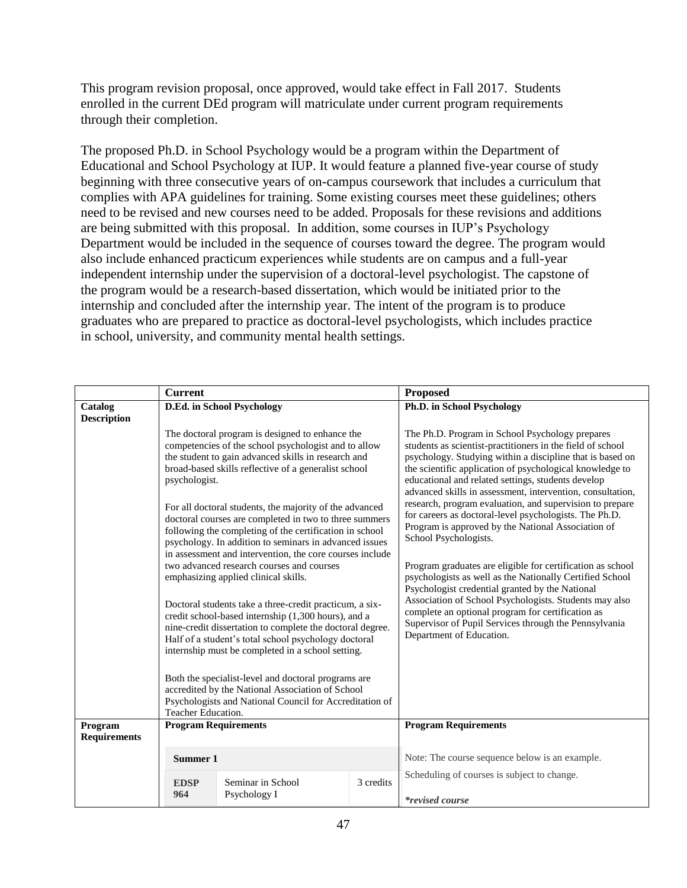This program revision proposal, once approved, would take effect in Fall 2017. Students enrolled in the current DEd program will matriculate under current program requirements through their completion.

The proposed Ph.D. in School Psychology would be a program within the Department of Educational and School Psychology at IUP. It would feature a planned five-year course of study beginning with three consecutive years of on-campus coursework that includes a curriculum that complies with APA guidelines for training. Some existing courses meet these guidelines; others need to be revised and new courses need to be added. Proposals for these revisions and additions are being submitted with this proposal. In addition, some courses in IUP's Psychology Department would be included in the sequence of courses toward the degree. The program would also include enhanced practicum experiences while students are on campus and a full-year independent internship under the supervision of a doctoral-level psychologist. The capstone of the program would be a research-based dissertation, which would be initiated prior to the internship and concluded after the internship year. The intent of the program is to produce graduates who are prepared to practice as doctoral-level psychologists, which includes practice in school, university, and community mental health settings.

|                                | <b>Current</b>     |                                                                                                                                                                                                                                                                                                                                                                                                                                                                                                                                                                                                                                                                                                                                                                                                                                                                                                               |           | Proposed                                                                                                                                                                                                                                                                                                                                                                                                                                                                                                                                                                                                                                                                                                                                                                                                                                                                                                                                         |
|--------------------------------|--------------------|---------------------------------------------------------------------------------------------------------------------------------------------------------------------------------------------------------------------------------------------------------------------------------------------------------------------------------------------------------------------------------------------------------------------------------------------------------------------------------------------------------------------------------------------------------------------------------------------------------------------------------------------------------------------------------------------------------------------------------------------------------------------------------------------------------------------------------------------------------------------------------------------------------------|-----------|--------------------------------------------------------------------------------------------------------------------------------------------------------------------------------------------------------------------------------------------------------------------------------------------------------------------------------------------------------------------------------------------------------------------------------------------------------------------------------------------------------------------------------------------------------------------------------------------------------------------------------------------------------------------------------------------------------------------------------------------------------------------------------------------------------------------------------------------------------------------------------------------------------------------------------------------------|
| Catalog                        |                    | D.Ed. in School Psychology                                                                                                                                                                                                                                                                                                                                                                                                                                                                                                                                                                                                                                                                                                                                                                                                                                                                                    |           | Ph.D. in School Psychology                                                                                                                                                                                                                                                                                                                                                                                                                                                                                                                                                                                                                                                                                                                                                                                                                                                                                                                       |
| <b>Description</b>             |                    |                                                                                                                                                                                                                                                                                                                                                                                                                                                                                                                                                                                                                                                                                                                                                                                                                                                                                                               |           |                                                                                                                                                                                                                                                                                                                                                                                                                                                                                                                                                                                                                                                                                                                                                                                                                                                                                                                                                  |
|                                | psychologist.      | The doctoral program is designed to enhance the<br>competencies of the school psychologist and to allow<br>the student to gain advanced skills in research and<br>broad-based skills reflective of a generalist school<br>For all doctoral students, the majority of the advanced<br>doctoral courses are completed in two to three summers<br>following the completing of the certification in school<br>psychology. In addition to seminars in advanced issues<br>in assessment and intervention, the core courses include<br>two advanced research courses and courses<br>emphasizing applied clinical skills.<br>Doctoral students take a three-credit practicum, a six-<br>credit school-based internship (1,300 hours), and a<br>nine-credit dissertation to complete the doctoral degree.<br>Half of a student's total school psychology doctoral<br>internship must be completed in a school setting. |           | The Ph.D. Program in School Psychology prepares<br>students as scientist-practitioners in the field of school<br>psychology. Studying within a discipline that is based on<br>the scientific application of psychological knowledge to<br>educational and related settings, students develop<br>advanced skills in assessment, intervention, consultation,<br>research, program evaluation, and supervision to prepare<br>for careers as doctoral-level psychologists. The Ph.D.<br>Program is approved by the National Association of<br>School Psychologists.<br>Program graduates are eligible for certification as school<br>psychologists as well as the Nationally Certified School<br>Psychologist credential granted by the National<br>Association of School Psychologists. Students may also<br>complete an optional program for certification as<br>Supervisor of Pupil Services through the Pennsylvania<br>Department of Education. |
|                                | Teacher Education. | Both the specialist-level and doctoral programs are<br>accredited by the National Association of School<br>Psychologists and National Council for Accreditation of                                                                                                                                                                                                                                                                                                                                                                                                                                                                                                                                                                                                                                                                                                                                            |           |                                                                                                                                                                                                                                                                                                                                                                                                                                                                                                                                                                                                                                                                                                                                                                                                                                                                                                                                                  |
| Program<br><b>Requirements</b> |                    | <b>Program Requirements</b>                                                                                                                                                                                                                                                                                                                                                                                                                                                                                                                                                                                                                                                                                                                                                                                                                                                                                   |           | <b>Program Requirements</b>                                                                                                                                                                                                                                                                                                                                                                                                                                                                                                                                                                                                                                                                                                                                                                                                                                                                                                                      |
|                                | Summer 1           |                                                                                                                                                                                                                                                                                                                                                                                                                                                                                                                                                                                                                                                                                                                                                                                                                                                                                                               |           | Note: The course sequence below is an example.                                                                                                                                                                                                                                                                                                                                                                                                                                                                                                                                                                                                                                                                                                                                                                                                                                                                                                   |
|                                | <b>EDSP</b><br>964 | Seminar in School<br>Psychology I                                                                                                                                                                                                                                                                                                                                                                                                                                                                                                                                                                                                                                                                                                                                                                                                                                                                             | 3 credits | Scheduling of courses is subject to change.<br><i>*revised course</i>                                                                                                                                                                                                                                                                                                                                                                                                                                                                                                                                                                                                                                                                                                                                                                                                                                                                            |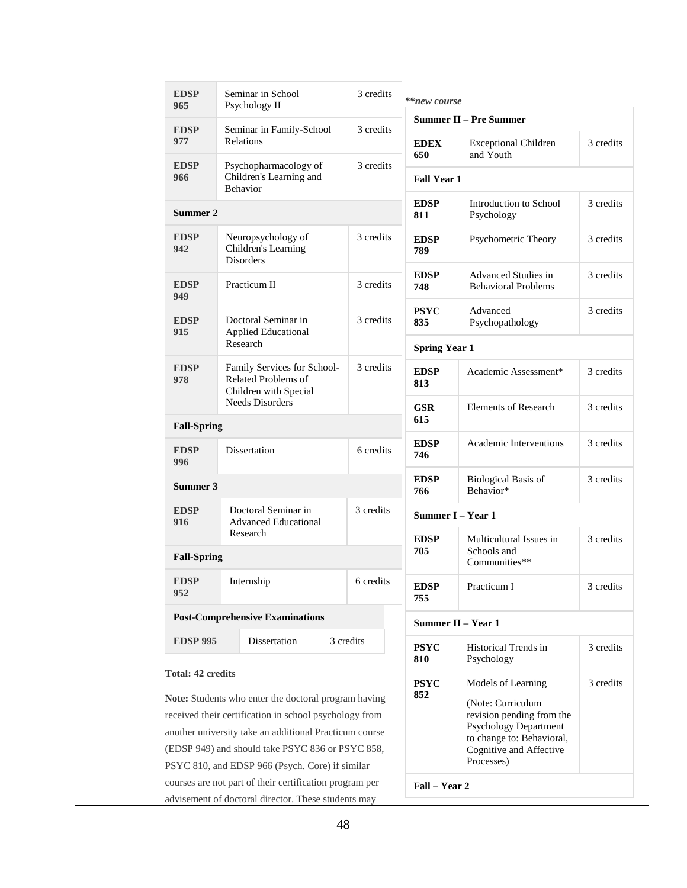| <b>EDSP</b><br>965       | Seminar in School<br>Psychology II                                                                                                                                                                                                                                              | 3 credits | **new course         |                                                                                                                                                      |           |
|--------------------------|---------------------------------------------------------------------------------------------------------------------------------------------------------------------------------------------------------------------------------------------------------------------------------|-----------|----------------------|------------------------------------------------------------------------------------------------------------------------------------------------------|-----------|
| <b>EDSP</b>              | Seminar in Family-School                                                                                                                                                                                                                                                        | 3 credits |                      | <b>Summer II – Pre Summer</b>                                                                                                                        |           |
| 977                      | Relations                                                                                                                                                                                                                                                                       |           | <b>EDEX</b><br>650   | <b>Exceptional Children</b><br>and Youth                                                                                                             | 3 credits |
| <b>EDSP</b><br>966       | Psychopharmacology of<br>Children's Learning and<br>Behavior                                                                                                                                                                                                                    | 3 credits | <b>Fall Year 1</b>   |                                                                                                                                                      |           |
| Summer 2                 |                                                                                                                                                                                                                                                                                 |           | <b>EDSP</b><br>811   | Introduction to School<br>Psychology                                                                                                                 | 3 credits |
| <b>EDSP</b><br>942       | Neuropsychology of<br>Children's Learning<br><b>Disorders</b>                                                                                                                                                                                                                   | 3 credits | <b>EDSP</b><br>789   | Psychometric Theory                                                                                                                                  | 3 credits |
| <b>EDSP</b><br>949       | Practicum II                                                                                                                                                                                                                                                                    | 3 credits | <b>EDSP</b><br>748   | Advanced Studies in<br><b>Behavioral Problems</b>                                                                                                    | 3 credits |
| <b>EDSP</b>              | Doctoral Seminar in                                                                                                                                                                                                                                                             | 3 credits | <b>PSYC</b><br>835   | Advanced<br>Psychopathology                                                                                                                          | 3 credits |
| 915                      | <b>Applied Educational</b><br>Research                                                                                                                                                                                                                                          |           | <b>Spring Year 1</b> |                                                                                                                                                      |           |
| <b>EDSP</b><br>978       | Family Services for School-<br>Related Problems of<br>Children with Special                                                                                                                                                                                                     | 3 credits | <b>EDSP</b><br>813   | Academic Assessment*                                                                                                                                 | 3 credits |
| <b>Fall-Spring</b>       | <b>Needs Disorders</b>                                                                                                                                                                                                                                                          |           | <b>GSR</b><br>615    | <b>Elements of Research</b>                                                                                                                          | 3 credits |
| <b>EDSP</b><br>996       | Dissertation                                                                                                                                                                                                                                                                    | 6 credits | <b>EDSP</b><br>746   | Academic Interventions                                                                                                                               | 3 credits |
| Summer 3                 |                                                                                                                                                                                                                                                                                 |           | <b>EDSP</b><br>766   | <b>Biological Basis of</b><br>Behavior*                                                                                                              | 3 credits |
| <b>EDSP</b><br>916       | Doctoral Seminar in<br><b>Advanced Educational</b>                                                                                                                                                                                                                              | 3 credits |                      | Summer I - Year 1                                                                                                                                    |           |
| <b>Fall-Spring</b>       | Research                                                                                                                                                                                                                                                                        |           | <b>EDSP</b><br>705   | Multicultural Issues in<br>Schools and<br>Communities**                                                                                              | 3 credits |
| <b>EDSP</b><br>952       | Internship                                                                                                                                                                                                                                                                      | 6 credits | <b>EDSP</b><br>755   | Practicum I                                                                                                                                          | 3 credits |
|                          | <b>Post-Comprehensive Examinations</b>                                                                                                                                                                                                                                          |           |                      | Summer II - Year 1                                                                                                                                   |           |
| <b>EDSP 995</b>          | Dissertation                                                                                                                                                                                                                                                                    | 3 credits | <b>PSYC</b><br>810   | Historical Trends in<br>Psychology                                                                                                                   | 3 credits |
| <b>Total: 42 credits</b> |                                                                                                                                                                                                                                                                                 |           | <b>PSYC</b>          | Models of Learning                                                                                                                                   | 3 credits |
|                          | Note: Students who enter the doctoral program having<br>received their certification in school psychology from<br>another university take an additional Practicum course<br>(EDSP 949) and should take PSYC 836 or PSYC 858,<br>PSYC 810, and EDSP 966 (Psych. Core) if similar |           | 852                  | (Note: Curriculum<br>revision pending from the<br><b>Psychology Department</b><br>to change to: Behavioral,<br>Cognitive and Affective<br>Processes) |           |
|                          | courses are not part of their certification program per                                                                                                                                                                                                                         |           | Fall – Year 2        |                                                                                                                                                      |           |
|                          | advisement of doctoral director. These students may                                                                                                                                                                                                                             |           |                      |                                                                                                                                                      |           |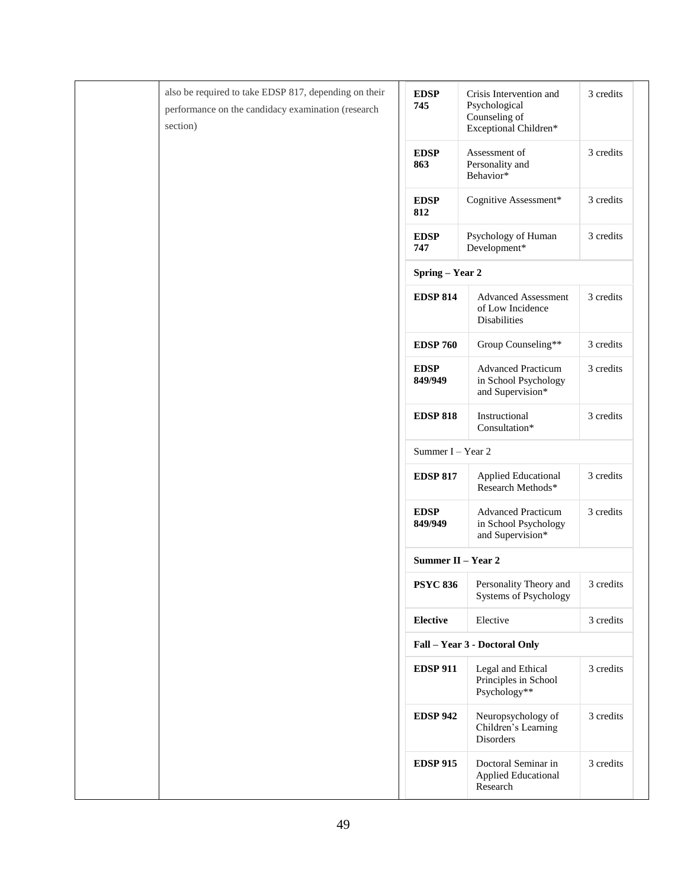| also be required to take EDSP 817, depending on their<br>performance on the candidacy examination (research<br>section) | <b>EDSP</b><br>745     | Crisis Intervention and<br>Psychological<br>Counseling of<br>Exceptional Children* | 3 credits |
|-------------------------------------------------------------------------------------------------------------------------|------------------------|------------------------------------------------------------------------------------|-----------|
|                                                                                                                         | <b>EDSP</b><br>863     | Assessment of<br>Personality and<br>Behavior*                                      | 3 credits |
|                                                                                                                         | <b>EDSP</b><br>812     | Cognitive Assessment*                                                              | 3 credits |
|                                                                                                                         | <b>EDSP</b><br>747     | Psychology of Human<br>Development*                                                | 3 credits |
|                                                                                                                         | Spring - Year 2        |                                                                                    |           |
|                                                                                                                         | <b>EDSP 814</b>        | <b>Advanced Assessment</b><br>of Low Incidence<br>Disabilities                     | 3 credits |
|                                                                                                                         | <b>EDSP 760</b>        | Group Counseling**                                                                 | 3 credits |
|                                                                                                                         | <b>EDSP</b><br>849/949 | <b>Advanced Practicum</b><br>in School Psychology<br>and Supervision*              | 3 credits |
|                                                                                                                         | <b>EDSP 818</b>        | Instructional<br>Consultation*                                                     | 3 credits |
|                                                                                                                         | Summer I - Year 2      |                                                                                    |           |
|                                                                                                                         | <b>EDSP 817</b>        | <b>Applied Educational</b><br>Research Methods*                                    | 3 credits |
|                                                                                                                         | <b>EDSP</b><br>849/949 | <b>Advanced Practicum</b><br>in School Psychology<br>and Supervision*              | 3 credits |
|                                                                                                                         | Summer II - Year 2     |                                                                                    |           |
|                                                                                                                         | <b>PSYC 836</b>        | Personality Theory and<br><b>Systems of Psychology</b>                             | 3 credits |
|                                                                                                                         | <b>Elective</b>        | Elective                                                                           | 3 credits |
|                                                                                                                         |                        | Fall - Year 3 - Doctoral Only                                                      |           |
|                                                                                                                         | <b>EDSP 911</b>        | Legal and Ethical<br>Principles in School<br>Psychology**                          | 3 credits |
|                                                                                                                         | <b>EDSP 942</b>        | Neuropsychology of<br>Children's Learning<br>Disorders                             | 3 credits |
|                                                                                                                         | <b>EDSP 915</b>        | Doctoral Seminar in<br>Applied Educational<br>Research                             | 3 credits |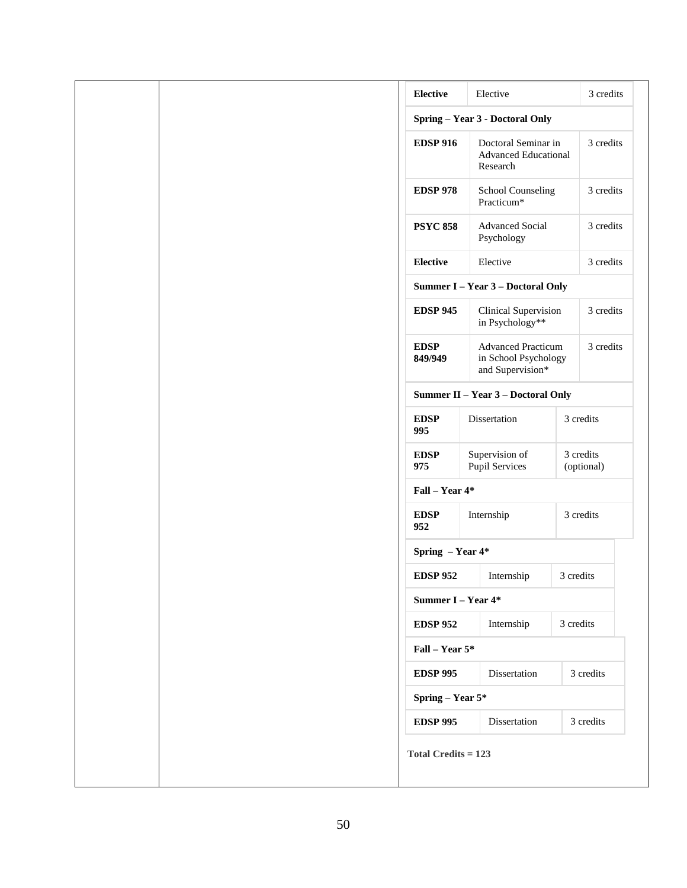| Elective<br><b>Elective</b><br>Spring - Year 3 - Doctoral Only<br>Doctoral Seminar in<br><b>EDSP 916</b><br><b>Advanced Educational</b><br>Research<br><b>EDSP 978</b><br>School Counseling<br>Practicum*<br><b>Advanced Social</b><br><b>PSYC 858</b><br>Psychology | 3 credits<br>3 credits<br>3 credits |
|----------------------------------------------------------------------------------------------------------------------------------------------------------------------------------------------------------------------------------------------------------------------|-------------------------------------|
|                                                                                                                                                                                                                                                                      |                                     |
|                                                                                                                                                                                                                                                                      |                                     |
|                                                                                                                                                                                                                                                                      |                                     |
|                                                                                                                                                                                                                                                                      |                                     |
|                                                                                                                                                                                                                                                                      | 3 credits                           |
| Elective<br><b>Elective</b>                                                                                                                                                                                                                                          | 3 credits                           |
| Summer I - Year 3 - Doctoral Only                                                                                                                                                                                                                                    |                                     |
| <b>EDSP 945</b><br>Clinical Supervision<br>in Psychology**                                                                                                                                                                                                           | 3 credits                           |
| <b>Advanced Practicum</b><br><b>EDSP</b><br>in School Psychology<br>849/949<br>and Supervision*                                                                                                                                                                      | 3 credits                           |
| Summer II - Year 3 - Doctoral Only                                                                                                                                                                                                                                   |                                     |
| Dissertation<br><b>EDSP</b><br>995                                                                                                                                                                                                                                   | 3 credits                           |
| Supervision of<br><b>EDSP</b><br>Pupil Services<br>975                                                                                                                                                                                                               | 3 credits<br>(optional)             |
| Fall - Year 4*                                                                                                                                                                                                                                                       |                                     |
| <b>EDSP</b><br>Internship<br>952                                                                                                                                                                                                                                     | 3 credits                           |
| Spring - Year 4*                                                                                                                                                                                                                                                     |                                     |
| <b>EDSP 952</b><br>Internship                                                                                                                                                                                                                                        | 3 credits                           |
| Summer I - Year 4*                                                                                                                                                                                                                                                   |                                     |
| Internship<br><b>EDSP 952</b>                                                                                                                                                                                                                                        | 3 credits                           |
| Fall - Year 5*                                                                                                                                                                                                                                                       |                                     |
| <b>EDSP 995</b><br>Dissertation                                                                                                                                                                                                                                      | 3 credits                           |
| Spring - Year 5*                                                                                                                                                                                                                                                     |                                     |
|                                                                                                                                                                                                                                                                      |                                     |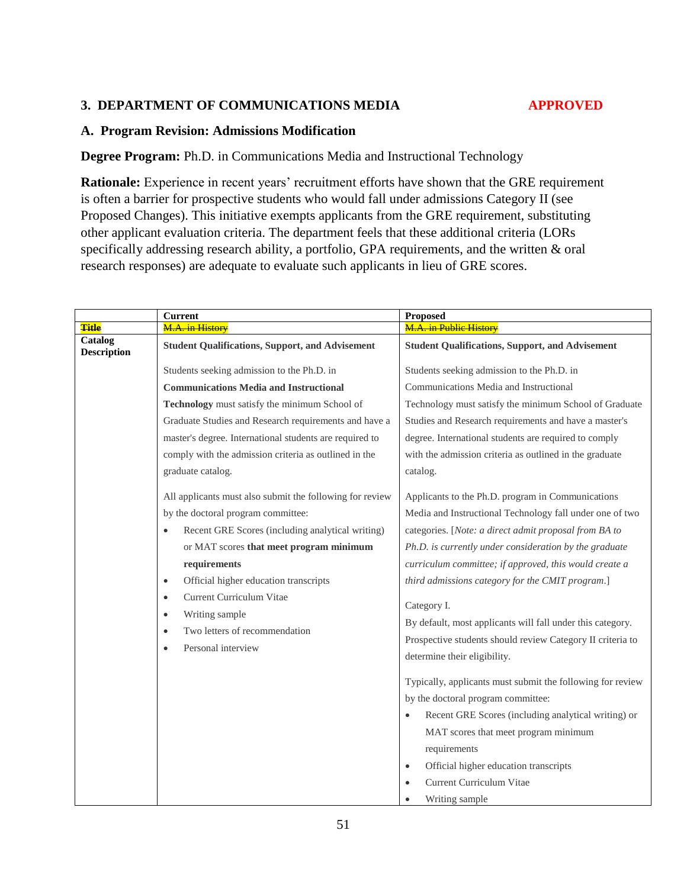#### **3. DEPARTMENT OF COMMUNICATIONS MEDIA APPROVED**

#### **A. Program Revision: Admissions Modification**

**Degree Program:** Ph.D. in Communications Media and Instructional Technology

**Rationale:** Experience in recent years' recruitment efforts have shown that the GRE requirement is often a barrier for prospective students who would fall under admissions Category II (see Proposed Changes). This initiative exempts applicants from the GRE requirement, substituting other applicant evaluation criteria. The department feels that these additional criteria (LORs specifically addressing research ability, a portfolio, GPA requirements, and the written & oral research responses) are adequate to evaluate such applicants in lieu of GRE scores.

|                               | <b>Current</b>                                                                              | <b>Proposed</b>                                            |  |
|-------------------------------|---------------------------------------------------------------------------------------------|------------------------------------------------------------|--|
| <b>Title</b>                  | M.A. in History                                                                             | <b>M.A. in Public History</b>                              |  |
| Catalog<br><b>Description</b> | <b>Student Qualifications, Support, and Advisement</b>                                      | <b>Student Qualifications, Support, and Advisement</b>     |  |
|                               | Students seeking admission to the Ph.D. in                                                  | Students seeking admission to the Ph.D. in                 |  |
|                               | <b>Communications Media and Instructional</b>                                               | Communications Media and Instructional                     |  |
|                               | Technology must satisfy the minimum School of                                               | Technology must satisfy the minimum School of Graduate     |  |
|                               | Graduate Studies and Research requirements and have a                                       | Studies and Research requirements and have a master's      |  |
|                               | master's degree. International students are required to                                     | degree. International students are required to comply      |  |
|                               | comply with the admission criteria as outlined in the                                       | with the admission criteria as outlined in the graduate    |  |
|                               | graduate catalog.                                                                           | catalog.                                                   |  |
|                               | All applicants must also submit the following for review                                    | Applicants to the Ph.D. program in Communications          |  |
|                               | by the doctoral program committee:                                                          | Media and Instructional Technology fall under one of two   |  |
|                               | Recent GRE Scores (including analytical writing)<br>$\bullet$                               | categories. [Note: a direct admit proposal from BA to      |  |
|                               | or MAT scores that meet program minimum                                                     | Ph.D. is currently under consideration by the graduate     |  |
|                               | requirements                                                                                | curriculum committee; if approved, this would create a     |  |
|                               | Official higher education transcripts<br>$\bullet$<br>Current Curriculum Vitae<br>$\bullet$ | third admissions category for the CMIT program.]           |  |
|                               |                                                                                             | Category I.                                                |  |
|                               | Writing sample<br>$\bullet$                                                                 | By default, most applicants will fall under this category. |  |
|                               | Two letters of recommendation<br>$\bullet$                                                  | Prospective students should review Category II criteria to |  |
|                               | Personal interview<br>$\bullet$                                                             | determine their eligibility.                               |  |
|                               |                                                                                             |                                                            |  |
|                               |                                                                                             | Typically, applicants must submit the following for review |  |
|                               |                                                                                             | by the doctoral program committee:                         |  |
|                               |                                                                                             | Recent GRE Scores (including analytical writing) or        |  |
|                               |                                                                                             | MAT scores that meet program minimum                       |  |
|                               |                                                                                             | requirements                                               |  |
|                               |                                                                                             | Official higher education transcripts<br>$\bullet$         |  |
|                               |                                                                                             | Current Curriculum Vitae                                   |  |
|                               |                                                                                             | Writing sample                                             |  |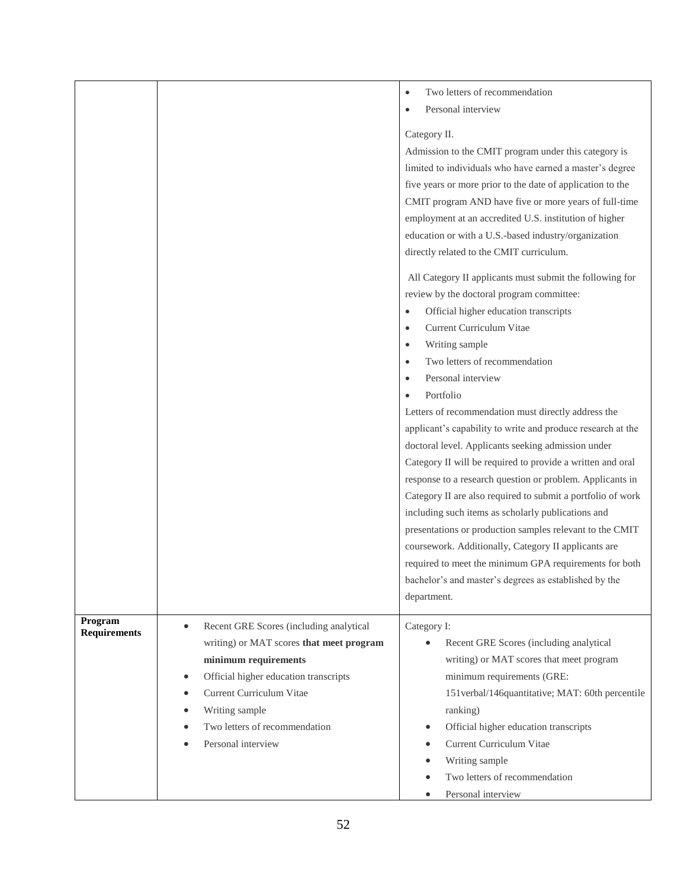|                                |                                                                                                                                                                                                                                                                                     | Two letters of recommendation<br>$\bullet$<br>Personal interview<br>Category II.<br>Admission to the CMIT program under this category is<br>limited to individuals who have earned a master's degree<br>five years or more prior to the date of application to the<br>CMIT program AND have five or more years of full-time<br>employment at an accredited U.S. institution of higher<br>education or with a U.S.-based industry/organization<br>directly related to the CMIT curriculum.<br>All Category II applicants must submit the following for<br>review by the doctoral program committee:<br>Official higher education transcripts<br>$\bullet$<br>Current Curriculum Vitae<br>$\bullet$<br>Writing sample<br>$\bullet$<br>Two letters of recommendation<br>$\bullet$<br>Personal interview<br>$\bullet$<br>Portfolio<br>$\bullet$<br>Letters of recommendation must directly address the<br>applicant's capability to write and produce research at the<br>doctoral level. Applicants seeking admission under<br>Category II will be required to provide a written and oral<br>response to a research question or problem. Applicants in<br>Category II are also required to submit a portfolio of work<br>including such items as scholarly publications and<br>presentations or production samples relevant to the CMIT<br>coursework. Additionally, Category II applicants are<br>required to meet the minimum GPA requirements for both<br>bachelor's and master's degrees as established by the<br>department. |
|--------------------------------|-------------------------------------------------------------------------------------------------------------------------------------------------------------------------------------------------------------------------------------------------------------------------------------|-------------------------------------------------------------------------------------------------------------------------------------------------------------------------------------------------------------------------------------------------------------------------------------------------------------------------------------------------------------------------------------------------------------------------------------------------------------------------------------------------------------------------------------------------------------------------------------------------------------------------------------------------------------------------------------------------------------------------------------------------------------------------------------------------------------------------------------------------------------------------------------------------------------------------------------------------------------------------------------------------------------------------------------------------------------------------------------------------------------------------------------------------------------------------------------------------------------------------------------------------------------------------------------------------------------------------------------------------------------------------------------------------------------------------------------------------------------------------------------------------------------------------------|
| Program<br><b>Requirements</b> | Recent GRE Scores (including analytical<br>$\bullet$<br>writing) or MAT scores that meet program<br>minimum requirements<br>Official higher education transcripts<br>$\bullet$<br>Current Curriculum Vitae<br>Writing sample<br>Two letters of recommendation<br>Personal interview | Category I:<br>Recent GRE Scores (including analytical<br>writing) or MAT scores that meet program<br>minimum requirements (GRE:<br>151 verbal/146 quantitative; MAT: 60th percentile<br>ranking)<br>Official higher education transcripts<br>Current Curriculum Vitae<br>Writing sample<br>Two letters of recommendation<br>Personal interview                                                                                                                                                                                                                                                                                                                                                                                                                                                                                                                                                                                                                                                                                                                                                                                                                                                                                                                                                                                                                                                                                                                                                                               |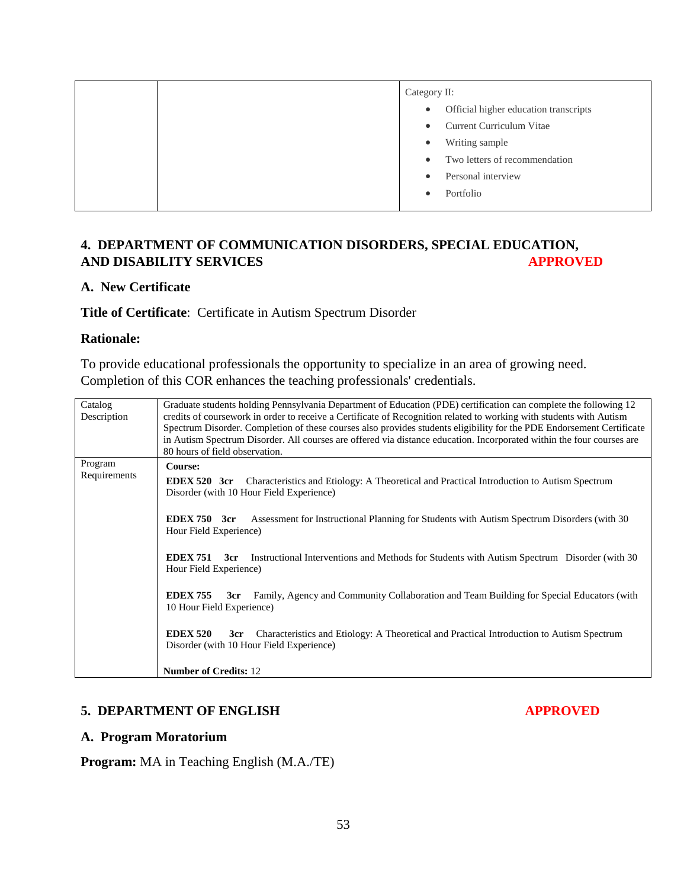|  | Category II: |                                       |
|--|--------------|---------------------------------------|
|  | $\bullet$    | Official higher education transcripts |
|  | $\bullet$    | Current Curriculum Vitae              |
|  | ٠            | Writing sample                        |
|  | $\bullet$    | Two letters of recommendation         |
|  | $\bullet$    | Personal interview                    |
|  |              | Portfolio                             |
|  |              |                                       |

## **4. DEPARTMENT OF COMMUNICATION DISORDERS, SPECIAL EDUCATION, AND DISABILITY SERVICES APPROVED**

#### **A. New Certificate**

#### **Title of Certificate**: Certificate in Autism Spectrum Disorder

#### **Rationale:**

To provide educational professionals the opportunity to specialize in an area of growing need. Completion of this COR enhances the teaching professionals' credentials.

| Catalog                                                                                                               | Graduate students holding Pennsylvania Department of Education (PDE) certification can complete the following 12      |  |  |  |
|-----------------------------------------------------------------------------------------------------------------------|-----------------------------------------------------------------------------------------------------------------------|--|--|--|
| Description                                                                                                           | credits of coursework in order to receive a Certificate of Recognition related to working with students with Autism   |  |  |  |
|                                                                                                                       | Spectrum Disorder. Completion of these courses also provides students eligibility for the PDE Endorsement Certificate |  |  |  |
|                                                                                                                       | in Autism Spectrum Disorder. All courses are offered via distance education. Incorporated within the four courses are |  |  |  |
|                                                                                                                       | 80 hours of field observation.                                                                                        |  |  |  |
| Program                                                                                                               | Course:                                                                                                               |  |  |  |
| Requirements                                                                                                          |                                                                                                                       |  |  |  |
|                                                                                                                       | EDEX 520 3cr<br>Characteristics and Etiology: A Theoretical and Practical Introduction to Autism Spectrum             |  |  |  |
|                                                                                                                       | Disorder (with 10 Hour Field Experience)                                                                              |  |  |  |
|                                                                                                                       |                                                                                                                       |  |  |  |
|                                                                                                                       | EDEX 750 3cr<br>Assessment for Instructional Planning for Students with Autism Spectrum Disorders (with 30)           |  |  |  |
|                                                                                                                       | Hour Field Experience)                                                                                                |  |  |  |
|                                                                                                                       |                                                                                                                       |  |  |  |
|                                                                                                                       |                                                                                                                       |  |  |  |
| <b>EDEX 751</b><br>Instructional Interventions and Methods for Students with Autism Spectrum Disorder (with 30<br>3cr |                                                                                                                       |  |  |  |
|                                                                                                                       | Hour Field Experience)                                                                                                |  |  |  |
|                                                                                                                       |                                                                                                                       |  |  |  |
|                                                                                                                       | <b>EDEX 755</b><br>Family, Agency and Community Collaboration and Team Building for Special Educators (with<br>3cr    |  |  |  |
|                                                                                                                       | 10 Hour Field Experience)                                                                                             |  |  |  |
|                                                                                                                       |                                                                                                                       |  |  |  |
|                                                                                                                       | <b>EDEX 520</b><br>Characteristics and Etiology: A Theoretical and Practical Introduction to Autism Spectrum<br>3cr   |  |  |  |
|                                                                                                                       |                                                                                                                       |  |  |  |
|                                                                                                                       | Disorder (with 10 Hour Field Experience)                                                                              |  |  |  |
|                                                                                                                       |                                                                                                                       |  |  |  |
|                                                                                                                       | <b>Number of Credits: 12</b>                                                                                          |  |  |  |

#### **5. DEPARTMENT OF ENGLISH APPROVED**

#### **A. Program Moratorium**

**Program:** MA in Teaching English (M.A./TE)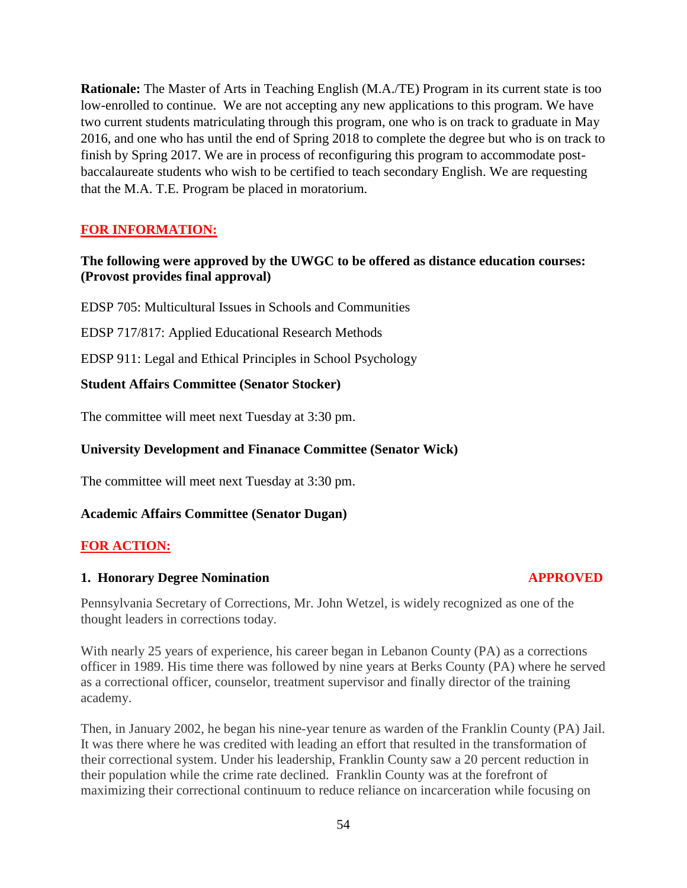**Rationale:** The Master of Arts in Teaching English (M.A./TE) Program in its current state is too low-enrolled to continue. We are not accepting any new applications to this program. We have two current students matriculating through this program, one who is on track to graduate in May 2016, and one who has until the end of Spring 2018 to complete the degree but who is on track to finish by Spring 2017. We are in process of reconfiguring this program to accommodate postbaccalaureate students who wish to be certified to teach secondary English. We are requesting that the M.A. T.E. Program be placed in moratorium.

# **FOR INFORMATION:**

#### **The following were approved by the UWGC to be offered as distance education courses: (Provost provides final approval)**

EDSP 705: Multicultural Issues in Schools and Communities

EDSP 717/817: Applied Educational Research Methods

EDSP 911: Legal and Ethical Principles in School Psychology

#### **Student Affairs Committee (Senator Stocker)**

The committee will meet next Tuesday at 3:30 pm.

#### **University Development and Finanace Committee (Senator Wick)**

The committee will meet next Tuesday at 3:30 pm.

#### **Academic Affairs Committee (Senator Dugan)**

## **FOR ACTION:**

#### **1. Honorary Degree Nomination APPROVED**

Pennsylvania Secretary of Corrections, Mr. John Wetzel, is widely recognized as one of the thought leaders in corrections today.

With nearly 25 years of experience, his career began in Lebanon County (PA) as a corrections officer in 1989. His time there was followed by nine years at Berks County (PA) where he served as a correctional officer, counselor, treatment supervisor and finally director of the training academy.

Then, in January 2002, he began his nine-year tenure as warden of the Franklin County (PA) Jail. It was there where he was credited with leading an effort that resulted in the transformation of their correctional system. Under his leadership, Franklin County saw a 20 percent reduction in their population while the crime rate declined. Franklin County was at the forefront of maximizing their correctional continuum to reduce reliance on incarceration while focusing on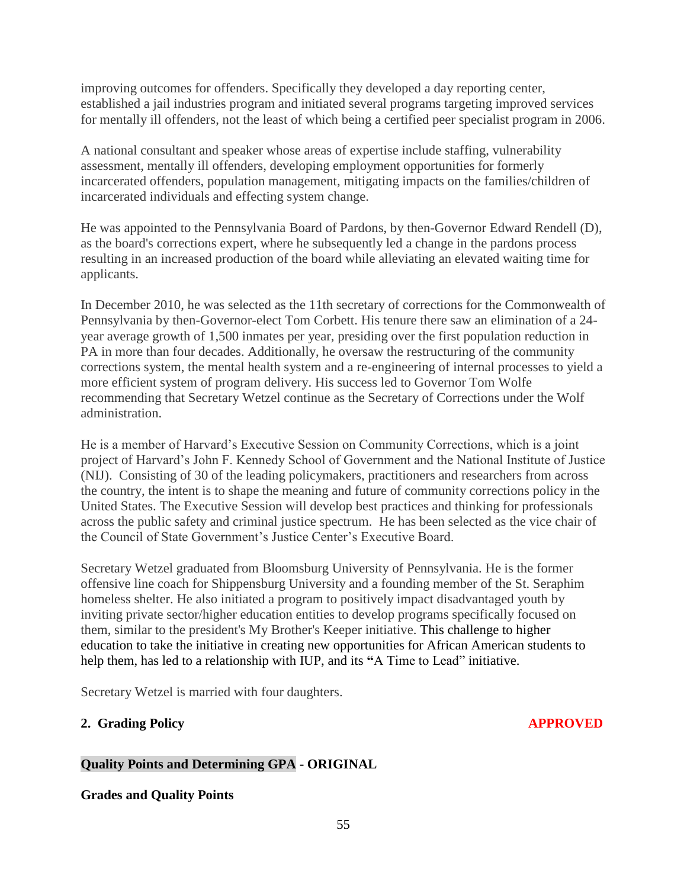improving outcomes for offenders. Specifically they developed a day reporting center, established a jail industries program and initiated several programs targeting improved services for mentally ill offenders, not the least of which being a certified peer specialist program in 2006.

A national consultant and speaker whose areas of expertise include staffing, vulnerability assessment, mentally ill offenders, developing employment opportunities for formerly incarcerated offenders, population management, mitigating impacts on the families/children of incarcerated individuals and effecting system change.

He was appointed to the Pennsylvania Board of Pardons, by then-Governor Edward Rendell (D), as the board's corrections expert, where he subsequently led a change in the pardons process resulting in an increased production of the board while alleviating an elevated waiting time for applicants.

In December 2010, he was selected as the 11th secretary of corrections for the Commonwealth of Pennsylvania by then-Governor-elect Tom Corbett. His tenure there saw an elimination of a 24 year average growth of 1,500 inmates per year, presiding over the first population reduction in PA in more than four decades. Additionally, he oversaw the restructuring of the community corrections system, the mental health system and a re-engineering of internal processes to yield a more efficient system of program delivery. His success led to Governor Tom Wolfe recommending that Secretary Wetzel continue as the Secretary of Corrections under the Wolf administration.

He is a member of Harvard's Executive Session on Community Corrections, which is a joint project of Harvard's John F. Kennedy School of Government and the National Institute of Justice (NIJ). Consisting of 30 of the leading policymakers, practitioners and researchers from across the country, the intent is to shape the meaning and future of community corrections policy in the United States. The Executive Session will develop best practices and thinking for professionals across the public safety and criminal justice spectrum. He has been selected as the vice chair of the Council of State Government's Justice Center's Executive Board.

Secretary Wetzel graduated from Bloomsburg University of Pennsylvania. He is the former offensive line coach for Shippensburg University and a founding member of the St. Seraphim homeless shelter. He also initiated a program to positively impact disadvantaged youth by inviting private sector/higher education entities to develop programs specifically focused on them, similar to the president's My Brother's Keeper initiative. This challenge to higher education to take the initiative in creating new opportunities for African American students to help them, has led to a relationship with IUP, and its **"**A Time to Lead" initiative.

Secretary Wetzel is married with four daughters.

## **2. Grading Policy APPROVED**

# **Quality Points and Determining GPA - ORIGINAL**

**Grades and Quality Points**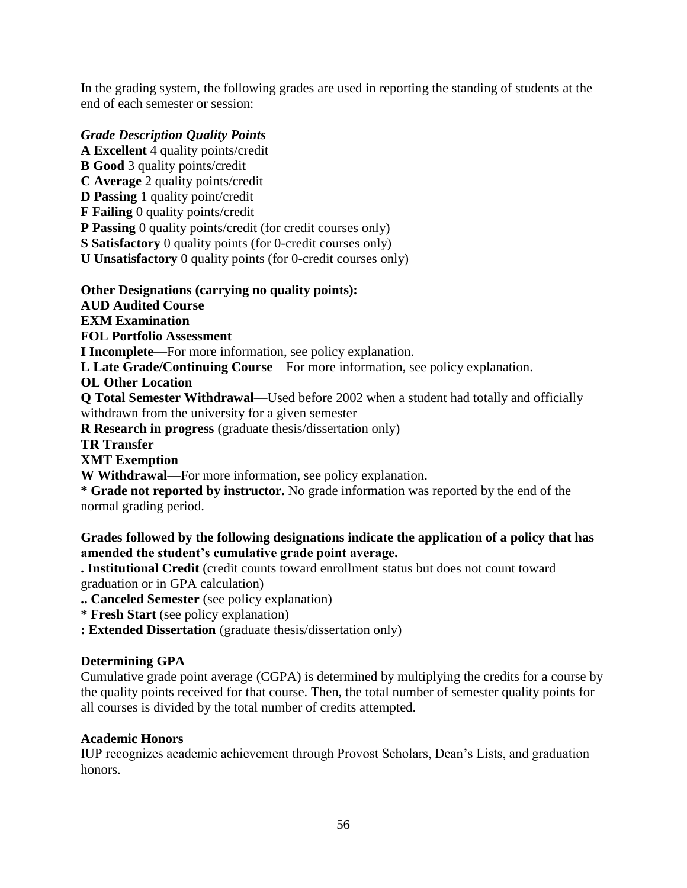In the grading system, the following grades are used in reporting the standing of students at the end of each semester or session:

# *Grade Description Quality Points*

**A Excellent** 4 quality points/credit

**B Good** 3 quality points/credit

**C Average** 2 quality points/credit

**D Passing** 1 quality point/credit

**F Failing** 0 quality points/credit

**P Passing** 0 quality points/credit (for credit courses only)

**S Satisfactory** 0 quality points (for 0-credit courses only)

**U Unsatisfactory** 0 quality points (for 0-credit courses only)

## **Other Designations (carrying no quality points):**

**AUD Audited Course**

**EXM Examination**

**FOL Portfolio Assessment**

**I Incomplete**—For more information, see policy explanation.

**L Late Grade/Continuing Course**—For more information, see policy explanation.

**OL Other Location**

**Q Total Semester Withdrawal**—Used before 2002 when a student had totally and officially withdrawn from the university for a given semester

**R Research in progress** (graduate thesis/dissertation only)

**TR Transfer**

**XMT Exemption**

**W Withdrawal**—For more information, see policy explanation.

**\* Grade not reported by instructor.** No grade information was reported by the end of the normal grading period.

# **Grades followed by the following designations indicate the application of a policy that has amended the student's cumulative grade point average.**

**. Institutional Credit** (credit counts toward enrollment status but does not count toward graduation or in GPA calculation)

**.. Canceled Semester** (see policy explanation)

**\* Fresh Start** (see policy explanation)

**: Extended Dissertation** (graduate thesis/dissertation only)

## **Determining GPA**

Cumulative grade point average (CGPA) is determined by multiplying the credits for a course by the quality points received for that course. Then, the total number of semester quality points for all courses is divided by the total number of credits attempted.

## **Academic Honors**

IUP recognizes academic achievement through Provost Scholars, Dean's Lists, and graduation honors.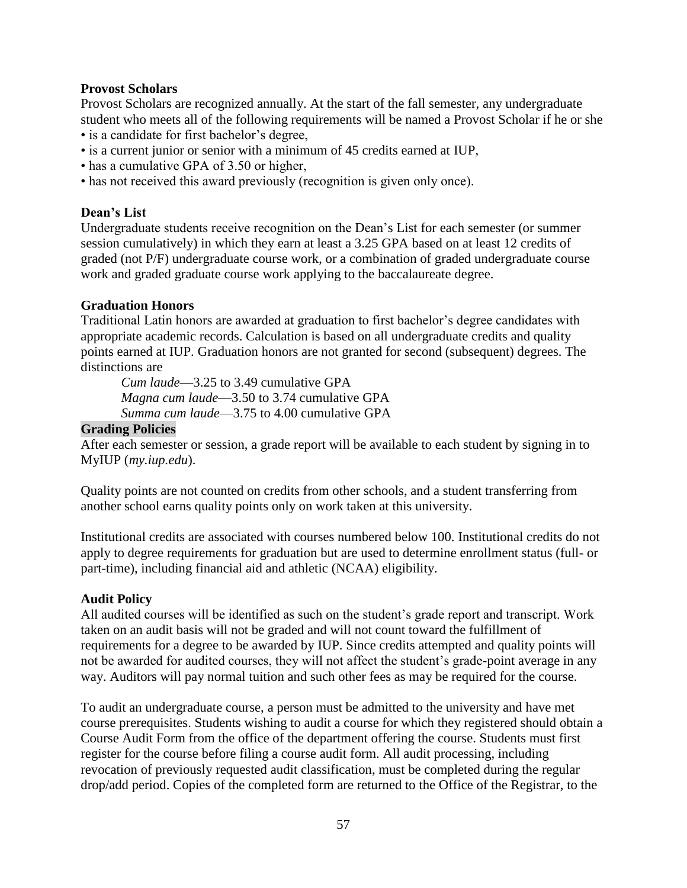#### **Provost Scholars**

Provost Scholars are recognized annually. At the start of the fall semester, any undergraduate student who meets all of the following requirements will be named a Provost Scholar if he or she

- is a candidate for first bachelor's degree,
- is a current junior or senior with a minimum of 45 credits earned at IUP,
- has a cumulative GPA of 3.50 or higher,
- has not received this award previously (recognition is given only once).

#### **Dean's List**

Undergraduate students receive recognition on the Dean's List for each semester (or summer session cumulatively) in which they earn at least a 3.25 GPA based on at least 12 credits of graded (not P/F) undergraduate course work, or a combination of graded undergraduate course work and graded graduate course work applying to the baccalaureate degree.

## **Graduation Honors**

Traditional Latin honors are awarded at graduation to first bachelor's degree candidates with appropriate academic records. Calculation is based on all undergraduate credits and quality points earned at IUP. Graduation honors are not granted for second (subsequent) degrees. The distinctions are

*Cum laude*—3.25 to 3.49 cumulative GPA *Magna cum laude*—3.50 to 3.74 cumulative GPA *Summa cum laude*—3.75 to 4.00 cumulative GPA

#### **Grading Policies**

After each semester or session, a grade report will be available to each student by signing in to MyIUP (*my.iup.edu*).

Quality points are not counted on credits from other schools, and a student transferring from another school earns quality points only on work taken at this university.

Institutional credits are associated with courses numbered below 100. Institutional credits do not apply to degree requirements for graduation but are used to determine enrollment status (full- or part-time), including financial aid and athletic (NCAA) eligibility.

## **Audit Policy**

All audited courses will be identified as such on the student's grade report and transcript. Work taken on an audit basis will not be graded and will not count toward the fulfillment of requirements for a degree to be awarded by IUP. Since credits attempted and quality points will not be awarded for audited courses, they will not affect the student's grade-point average in any way. Auditors will pay normal tuition and such other fees as may be required for the course.

To audit an undergraduate course, a person must be admitted to the university and have met course prerequisites. Students wishing to audit a course for which they registered should obtain a Course Audit Form from the office of the department offering the course. Students must first register for the course before filing a course audit form. All audit processing, including revocation of previously requested audit classification, must be completed during the regular drop/add period. Copies of the completed form are returned to the Office of the Registrar, to the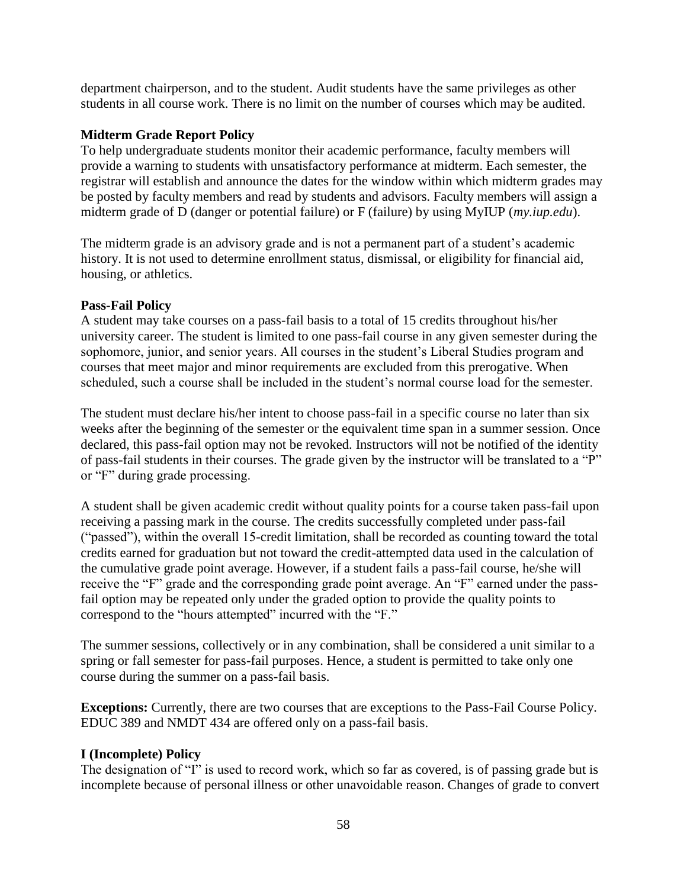department chairperson, and to the student. Audit students have the same privileges as other students in all course work. There is no limit on the number of courses which may be audited.

## **Midterm Grade Report Policy**

To help undergraduate students monitor their academic performance, faculty members will provide a warning to students with unsatisfactory performance at midterm. Each semester, the registrar will establish and announce the dates for the window within which midterm grades may be posted by faculty members and read by students and advisors. Faculty members will assign a midterm grade of D (danger or potential failure) or F (failure) by using MyIUP (*my.iup.edu*).

The midterm grade is an advisory grade and is not a permanent part of a student's academic history. It is not used to determine enrollment status, dismissal, or eligibility for financial aid, housing, or athletics.

#### **Pass-Fail Policy**

A student may take courses on a pass-fail basis to a total of 15 credits throughout his/her university career. The student is limited to one pass-fail course in any given semester during the sophomore, junior, and senior years. All courses in the student's Liberal Studies program and courses that meet major and minor requirements are excluded from this prerogative. When scheduled, such a course shall be included in the student's normal course load for the semester.

The student must declare his/her intent to choose pass-fail in a specific course no later than six weeks after the beginning of the semester or the equivalent time span in a summer session. Once declared, this pass-fail option may not be revoked. Instructors will not be notified of the identity of pass-fail students in their courses. The grade given by the instructor will be translated to a "P" or "F" during grade processing.

A student shall be given academic credit without quality points for a course taken pass-fail upon receiving a passing mark in the course. The credits successfully completed under pass-fail ("passed"), within the overall 15-credit limitation, shall be recorded as counting toward the total credits earned for graduation but not toward the credit-attempted data used in the calculation of the cumulative grade point average. However, if a student fails a pass-fail course, he/she will receive the "F" grade and the corresponding grade point average. An "F" earned under the passfail option may be repeated only under the graded option to provide the quality points to correspond to the "hours attempted" incurred with the "F."

The summer sessions, collectively or in any combination, shall be considered a unit similar to a spring or fall semester for pass-fail purposes. Hence, a student is permitted to take only one course during the summer on a pass-fail basis.

**Exceptions:** Currently, there are two courses that are exceptions to the Pass-Fail Course Policy. EDUC 389 and NMDT 434 are offered only on a pass-fail basis.

#### **I (Incomplete) Policy**

The designation of "I" is used to record work, which so far as covered, is of passing grade but is incomplete because of personal illness or other unavoidable reason. Changes of grade to convert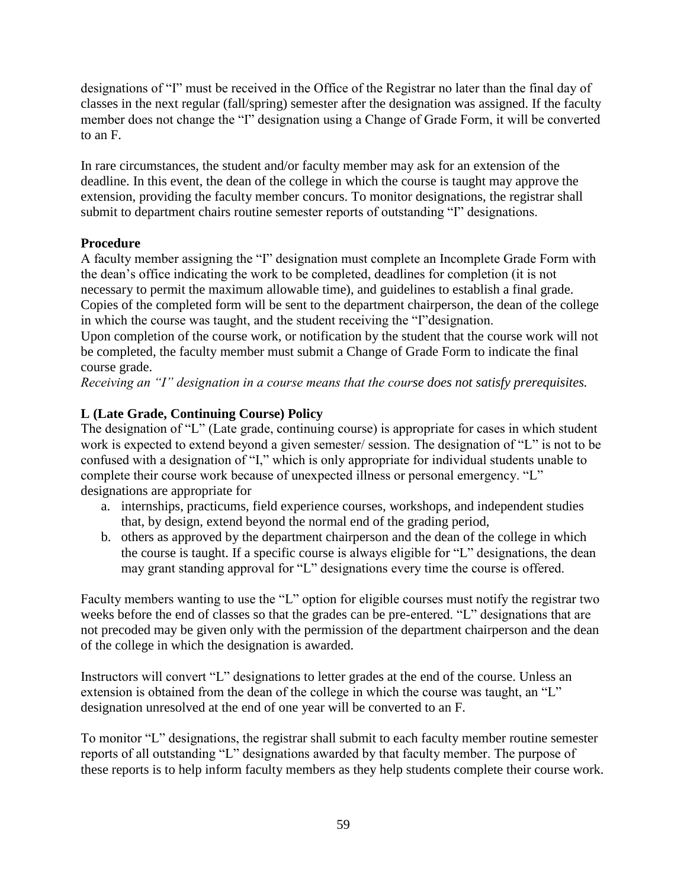designations of "I" must be received in the Office of the Registrar no later than the final day of classes in the next regular (fall/spring) semester after the designation was assigned. If the faculty member does not change the "I" designation using a Change of Grade Form, it will be converted to an F.

In rare circumstances, the student and/or faculty member may ask for an extension of the deadline. In this event, the dean of the college in which the course is taught may approve the extension, providing the faculty member concurs. To monitor designations, the registrar shall submit to department chairs routine semester reports of outstanding "I" designations.

# **Procedure**

A faculty member assigning the "I" designation must complete an Incomplete Grade Form with the dean's office indicating the work to be completed, deadlines for completion (it is not necessary to permit the maximum allowable time), and guidelines to establish a final grade. Copies of the completed form will be sent to the department chairperson, the dean of the college in which the course was taught, and the student receiving the "I"designation.

Upon completion of the course work, or notification by the student that the course work will not be completed, the faculty member must submit a Change of Grade Form to indicate the final course grade.

*Receiving an "I" designation in a course means that the course does not satisfy prerequisites.*

# **L (Late Grade, Continuing Course) Policy**

The designation of "L" (Late grade, continuing course) is appropriate for cases in which student work is expected to extend beyond a given semester/ session. The designation of "L" is not to be confused with a designation of "I," which is only appropriate for individual students unable to complete their course work because of unexpected illness or personal emergency. "L" designations are appropriate for

- a. internships, practicums, field experience courses, workshops, and independent studies that, by design, extend beyond the normal end of the grading period,
- b. others as approved by the department chairperson and the dean of the college in which the course is taught. If a specific course is always eligible for "L" designations, the dean may grant standing approval for "L" designations every time the course is offered.

Faculty members wanting to use the "L" option for eligible courses must notify the registrar two weeks before the end of classes so that the grades can be pre-entered. "L" designations that are not precoded may be given only with the permission of the department chairperson and the dean of the college in which the designation is awarded.

Instructors will convert "L" designations to letter grades at the end of the course. Unless an extension is obtained from the dean of the college in which the course was taught, an "L" designation unresolved at the end of one year will be converted to an F.

To monitor "L" designations, the registrar shall submit to each faculty member routine semester reports of all outstanding "L" designations awarded by that faculty member. The purpose of these reports is to help inform faculty members as they help students complete their course work.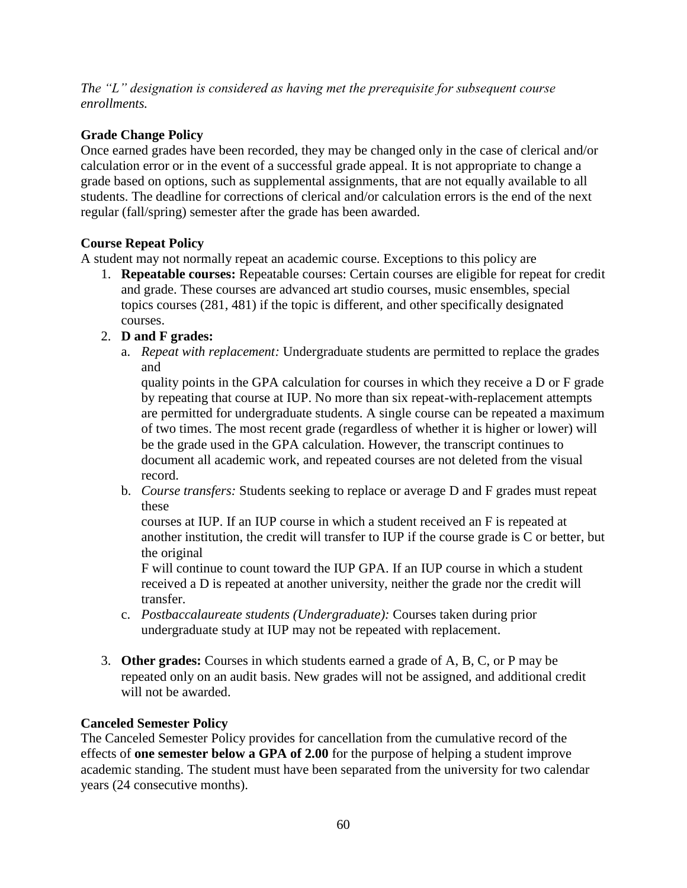*The "L" designation is considered as having met the prerequisite for subsequent course enrollments.*

# **Grade Change Policy**

Once earned grades have been recorded, they may be changed only in the case of clerical and/or calculation error or in the event of a successful grade appeal. It is not appropriate to change a grade based on options, such as supplemental assignments, that are not equally available to all students. The deadline for corrections of clerical and/or calculation errors is the end of the next regular (fall/spring) semester after the grade has been awarded.

# **Course Repeat Policy**

A student may not normally repeat an academic course. Exceptions to this policy are

1. **Repeatable courses:** Repeatable courses: Certain courses are eligible for repeat for credit and grade. These courses are advanced art studio courses, music ensembles, special topics courses (281, 481) if the topic is different, and other specifically designated courses.

# 2. **D and F grades:**

a. *Repeat with replacement:* Undergraduate students are permitted to replace the grades and

quality points in the GPA calculation for courses in which they receive a D or F grade by repeating that course at IUP. No more than six repeat-with-replacement attempts are permitted for undergraduate students. A single course can be repeated a maximum of two times. The most recent grade (regardless of whether it is higher or lower) will be the grade used in the GPA calculation. However, the transcript continues to document all academic work, and repeated courses are not deleted from the visual record.

b. *Course transfers:* Students seeking to replace or average D and F grades must repeat these

courses at IUP. If an IUP course in which a student received an F is repeated at another institution, the credit will transfer to IUP if the course grade is C or better, but the original

F will continue to count toward the IUP GPA. If an IUP course in which a student received a D is repeated at another university, neither the grade nor the credit will transfer.

- c. *Postbaccalaureate students (Undergraduate):* Courses taken during prior undergraduate study at IUP may not be repeated with replacement.
- 3. **Other grades:** Courses in which students earned a grade of A, B, C, or P may be repeated only on an audit basis. New grades will not be assigned, and additional credit will not be awarded.

## **Canceled Semester Policy**

The Canceled Semester Policy provides for cancellation from the cumulative record of the effects of **one semester below a GPA of 2.00** for the purpose of helping a student improve academic standing. The student must have been separated from the university for two calendar years (24 consecutive months).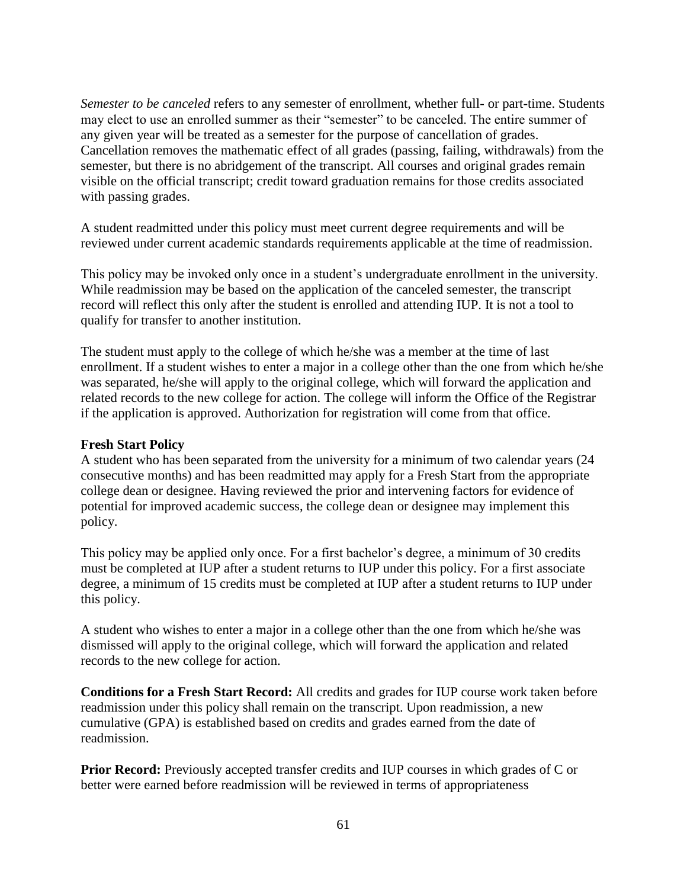*Semester to be canceled* refers to any semester of enrollment, whether full- or part-time. Students may elect to use an enrolled summer as their "semester" to be canceled. The entire summer of any given year will be treated as a semester for the purpose of cancellation of grades. Cancellation removes the mathematic effect of all grades (passing, failing, withdrawals) from the semester, but there is no abridgement of the transcript. All courses and original grades remain visible on the official transcript; credit toward graduation remains for those credits associated with passing grades.

A student readmitted under this policy must meet current degree requirements and will be reviewed under current academic standards requirements applicable at the time of readmission.

This policy may be invoked only once in a student's undergraduate enrollment in the university. While readmission may be based on the application of the canceled semester, the transcript record will reflect this only after the student is enrolled and attending IUP. It is not a tool to qualify for transfer to another institution.

The student must apply to the college of which he/she was a member at the time of last enrollment. If a student wishes to enter a major in a college other than the one from which he/she was separated, he/she will apply to the original college, which will forward the application and related records to the new college for action. The college will inform the Office of the Registrar if the application is approved. Authorization for registration will come from that office.

#### **Fresh Start Policy**

A student who has been separated from the university for a minimum of two calendar years (24 consecutive months) and has been readmitted may apply for a Fresh Start from the appropriate college dean or designee. Having reviewed the prior and intervening factors for evidence of potential for improved academic success, the college dean or designee may implement this policy.

This policy may be applied only once. For a first bachelor's degree, a minimum of 30 credits must be completed at IUP after a student returns to IUP under this policy. For a first associate degree, a minimum of 15 credits must be completed at IUP after a student returns to IUP under this policy.

A student who wishes to enter a major in a college other than the one from which he/she was dismissed will apply to the original college, which will forward the application and related records to the new college for action.

**Conditions for a Fresh Start Record:** All credits and grades for IUP course work taken before readmission under this policy shall remain on the transcript. Upon readmission, a new cumulative (GPA) is established based on credits and grades earned from the date of readmission.

**Prior Record:** Previously accepted transfer credits and IUP courses in which grades of C or better were earned before readmission will be reviewed in terms of appropriateness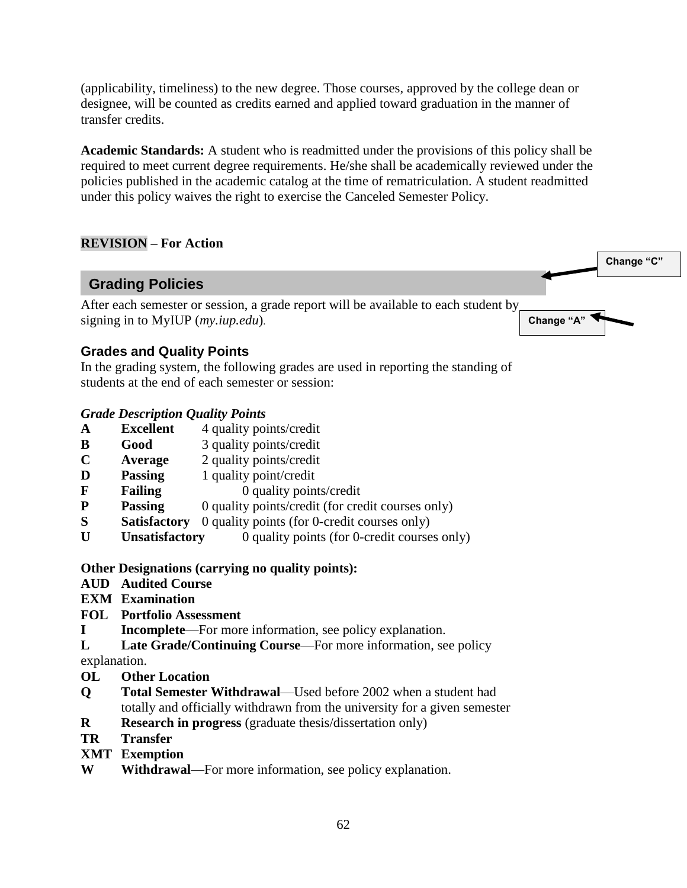(applicability, timeliness) to the new degree. Those courses, approved by the college dean or designee, will be counted as credits earned and applied toward graduation in the manner of transfer credits.

**Academic Standards:** A student who is readmitted under the provisions of this policy shall be required to meet current degree requirements. He/she shall be academically reviewed under the policies published in the academic catalog at the time of rematriculation. A student readmitted under this policy waives the right to exercise the Canceled Semester Policy.

**Change "A"**

**Change "C"**

# **REVISION – For Action**

# **Grading Policies**

After each semester or session, a grade report will be available to each student by signing in to MyIUP (*my.iup.edu*).

## **Grades and Quality Points**

In the grading system, the following grades are used in reporting the standing of students at the end of each semester or session:

#### *Grade Description Quality Points*

- **A Excellent** 4 quality points/credit
- **B Good** 3 quality points/credit
- **C Average** 2 quality points/credit
- **D** Passing 1 quality point/credit
- **F** Failing 0 quality points/credit
- **P** Passing 0 quality points/credit (for credit courses only)
- **S** Satisfactory 0 quality points (for 0-credit courses only)
- **U** Unsatisfactory 0 quality points (for 0-credit courses only)

#### **Other Designations (carrying no quality points):**

- **AUD Audited Course**
- **EXM Examination**
- **FOL Portfolio Assessment**
- **I** Incomplete—For more information, see policy explanation.
- L Late Grade/Continuing Course—For more information, see policy

explanation.

- **OL Other Location**
- **Q Total Semester Withdrawal**—Used before 2002 when a student had totally and officially withdrawn from the university for a given semester
- **R** Research in progress (graduate thesis/dissertation only)
- **TR Transfer**
- **XMT Exemption**
- **W Withdrawal**—For more information, see policy explanation.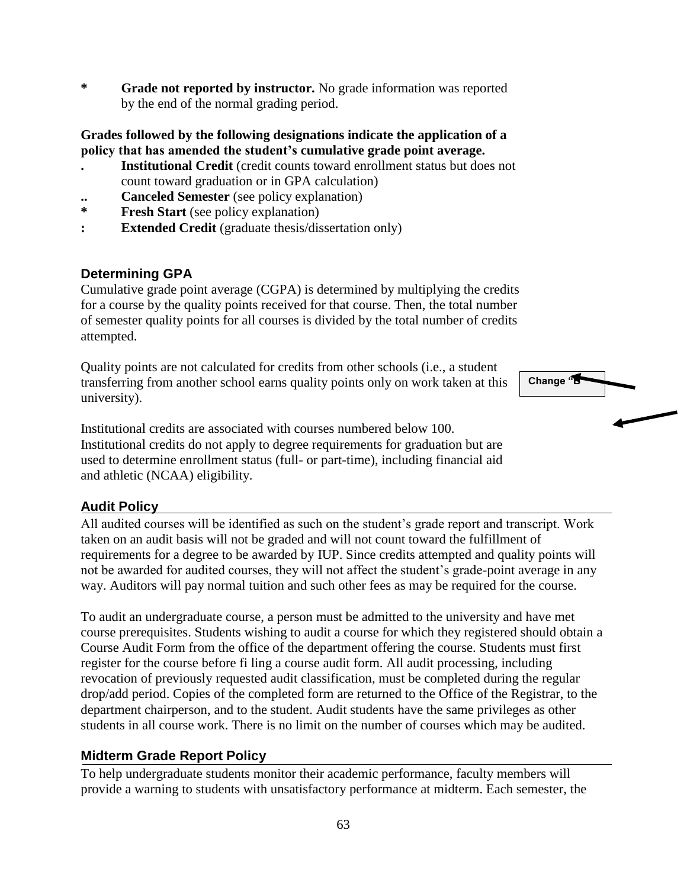**\* Grade not reported by instructor.** No grade information was reported by the end of the normal grading period.

#### **Grades followed by the following designations indicate the application of a policy that has amended the student's cumulative grade point average.**

- **. Institutional Credit** (credit counts toward enrollment status but does not count toward graduation or in GPA calculation)
- **.. Canceled Semester** (see policy explanation)
- **\* Fresh Start** (see policy explanation)
- **: Extended Credit** (graduate thesis/dissertation only)

# **Determining GPA**

Cumulative grade point average (CGPA) is determined by multiplying the credits for a course by the quality points received for that course. Then, the total number of semester quality points for all courses is divided by the total number of credits attempted.

Quality points are not calculated for credits from other schools (i.e., a student transferring from another school earns quality points only on work taken at this university).

Institutional credits are associated with courses numbered below 100. Institutional credits do not apply to degree requirements for graduation but are used to determine enrollment status (full- or part-time), including financial aid and athletic (NCAA) eligibility.

## **Audit Policy**

All audited courses will be identified as such on the student's grade report and transcript. Work taken on an audit basis will not be graded and will not count toward the fulfillment of requirements for a degree to be awarded by IUP. Since credits attempted and quality points will not be awarded for audited courses, they will not affect the student's grade-point average in any way. Auditors will pay normal tuition and such other fees as may be required for the course.

To audit an undergraduate course, a person must be admitted to the university and have met course prerequisites. Students wishing to audit a course for which they registered should obtain a Course Audit Form from the office of the department offering the course. Students must first register for the course before fi ling a course audit form. All audit processing, including revocation of previously requested audit classification, must be completed during the regular drop/add period. Copies of the completed form are returned to the Office of the Registrar, to the department chairperson, and to the student. Audit students have the same privileges as other students in all course work. There is no limit on the number of courses which may be audited.

## **Midterm Grade Report Policy**

To help undergraduate students monitor their academic performance, faculty members will provide a warning to students with unsatisfactory performance at midterm. Each semester, the



**Change "B"**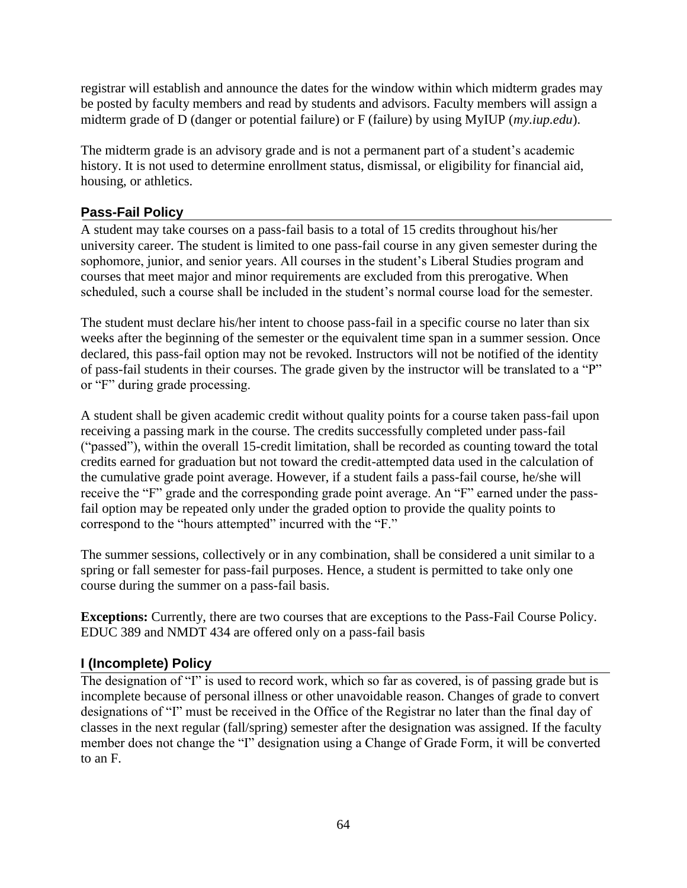registrar will establish and announce the dates for the window within which midterm grades may be posted by faculty members and read by students and advisors. Faculty members will assign a midterm grade of D (danger or potential failure) or F (failure) by using MyIUP (*my.iup.edu*).

The midterm grade is an advisory grade and is not a permanent part of a student's academic history. It is not used to determine enrollment status, dismissal, or eligibility for financial aid, housing, or athletics.

# **Pass-Fail Policy**

A student may take courses on a pass-fail basis to a total of 15 credits throughout his/her university career. The student is limited to one pass-fail course in any given semester during the sophomore, junior, and senior years. All courses in the student's Liberal Studies program and courses that meet major and minor requirements are excluded from this prerogative. When scheduled, such a course shall be included in the student's normal course load for the semester.

The student must declare his/her intent to choose pass-fail in a specific course no later than six weeks after the beginning of the semester or the equivalent time span in a summer session. Once declared, this pass-fail option may not be revoked. Instructors will not be notified of the identity of pass-fail students in their courses. The grade given by the instructor will be translated to a "P" or "F" during grade processing.

A student shall be given academic credit without quality points for a course taken pass-fail upon receiving a passing mark in the course. The credits successfully completed under pass-fail ("passed"), within the overall 15-credit limitation, shall be recorded as counting toward the total credits earned for graduation but not toward the credit-attempted data used in the calculation of the cumulative grade point average. However, if a student fails a pass-fail course, he/she will receive the "F" grade and the corresponding grade point average. An "F" earned under the passfail option may be repeated only under the graded option to provide the quality points to correspond to the "hours attempted" incurred with the "F."

The summer sessions, collectively or in any combination, shall be considered a unit similar to a spring or fall semester for pass-fail purposes. Hence, a student is permitted to take only one course during the summer on a pass-fail basis.

**Exceptions:** Currently, there are two courses that are exceptions to the Pass-Fail Course Policy. EDUC 389 and NMDT 434 are offered only on a pass-fail basis

## **I (Incomplete) Policy**

The designation of "I" is used to record work, which so far as covered, is of passing grade but is incomplete because of personal illness or other unavoidable reason. Changes of grade to convert designations of "I" must be received in the Office of the Registrar no later than the final day of classes in the next regular (fall/spring) semester after the designation was assigned. If the faculty member does not change the "I" designation using a Change of Grade Form, it will be converted to an F.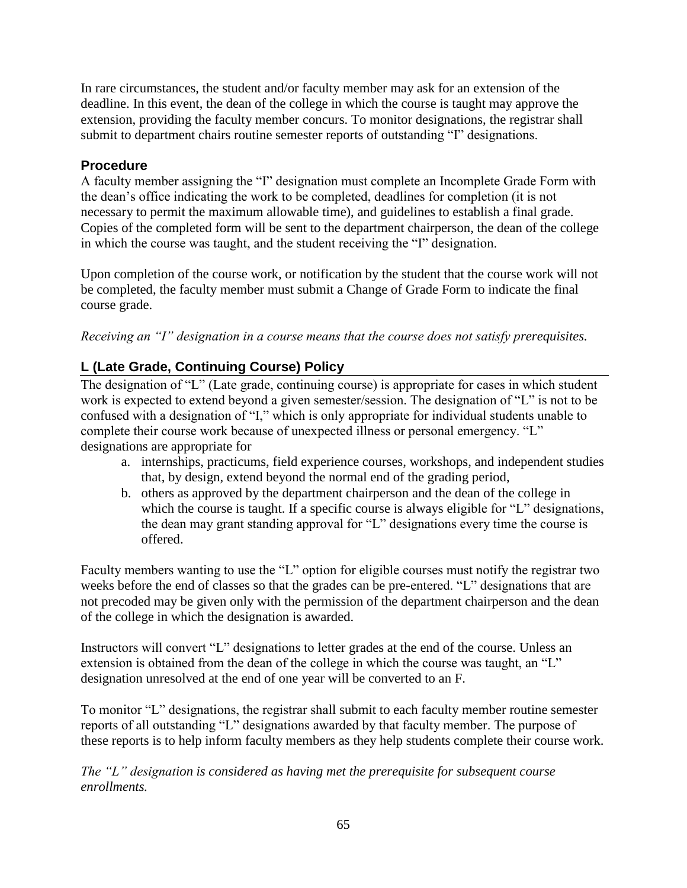In rare circumstances, the student and/or faculty member may ask for an extension of the deadline. In this event, the dean of the college in which the course is taught may approve the extension, providing the faculty member concurs. To monitor designations, the registrar shall submit to department chairs routine semester reports of outstanding "I" designations.

# **Procedure**

A faculty member assigning the "I" designation must complete an Incomplete Grade Form with the dean's office indicating the work to be completed, deadlines for completion (it is not necessary to permit the maximum allowable time), and guidelines to establish a final grade. Copies of the completed form will be sent to the department chairperson, the dean of the college in which the course was taught, and the student receiving the "I" designation.

Upon completion of the course work, or notification by the student that the course work will not be completed, the faculty member must submit a Change of Grade Form to indicate the final course grade.

*Receiving an "I" designation in a course means that the course does not satisfy prerequisites.*

# **L (Late Grade, Continuing Course) Policy**

The designation of "L" (Late grade, continuing course) is appropriate for cases in which student work is expected to extend beyond a given semester/session. The designation of "L" is not to be confused with a designation of "I," which is only appropriate for individual students unable to complete their course work because of unexpected illness or personal emergency. "L" designations are appropriate for

- a. internships, practicums, field experience courses, workshops, and independent studies that, by design, extend beyond the normal end of the grading period,
- b. others as approved by the department chairperson and the dean of the college in which the course is taught. If a specific course is always eligible for "L" designations, the dean may grant standing approval for "L" designations every time the course is offered.

Faculty members wanting to use the "L" option for eligible courses must notify the registrar two weeks before the end of classes so that the grades can be pre-entered. "L" designations that are not precoded may be given only with the permission of the department chairperson and the dean of the college in which the designation is awarded.

Instructors will convert "L" designations to letter grades at the end of the course. Unless an extension is obtained from the dean of the college in which the course was taught, an "L" designation unresolved at the end of one year will be converted to an F.

To monitor "L" designations, the registrar shall submit to each faculty member routine semester reports of all outstanding "L" designations awarded by that faculty member. The purpose of these reports is to help inform faculty members as they help students complete their course work.

*The "L" designation is considered as having met the prerequisite for subsequent course enrollments.*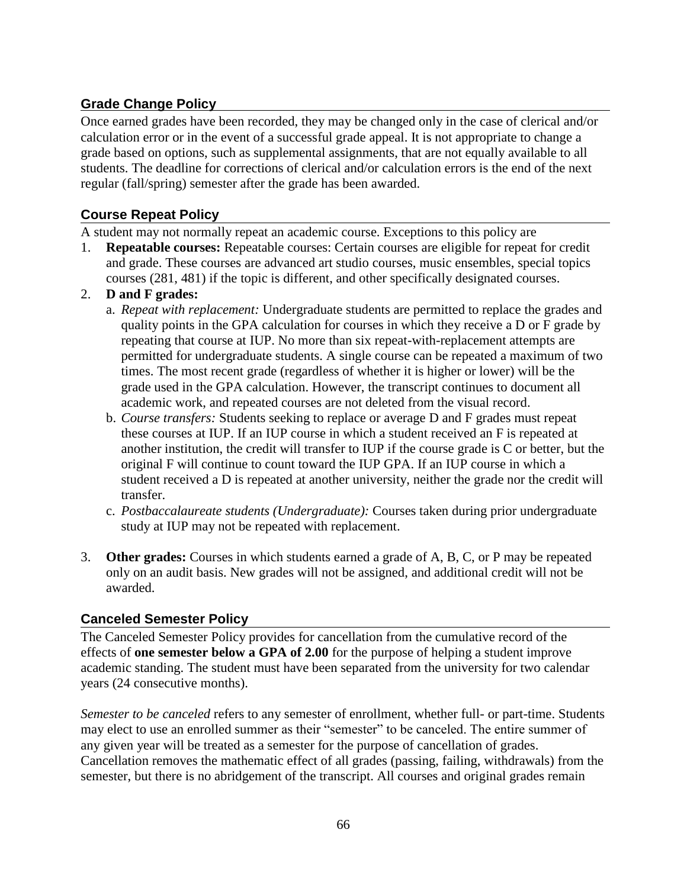# **Grade Change Policy**

Once earned grades have been recorded, they may be changed only in the case of clerical and/or calculation error or in the event of a successful grade appeal. It is not appropriate to change a grade based on options, such as supplemental assignments, that are not equally available to all students. The deadline for corrections of clerical and/or calculation errors is the end of the next regular (fall/spring) semester after the grade has been awarded.

# **Course Repeat Policy**

A student may not normally repeat an academic course. Exceptions to this policy are

- 1. **Repeatable courses:** Repeatable courses: Certain courses are eligible for repeat for credit and grade. These courses are advanced art studio courses, music ensembles, special topics courses (281, 481) if the topic is different, and other specifically designated courses.
- 2. **D and F grades:**
	- a. *Repeat with replacement:* Undergraduate students are permitted to replace the grades and quality points in the GPA calculation for courses in which they receive a D or F grade by repeating that course at IUP. No more than six repeat-with-replacement attempts are permitted for undergraduate students. A single course can be repeated a maximum of two times. The most recent grade (regardless of whether it is higher or lower) will be the grade used in the GPA calculation. However, the transcript continues to document all academic work, and repeated courses are not deleted from the visual record.
	- b. *Course transfers:* Students seeking to replace or average D and F grades must repeat these courses at IUP. If an IUP course in which a student received an F is repeated at another institution, the credit will transfer to IUP if the course grade is C or better, but the original F will continue to count toward the IUP GPA. If an IUP course in which a student received a D is repeated at another university, neither the grade nor the credit will transfer.
	- c. *Postbaccalaureate students (Undergraduate):* Courses taken during prior undergraduate study at IUP may not be repeated with replacement.
- 3. **Other grades:** Courses in which students earned a grade of A, B, C, or P may be repeated only on an audit basis. New grades will not be assigned, and additional credit will not be awarded.

## **Canceled Semester Policy**

The Canceled Semester Policy provides for cancellation from the cumulative record of the effects of **one semester below a GPA of 2.00** for the purpose of helping a student improve academic standing. The student must have been separated from the university for two calendar years (24 consecutive months).

*Semester to be canceled* refers to any semester of enrollment, whether full- or part-time. Students may elect to use an enrolled summer as their "semester" to be canceled. The entire summer of any given year will be treated as a semester for the purpose of cancellation of grades. Cancellation removes the mathematic effect of all grades (passing, failing, withdrawals) from the semester, but there is no abridgement of the transcript. All courses and original grades remain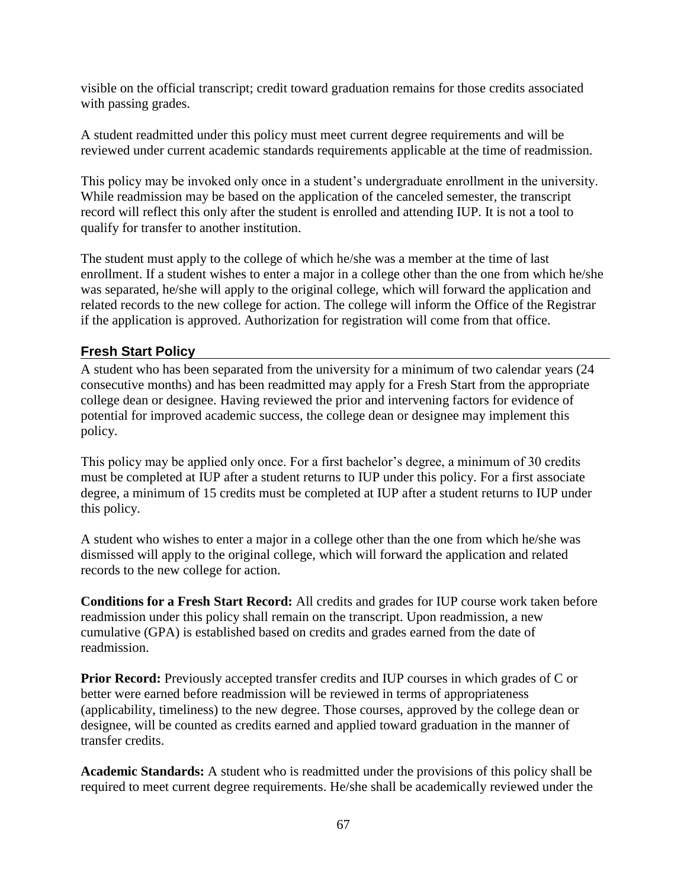visible on the official transcript; credit toward graduation remains for those credits associated with passing grades.

A student readmitted under this policy must meet current degree requirements and will be reviewed under current academic standards requirements applicable at the time of readmission.

This policy may be invoked only once in a student's undergraduate enrollment in the university. While readmission may be based on the application of the canceled semester, the transcript record will reflect this only after the student is enrolled and attending IUP. It is not a tool to qualify for transfer to another institution.

The student must apply to the college of which he/she was a member at the time of last enrollment. If a student wishes to enter a major in a college other than the one from which he/she was separated, he/she will apply to the original college, which will forward the application and related records to the new college for action. The college will inform the Office of the Registrar if the application is approved. Authorization for registration will come from that office.

# **Fresh Start Policy**

A student who has been separated from the university for a minimum of two calendar years (24 consecutive months) and has been readmitted may apply for a Fresh Start from the appropriate college dean or designee. Having reviewed the prior and intervening factors for evidence of potential for improved academic success, the college dean or designee may implement this policy.

This policy may be applied only once. For a first bachelor's degree, a minimum of 30 credits must be completed at IUP after a student returns to IUP under this policy. For a first associate degree, a minimum of 15 credits must be completed at IUP after a student returns to IUP under this policy.

A student who wishes to enter a major in a college other than the one from which he/she was dismissed will apply to the original college, which will forward the application and related records to the new college for action.

**Conditions for a Fresh Start Record:** All credits and grades for IUP course work taken before readmission under this policy shall remain on the transcript. Upon readmission, a new cumulative (GPA) is established based on credits and grades earned from the date of readmission.

**Prior Record:** Previously accepted transfer credits and IUP courses in which grades of C or better were earned before readmission will be reviewed in terms of appropriateness (applicability, timeliness) to the new degree. Those courses, approved by the college dean or designee, will be counted as credits earned and applied toward graduation in the manner of transfer credits.

**Academic Standards:** A student who is readmitted under the provisions of this policy shall be required to meet current degree requirements. He/she shall be academically reviewed under the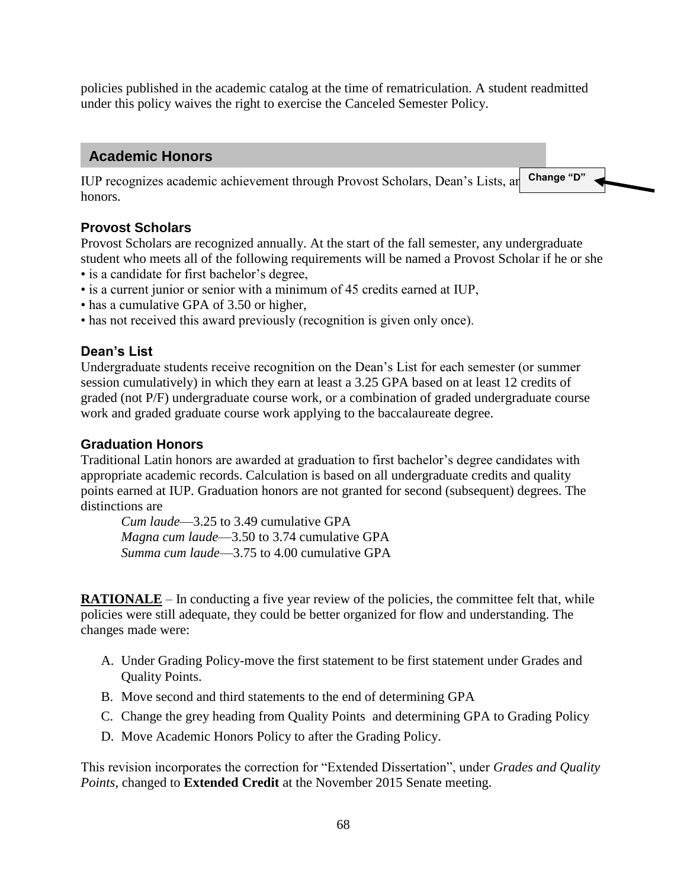policies published in the academic catalog at the time of rematriculation. A student readmitted under this policy waives the right to exercise the Canceled Semester Policy.

# **Academic Honors**

IUP recognizes academic achievement through Provost Scholars, Dean's Lists, and Change "D" honors.

# **Provost Scholars**

Provost Scholars are recognized annually. At the start of the fall semester, any undergraduate student who meets all of the following requirements will be named a Provost Scholar if he or she • is a candidate for first bachelor's degree,

- is a current junior or senior with a minimum of 45 credits earned at IUP,
- has a cumulative GPA of 3.50 or higher,
- has not received this award previously (recognition is given only once).

# **Dean's List**

Undergraduate students receive recognition on the Dean's List for each semester (or summer session cumulatively) in which they earn at least a 3.25 GPA based on at least 12 credits of graded (not P/F) undergraduate course work, or a combination of graded undergraduate course work and graded graduate course work applying to the baccalaureate degree.

# **Graduation Honors**

Traditional Latin honors are awarded at graduation to first bachelor's degree candidates with appropriate academic records. Calculation is based on all undergraduate credits and quality points earned at IUP. Graduation honors are not granted for second (subsequent) degrees. The distinctions are

*Cum laude*—3.25 to 3.49 cumulative GPA *Magna cum laude*—3.50 to 3.74 cumulative GPA *Summa cum laude*—3.75 to 4.00 cumulative GPA

**RATIONALE** – In conducting a five year review of the policies, the committee felt that, while policies were still adequate, they could be better organized for flow and understanding. The changes made were:

- A. Under Grading Policy-move the first statement to be first statement under Grades and Quality Points.
- B. Move second and third statements to the end of determining GPA
- C. Change the grey heading from Quality Points and determining GPA to Grading Policy
- D. Move Academic Honors Policy to after the Grading Policy.

This revision incorporates the correction for "Extended Dissertation", under *Grades and Quality Points*, changed to **Extended Credit** at the November 2015 Senate meeting.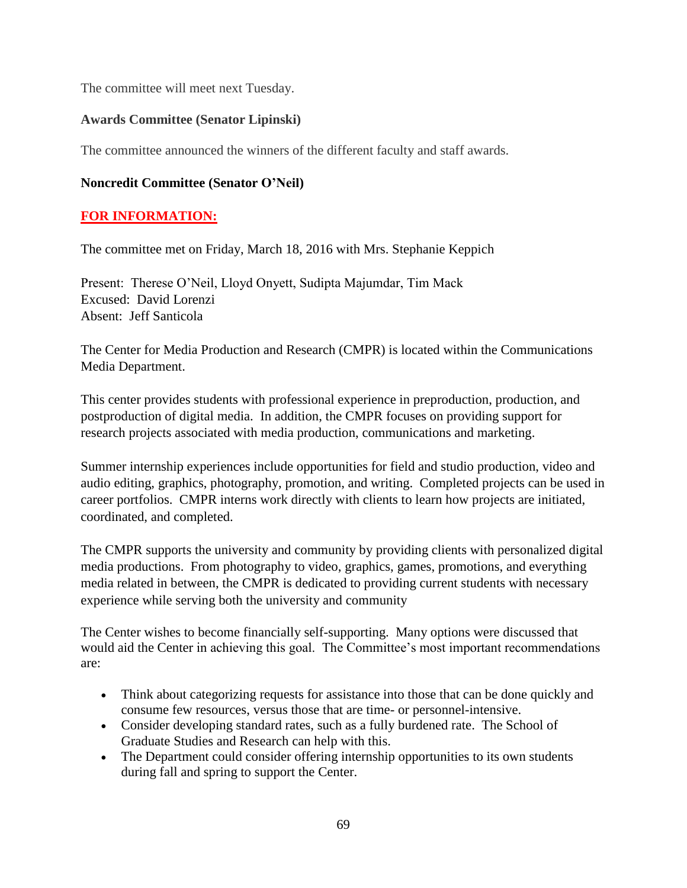The committee will meet next Tuesday.

# **Awards Committee (Senator Lipinski)**

The committee announced the winners of the different faculty and staff awards.

# **Noncredit Committee (Senator O'Neil)**

# **FOR INFORMATION:**

The committee met on Friday, March 18, 2016 with Mrs. Stephanie Keppich

Present: Therese O'Neil, Lloyd Onyett, Sudipta Majumdar, Tim Mack Excused: David Lorenzi Absent: Jeff Santicola

The Center for Media Production and Research (CMPR) is located within the Communications Media Department.

This center provides students with professional experience in preproduction, production, and postproduction of digital media. In addition, the CMPR focuses on providing support for research projects associated with media production, communications and marketing.

Summer internship experiences include opportunities for field and studio production, video and audio editing, graphics, photography, promotion, and writing. Completed projects can be used in career portfolios. CMPR interns work directly with clients to learn how projects are initiated, coordinated, and completed.

The CMPR supports the university and community by providing clients with personalized digital media productions. From photography to video, graphics, games, promotions, and everything media related in between, the CMPR is dedicated to providing current students with necessary experience while serving both the university and community

The Center wishes to become financially self-supporting. Many options were discussed that would aid the Center in achieving this goal. The Committee's most important recommendations are:

- Think about categorizing requests for assistance into those that can be done quickly and consume few resources, versus those that are time- or personnel-intensive.
- Consider developing standard rates, such as a fully burdened rate. The School of Graduate Studies and Research can help with this.
- The Department could consider offering internship opportunities to its own students during fall and spring to support the Center.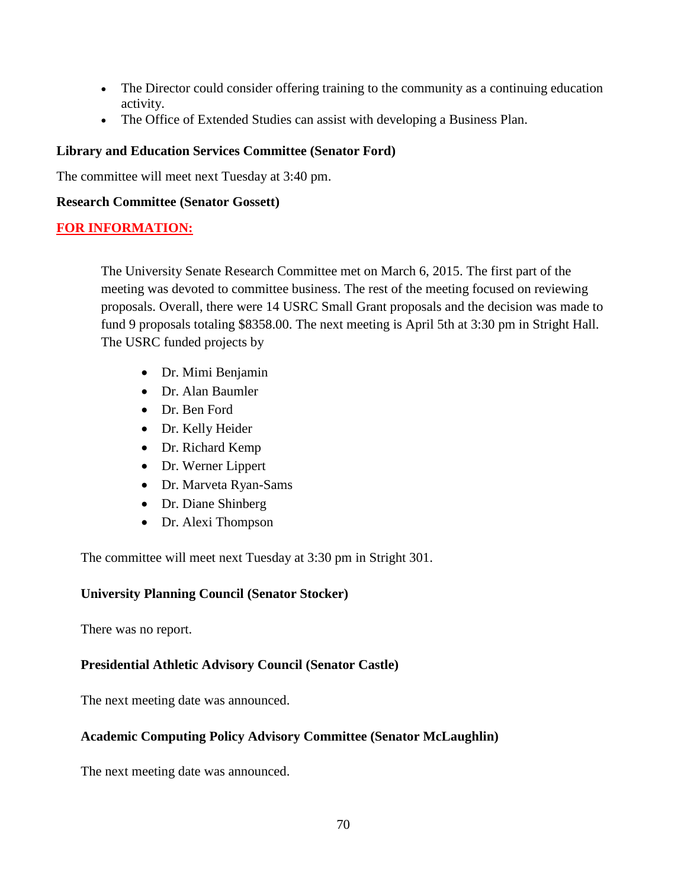- The Director could consider offering training to the community as a continuing education activity.
- The Office of Extended Studies can assist with developing a Business Plan.

# **Library and Education Services Committee (Senator Ford)**

The committee will meet next Tuesday at 3:40 pm.

#### **Research Committee (Senator Gossett)**

## **FOR INFORMATION:**

The University Senate Research Committee met on March 6, 2015. The first part of the meeting was devoted to committee business. The rest of the meeting focused on reviewing proposals. Overall, there were 14 USRC Small Grant proposals and the decision was made to fund 9 proposals totaling \$8358.00. The next meeting is April 5th at 3:30 pm in Stright Hall. The USRC funded projects by

- Dr. Mimi Benjamin
- Dr. Alan Baumler
- Dr. Ben Ford
- Dr. Kelly Heider
- Dr. Richard Kemp
- Dr. Werner Lippert
- Dr. Marveta Ryan-Sams
- Dr. Diane Shinberg
- Dr. Alexi Thompson

The committee will meet next Tuesday at 3:30 pm in Stright 301.

## **University Planning Council (Senator Stocker)**

There was no report.

## **Presidential Athletic Advisory Council (Senator Castle)**

The next meeting date was announced.

## **Academic Computing Policy Advisory Committee (Senator McLaughlin)**

The next meeting date was announced.